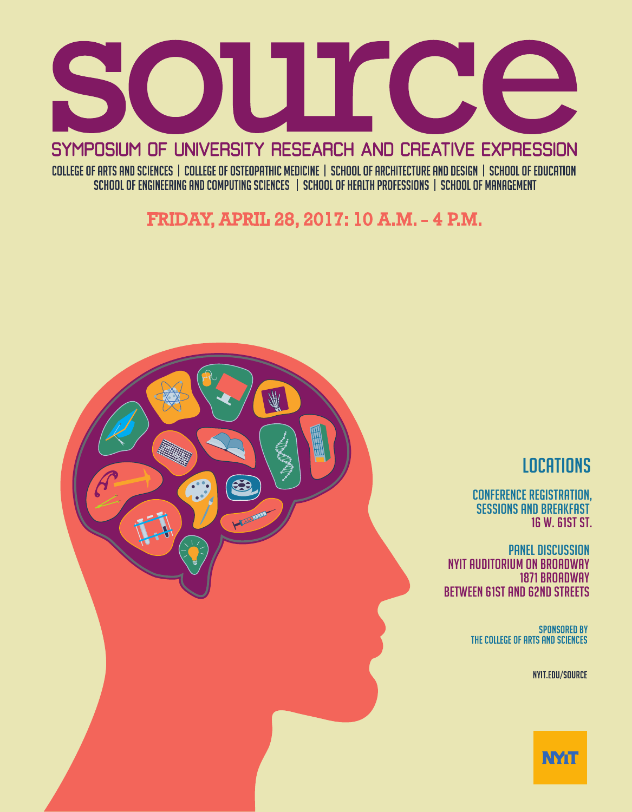

SYMPOSIUM OF UNIVERSITY RESEARCH AND CREATIVE EXPRESSION COLLEGE OF ARTS AND SCIENCES | COLLEGE OF OSTEOPATHIC MEDICINE | SCHOOL OF ARCHITECTURE AND DESIGN | SCHOOL OF EDUCATION

SCHOOL OF ENGINEERING AND COMPUTING SCIENCES | SCHOOL OF HEALTH PROFESSIONS | SCHOOL OF MANAGEMENT

FRIDAY, APRIL 28, 2017: 10 A.M. - 4 P.M.



# **LOCATIONS**

CONFERENCE REGISTRATION, SESSIONS AND BREAKFAST 16 W. 61ST ST.

PANEL DISCUSSION NYIT Auditorium on Broadway 1871 BROADWAY BETWEEN 61ST AND 62ND STREETS

> **SPONSORED BY** THE COLLEGE OF ARTS AND SCIENCES

> > **NYIT.EDU/SOURCE**

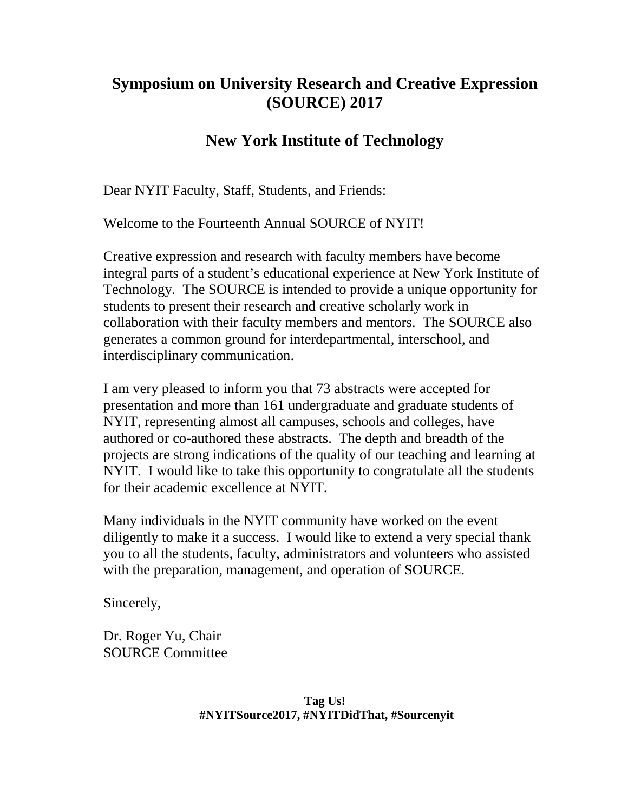# **Symposium on University Research and Creative Expression (SOURCE) 2017**

# **New York Institute of Technology**

Dear NYIT Faculty, Staff, Students, and Friends:

Welcome to the Fourteenth Annual SOURCE of NYIT!

Creative expression and research with faculty members have become integral parts of a student's educational experience at New York Institute of Technology. The SOURCE is intended to provide a unique opportunity for students to present their research and creative scholarly work in collaboration with their faculty members and mentors. The SOURCE also generates a common ground for interdepartmental, interschool, and interdisciplinary communication.

I am very pleased to inform you that 73 abstracts were accepted for presentation and more than 161 undergraduate and graduate students of NYIT, representing almost all campuses, schools and colleges, have authored or co-authored these abstracts. The depth and breadth of the projects are strong indications of the quality of our teaching and learning at NYIT. I would like to take this opportunity to congratulate all the students for their academic excellence at NYIT.

Many individuals in the NYIT community have worked on the event diligently to make it a success. I would like to extend a very special thank you to all the students, faculty, administrators and volunteers who assisted with the preparation, management, and operation of SOURCE.

Sincerely,

Dr. Roger Yu, Chair SOURCE Committee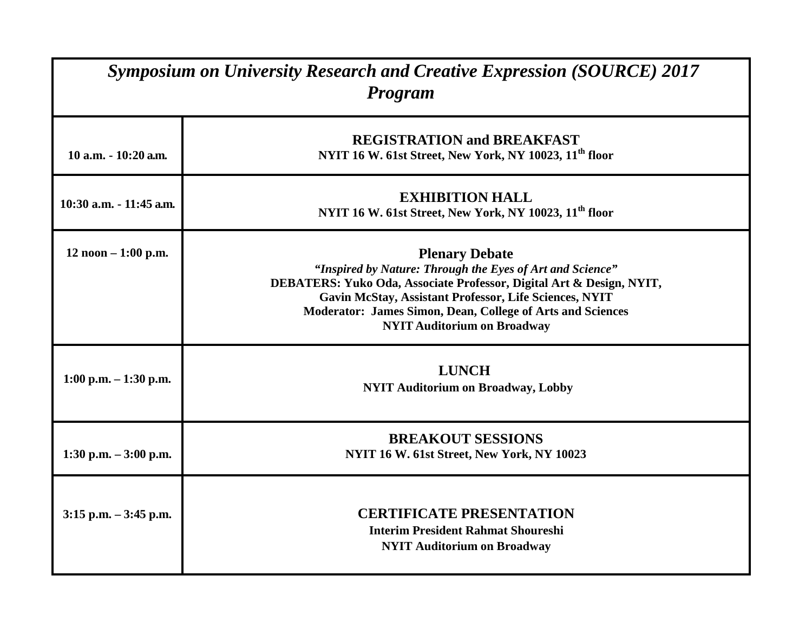| <b>Symposium on University Research and Creative Expression (SOURCE) 2017</b><br><b>Program</b> |                                                                                                                                                                                                                                                                                                                          |
|-------------------------------------------------------------------------------------------------|--------------------------------------------------------------------------------------------------------------------------------------------------------------------------------------------------------------------------------------------------------------------------------------------------------------------------|
| $10$ a.m. $-10:20$ a.m.                                                                         | <b>REGISTRATION and BREAKFAST</b><br>NYIT 16 W. 61st Street, New York, NY 10023, 11 <sup>th</sup> floor                                                                                                                                                                                                                  |
| 10:30 a.m. - 11:45 a.m.                                                                         | <b>EXHIBITION HALL</b><br>NYIT 16 W. 61st Street, New York, NY 10023, 11 <sup>th</sup> floor                                                                                                                                                                                                                             |
| $12$ noon $-1:00$ p.m.                                                                          | <b>Plenary Debate</b><br>"Inspired by Nature: Through the Eyes of Art and Science"<br>DEBATERS: Yuko Oda, Associate Professor, Digital Art & Design, NYIT,<br>Gavin McStay, Assistant Professor, Life Sciences, NYIT<br>Moderator: James Simon, Dean, College of Arts and Sciences<br><b>NYIT Auditorium on Broadway</b> |
| $1:00$ p.m. $-1:30$ p.m.                                                                        | <b>LUNCH</b><br><b>NYIT Auditorium on Broadway, Lobby</b>                                                                                                                                                                                                                                                                |
| 1:30 p.m. $-3:00$ p.m.                                                                          | <b>BREAKOUT SESSIONS</b><br>NYIT 16 W. 61st Street, New York, NY 10023                                                                                                                                                                                                                                                   |
| $3:15$ p.m. $-3:45$ p.m.                                                                        | <b>CERTIFICATE PRESENTATION</b><br><b>Interim President Rahmat Shoureshi</b><br><b>NYIT Auditorium on Broadway</b>                                                                                                                                                                                                       |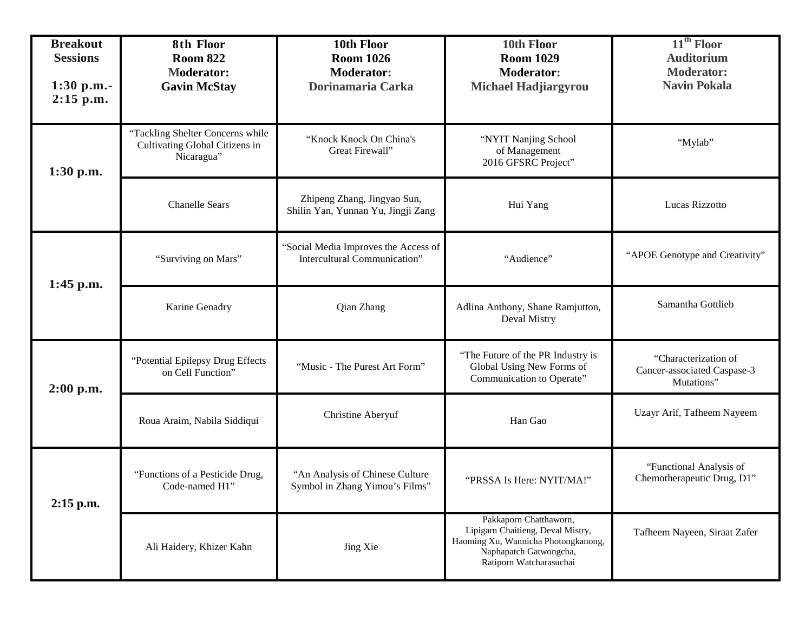| <b>Breakout</b><br><b>Sessions</b><br>$1:30$ p.m.-<br>$2:15$ p.m. | 8th Floor<br><b>Room 822</b><br><b>Moderator:</b><br><b>Gavin McStay</b>         | 10th Floor<br><b>Room 1026</b><br><b>Moderator:</b><br>Dorinamaria Carka | 10th Floor<br><b>Room 1029</b><br><b>Moderator:</b><br><b>Michael Hadjiargyrou</b>                                                                      | 11 <sup>th</sup> Floor<br><b>Auditorium</b><br><b>Moderator:</b><br><b>Navin Pokala</b> |
|-------------------------------------------------------------------|----------------------------------------------------------------------------------|--------------------------------------------------------------------------|---------------------------------------------------------------------------------------------------------------------------------------------------------|-----------------------------------------------------------------------------------------|
| 1:30 p.m.                                                         | "Tackling Shelter Concerns while<br>Cultivating Global Citizens in<br>Nicaragua" | "Knock Knock On China's<br>Great Firewall"                               | "NYIT Nanjing School<br>of Management<br>2016 GFSRC Project"                                                                                            | "Mylab"                                                                                 |
|                                                                   | <b>Chanelle Sears</b>                                                            | Zhipeng Zhang, Jingyao Sun,<br>Shilin Yan, Yunnan Yu, Jingji Zang        | Hui Yang                                                                                                                                                | Lucas Rizzotto                                                                          |
| 1:45 p.m.                                                         | "Surviving on Mars"                                                              | 'Social Media Improves the Access of<br>Intercultural Communication"     | "Audience"                                                                                                                                              | "APOE Genotype and Creativity"                                                          |
|                                                                   | Karine Genadry                                                                   | Qian Zhang                                                               | Adlina Anthony, Shane Ramjutton,<br>Deval Mistry                                                                                                        | Samantha Gottlieb                                                                       |
| $2:00$ p.m.                                                       | "Potential Epilepsy Drug Effects<br>on Cell Function"                            | "Music - The Purest Art Form"                                            | "The Future of the PR Industry is<br>Global Using New Forms of<br>Communication to Operate"                                                             | "Characterization of<br>Cancer-associated Caspase-3<br>Mutations"                       |
|                                                                   | Roua Araim, Nabila Siddiqui                                                      | Christine Aberyuf                                                        | Han Gao                                                                                                                                                 | Uzayr Arif, Tafheem Nayeem                                                              |
| 2:15 p.m.                                                         | "Functions of a Pesticide Drug,<br>Code-named H1"                                | "An Analysis of Chinese Culture<br>Symbol in Zhang Yimou's Films"        | "PRSSA Is Here: NYIT/MA!"                                                                                                                               | "Functional Analysis of<br>Chemotherapeutic Drug, D1"                                   |
|                                                                   | Ali Haidery, Khizer Kahn                                                         | Jing Xie                                                                 | Pakkaporn Chatthaworn,<br>Lipigarn Chaitieng, Deval Mistry,<br>Haoming Xu, Wannicha Photongkanong,<br>Naphapatch Gatwongcha,<br>Ratiporn Watcharasuchai | Tafheem Nayeen, Siraat Zafer                                                            |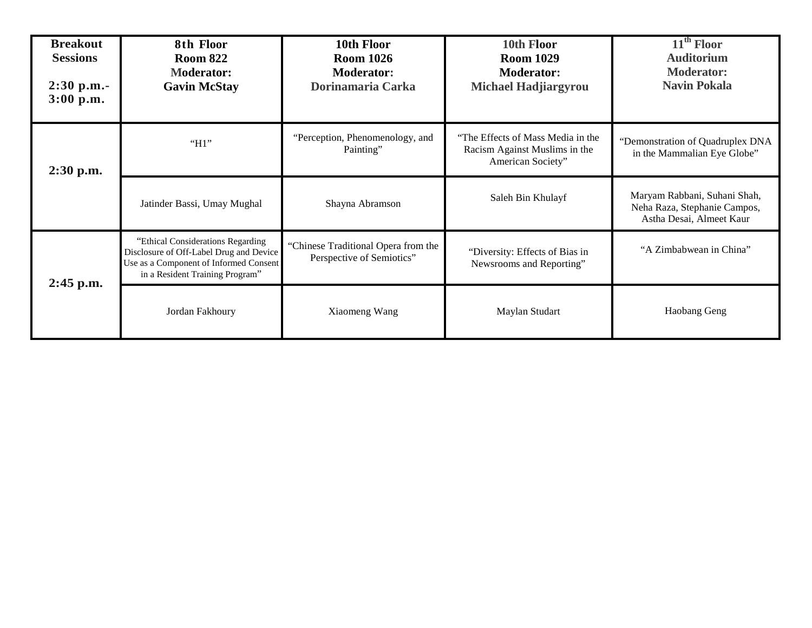| <b>Breakout</b><br><b>Sessions</b><br>$2:30$ p.m.-<br>3:00 p.m. | 8th Floor<br><b>Room 822</b><br><b>Moderator:</b><br><b>Gavin McStay</b>                                                                                  | 10th Floor<br><b>Room 1026</b><br><b>Moderator:</b><br>Dorinamaria Carka | 10th Floor<br><b>Room 1029</b><br><b>Moderator:</b><br><b>Michael Hadjiargyrou</b>      | 11 <sup>th</sup> Floor<br><b>Auditorium</b><br><b>Moderator:</b><br><b>Navin Pokala</b>  |
|-----------------------------------------------------------------|-----------------------------------------------------------------------------------------------------------------------------------------------------------|--------------------------------------------------------------------------|-----------------------------------------------------------------------------------------|------------------------------------------------------------------------------------------|
| 2:30 p.m.                                                       | "H1"                                                                                                                                                      | "Perception, Phenomenology, and<br>Painting"                             | "The Effects of Mass Media in the<br>Racism Against Muslims in the<br>American Society" | "Demonstration of Quadruplex DNA<br>in the Mammalian Eye Globe"                          |
|                                                                 | Jatinder Bassi, Umay Mughal                                                                                                                               | Shayna Abramson                                                          | Saleh Bin Khulayf                                                                       | Maryam Rabbani, Suhani Shah,<br>Neha Raza, Stephanie Campos,<br>Astha Desai, Almeet Kaur |
| $2:45$ p.m.                                                     | "Ethical Considerations Regarding<br>Disclosure of Off-Label Drug and Device<br>Use as a Component of Informed Consent<br>in a Resident Training Program" | "Chinese Traditional Opera from the<br>Perspective of Semiotics"         | "Diversity: Effects of Bias in<br>Newsrooms and Reporting"                              | "A Zimbabwean in China"                                                                  |
|                                                                 | Jordan Fakhoury                                                                                                                                           | Xiaomeng Wang                                                            | Maylan Studart                                                                          | Haobang Geng                                                                             |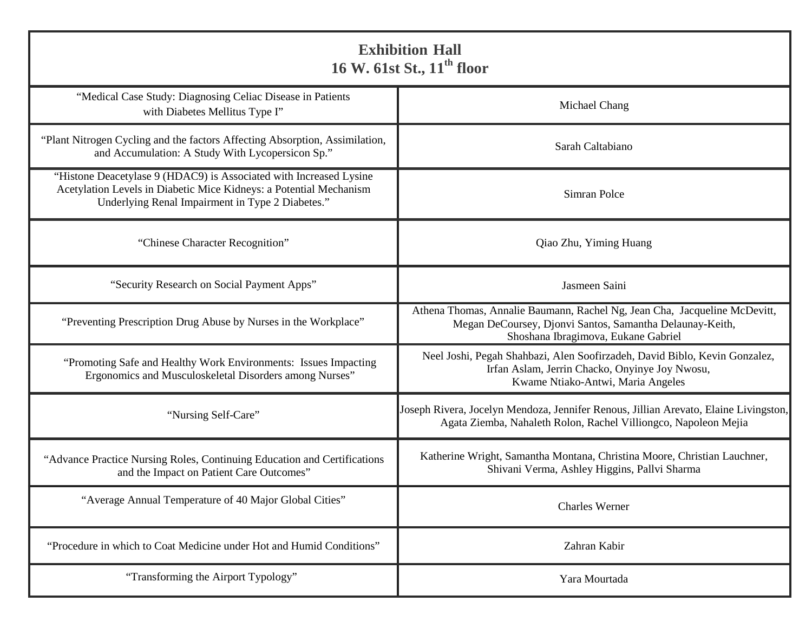| <b>Exhibition Hall</b><br>16 W. 61st St., 11 <sup>th</sup> floor                                                                                                                             |                                                                                                                                                                              |  |
|----------------------------------------------------------------------------------------------------------------------------------------------------------------------------------------------|------------------------------------------------------------------------------------------------------------------------------------------------------------------------------|--|
| "Medical Case Study: Diagnosing Celiac Disease in Patients<br>with Diabetes Mellitus Type I"                                                                                                 | Michael Chang                                                                                                                                                                |  |
| "Plant Nitrogen Cycling and the factors Affecting Absorption, Assimilation,<br>and Accumulation: A Study With Lycopersicon Sp."                                                              | Sarah Caltabiano                                                                                                                                                             |  |
| "Histone Deacetylase 9 (HDAC9) is Associated with Increased Lysine<br>Acetylation Levels in Diabetic Mice Kidneys: a Potential Mechanism<br>Underlying Renal Impairment in Type 2 Diabetes." | Simran Polce                                                                                                                                                                 |  |
| "Chinese Character Recognition"                                                                                                                                                              | Qiao Zhu, Yiming Huang                                                                                                                                                       |  |
| "Security Research on Social Payment Apps"                                                                                                                                                   | Jasmeen Saini                                                                                                                                                                |  |
| "Preventing Prescription Drug Abuse by Nurses in the Workplace"                                                                                                                              | Athena Thomas, Annalie Baumann, Rachel Ng, Jean Cha, Jacqueline McDevitt,<br>Megan DeCoursey, Djonvi Santos, Samantha Delaunay-Keith,<br>Shoshana Ibragimova, Eukane Gabriel |  |
| "Promoting Safe and Healthy Work Environments: Issues Impacting<br>Ergonomics and Musculoskeletal Disorders among Nurses"                                                                    | Neel Joshi, Pegah Shahbazi, Alen Soofirzadeh, David Biblo, Kevin Gonzalez,<br>Irfan Aslam, Jerrin Chacko, Onyinye Joy Nwosu,<br>Kwame Ntiako-Antwi, Maria Angeles            |  |
| "Nursing Self-Care"                                                                                                                                                                          | Joseph Rivera, Jocelyn Mendoza, Jennifer Renous, Jillian Arevato, Elaine Livingston,<br>Agata Ziemba, Nahaleth Rolon, Rachel Villiongco, Napoleon Mejia                      |  |
| "Advance Practice Nursing Roles, Continuing Education and Certifications<br>and the Impact on Patient Care Outcomes"                                                                         | Katherine Wright, Samantha Montana, Christina Moore, Christian Lauchner,<br>Shivani Verma, Ashley Higgins, Pallvi Sharma                                                     |  |
| "Average Annual Temperature of 40 Major Global Cities"                                                                                                                                       | <b>Charles Werner</b>                                                                                                                                                        |  |
| "Procedure in which to Coat Medicine under Hot and Humid Conditions"                                                                                                                         | Zahran Kabir                                                                                                                                                                 |  |
| "Transforming the Airport Typology"                                                                                                                                                          | Yara Mourtada                                                                                                                                                                |  |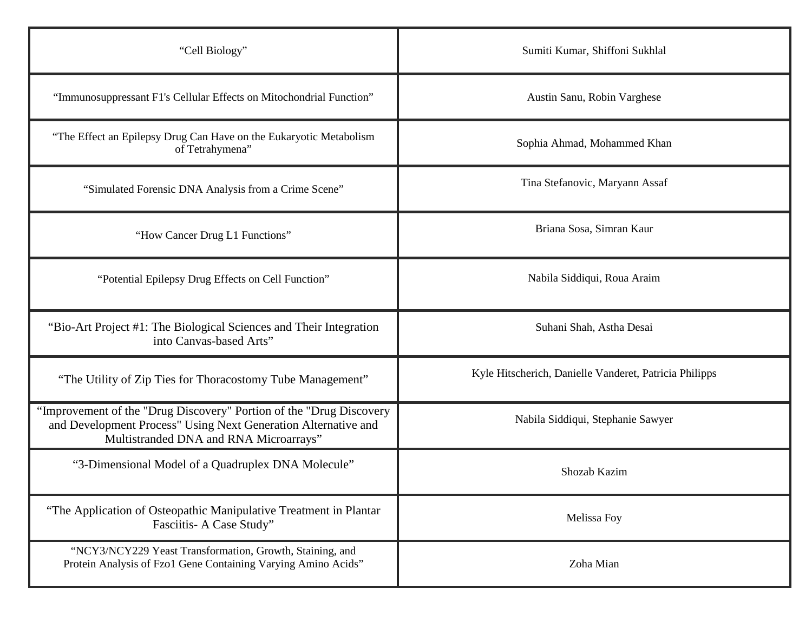| "Cell Biology"                                                                                                                                                                  | Sumiti Kumar, Shiffoni Sukhlal                         |
|---------------------------------------------------------------------------------------------------------------------------------------------------------------------------------|--------------------------------------------------------|
| "Immunosuppressant F1's Cellular Effects on Mitochondrial Function"                                                                                                             | Austin Sanu, Robin Varghese                            |
| "The Effect an Epilepsy Drug Can Have on the Eukaryotic Metabolism<br>of Tetrahymena"                                                                                           | Sophia Ahmad, Mohammed Khan                            |
| "Simulated Forensic DNA Analysis from a Crime Scene"                                                                                                                            | Tina Stefanovic, Maryann Assaf                         |
| "How Cancer Drug L1 Functions"                                                                                                                                                  | Briana Sosa, Simran Kaur                               |
| "Potential Epilepsy Drug Effects on Cell Function"                                                                                                                              | Nabila Siddiqui, Roua Araim                            |
| "Bio-Art Project #1: The Biological Sciences and Their Integration<br>into Canvas-based Arts"                                                                                   | Suhani Shah, Astha Desai                               |
| "The Utility of Zip Ties for Thoracostomy Tube Management"                                                                                                                      | Kyle Hitscherich, Danielle Vanderet, Patricia Philipps |
| "Improvement of the "Drug Discovery" Portion of the "Drug Discovery<br>and Development Process" Using Next Generation Alternative and<br>Multistranded DNA and RNA Microarrays" | Nabila Siddiqui, Stephanie Sawyer                      |
| "3-Dimensional Model of a Quadruplex DNA Molecule"                                                                                                                              | Shozab Kazim                                           |
| "The Application of Osteopathic Manipulative Treatment in Plantar<br>Fasciitis- A Case Study"                                                                                   | Melissa Foy                                            |
| "NCY3/NCY229 Yeast Transformation, Growth, Staining, and<br>Protein Analysis of Fzo1 Gene Containing Varying Amino Acids"                                                       | Zoha Mian                                              |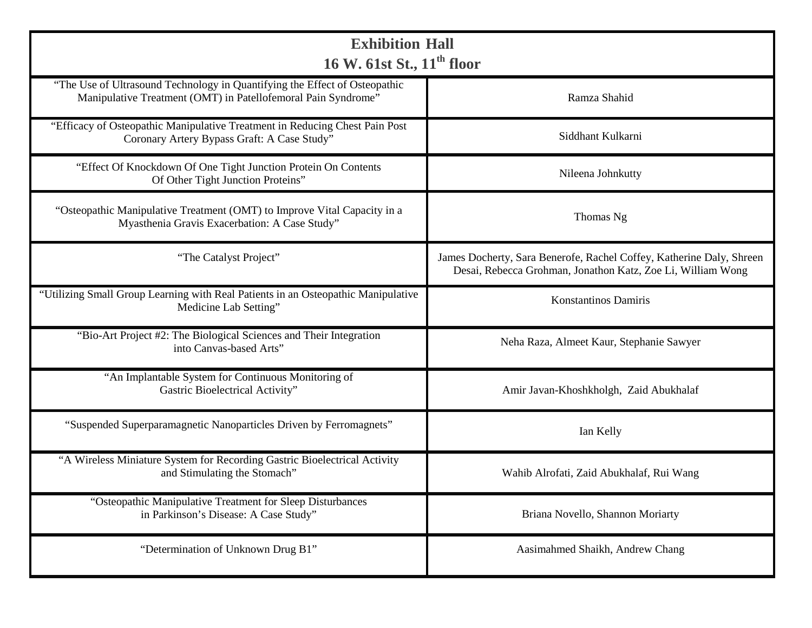| <b>Exhibition Hall</b><br>16 W. 61st St., 11 <sup>th</sup> floor                                                                            |                                                                                                                                     |  |
|---------------------------------------------------------------------------------------------------------------------------------------------|-------------------------------------------------------------------------------------------------------------------------------------|--|
| "The Use of Ultrasound Technology in Quantifying the Effect of Osteopathic<br>Manipulative Treatment (OMT) in Patellofemoral Pain Syndrome" | Ramza Shahid                                                                                                                        |  |
| "Efficacy of Osteopathic Manipulative Treatment in Reducing Chest Pain Post<br>Coronary Artery Bypass Graft: A Case Study"                  | Siddhant Kulkarni                                                                                                                   |  |
| "Effect Of Knockdown Of One Tight Junction Protein On Contents<br>Of Other Tight Junction Proteins"                                         | Nileena Johnkutty                                                                                                                   |  |
| "Osteopathic Manipulative Treatment (OMT) to Improve Vital Capacity in a<br>Myasthenia Gravis Exacerbation: A Case Study"                   | Thomas Ng                                                                                                                           |  |
| "The Catalyst Project"                                                                                                                      | James Docherty, Sara Benerofe, Rachel Coffey, Katherine Daly, Shreen<br>Desai, Rebecca Grohman, Jonathon Katz, Zoe Li, William Wong |  |
| "Utilizing Small Group Learning with Real Patients in an Osteopathic Manipulative<br>Medicine Lab Setting"                                  | Konstantinos Damiris                                                                                                                |  |
| "Bio-Art Project #2: The Biological Sciences and Their Integration<br>into Canvas-based Arts"                                               | Neha Raza, Almeet Kaur, Stephanie Sawyer                                                                                            |  |
| "An Implantable System for Continuous Monitoring of<br>Gastric Bioelectrical Activity"                                                      | Amir Javan-Khoshkholgh, Zaid Abukhalaf                                                                                              |  |
| "Suspended Superparamagnetic Nanoparticles Driven by Ferromagnets"                                                                          | Ian Kelly                                                                                                                           |  |
| "A Wireless Miniature System for Recording Gastric Bioelectrical Activity<br>and Stimulating the Stomach"                                   | Wahib Alrofati, Zaid Abukhalaf, Rui Wang                                                                                            |  |
| "Osteopathic Manipulative Treatment for Sleep Disturbances<br>in Parkinson's Disease: A Case Study"                                         | Briana Novello, Shannon Moriarty                                                                                                    |  |
| "Determination of Unknown Drug B1"                                                                                                          | Aasimahmed Shaikh, Andrew Chang                                                                                                     |  |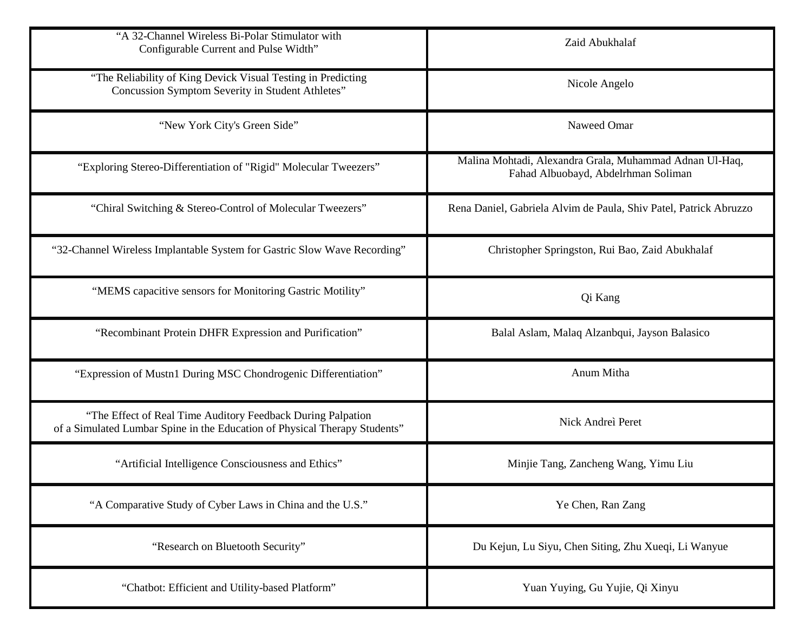| "A 32-Channel Wireless Bi-Polar Stimulator with<br>Configurable Current and Pulse Width"                                                  | Zaid Abukhalaf                                                                                 |
|-------------------------------------------------------------------------------------------------------------------------------------------|------------------------------------------------------------------------------------------------|
| "The Reliability of King Devick Visual Testing in Predicting<br>Concussion Symptom Severity in Student Athletes"                          | Nicole Angelo                                                                                  |
| "New York City's Green Side"                                                                                                              | Naweed Omar                                                                                    |
| "Exploring Stereo-Differentiation of "Rigid" Molecular Tweezers"                                                                          | Malina Mohtadi, Alexandra Grala, Muhammad Adnan Ul-Haq,<br>Fahad Albuobayd, Abdelrhman Soliman |
| "Chiral Switching & Stereo-Control of Molecular Tweezers"                                                                                 | Rena Daniel, Gabriela Alvim de Paula, Shiv Patel, Patrick Abruzzo                              |
| "32-Channel Wireless Implantable System for Gastric Slow Wave Recording"                                                                  | Christopher Springston, Rui Bao, Zaid Abukhalaf                                                |
| "MEMS capacitive sensors for Monitoring Gastric Motility"                                                                                 | Qi Kang                                                                                        |
| "Recombinant Protein DHFR Expression and Purification"                                                                                    | Balal Aslam, Malaq Alzanbqui, Jayson Balasico                                                  |
| "Expression of Mustn1 During MSC Chondrogenic Differentiation"                                                                            | Anum Mitha                                                                                     |
| "The Effect of Real Time Auditory Feedback During Palpation<br>of a Simulated Lumbar Spine in the Education of Physical Therapy Students" | Nick Andreì Peret                                                                              |
| "Artificial Intelligence Consciousness and Ethics"                                                                                        | Minjie Tang, Zancheng Wang, Yimu Liu                                                           |
| "A Comparative Study of Cyber Laws in China and the U.S."                                                                                 | Ye Chen, Ran Zang                                                                              |
| "Research on Bluetooth Security"                                                                                                          | Du Kejun, Lu Siyu, Chen Siting, Zhu Xueqi, Li Wanyue                                           |
| "Chatbot: Efficient and Utility-based Platform"                                                                                           | Yuan Yuying, Gu Yujie, Qi Xinyu                                                                |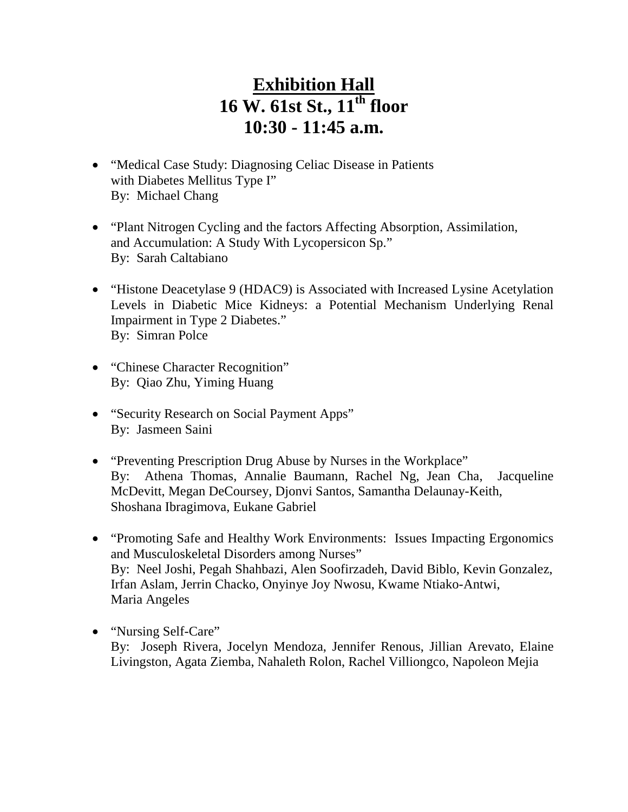- "Medical Case Study: Diagnosing Celiac Disease in Patients with Diabetes Mellitus Type I" By: Michael Chang
- "Plant Nitrogen Cycling and the factors Affecting Absorption, Assimilation, and Accumulation: A Study With Lycopersicon Sp." By: Sarah Caltabiano
- "Histone Deacetylase 9 (HDAC9) is Associated with Increased Lysine Acetylation Levels in Diabetic Mice Kidneys: a Potential Mechanism Underlying Renal Impairment in Type 2 Diabetes." By: Simran Polce
- "Chinese Character Recognition" By: Qiao Zhu, Yiming Huang
- "Security Research on Social Payment Apps" By: Jasmeen Saini
- "Preventing Prescription Drug Abuse by Nurses in the Workplace" By: Athena Thomas, Annalie Baumann, Rachel Ng, Jean Cha, Jacqueline McDevitt, Megan DeCoursey, Djonvi Santos, Samantha Delaunay-Keith, Shoshana Ibragimova, Eukane Gabriel
- "Promoting Safe and Healthy Work Environments: Issues Impacting Ergonomics and Musculoskeletal Disorders among Nurses" By: Neel Joshi, Pegah Shahbazi, Alen Soofirzadeh, David Biblo, Kevin Gonzalez, Irfan Aslam, Jerrin Chacko, Onyinye Joy Nwosu, Kwame Ntiako-Antwi, Maria Angeles
- "Nursing Self-Care" By: Joseph Rivera, Jocelyn Mendoza, Jennifer Renous, Jillian Arevato, Elaine Livingston, Agata Ziemba, Nahaleth Rolon, Rachel Villiongco, Napoleon Mejia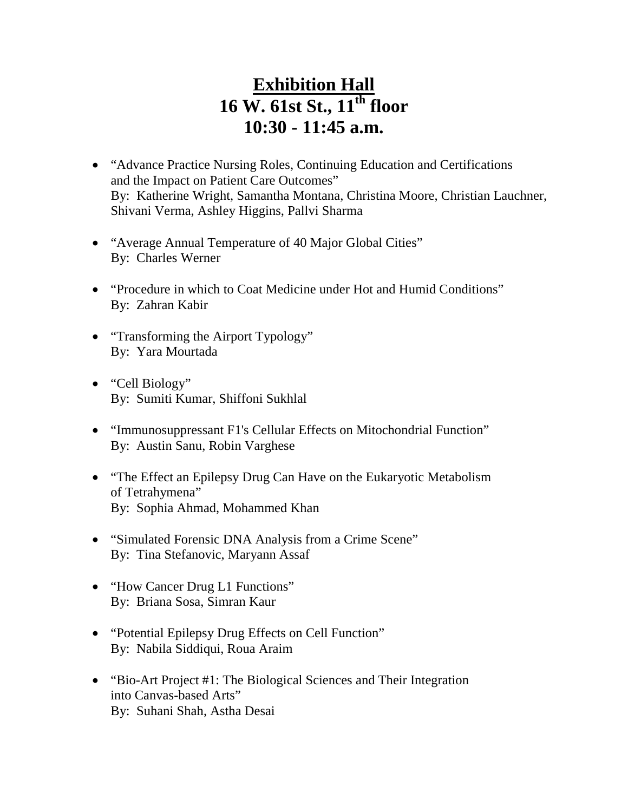- "Advance Practice Nursing Roles, Continuing Education and Certifications and the Impact on Patient Care Outcomes" By: Katherine Wright, Samantha Montana, Christina Moore, Christian Lauchner, Shivani Verma, Ashley Higgins, Pallvi Sharma
- "Average Annual Temperature of 40 Major Global Cities" By: Charles Werner
- "Procedure in which to Coat Medicine under Hot and Humid Conditions" By: Zahran Kabir
- "Transforming the Airport Typology" By: Yara Mourtada
- "Cell Biology" By: Sumiti Kumar, Shiffoni Sukhlal
- "Immunosuppressant F1's Cellular Effects on Mitochondrial Function" By: Austin Sanu, Robin Varghese
- "The Effect an Epilepsy Drug Can Have on the Eukaryotic Metabolism" of Tetrahymena" By: Sophia Ahmad, Mohammed Khan
- "Simulated Forensic DNA Analysis from a Crime Scene" By: Tina Stefanovic, Maryann Assaf
- "How Cancer Drug L1 Functions" By: Briana Sosa, Simran Kaur
- "Potential Epilepsy Drug Effects on Cell Function" By: Nabila Siddiqui, Roua Araim
- "Bio-Art Project #1: The Biological Sciences and Their Integration into Canvas-based Arts" By: Suhani Shah, Astha Desai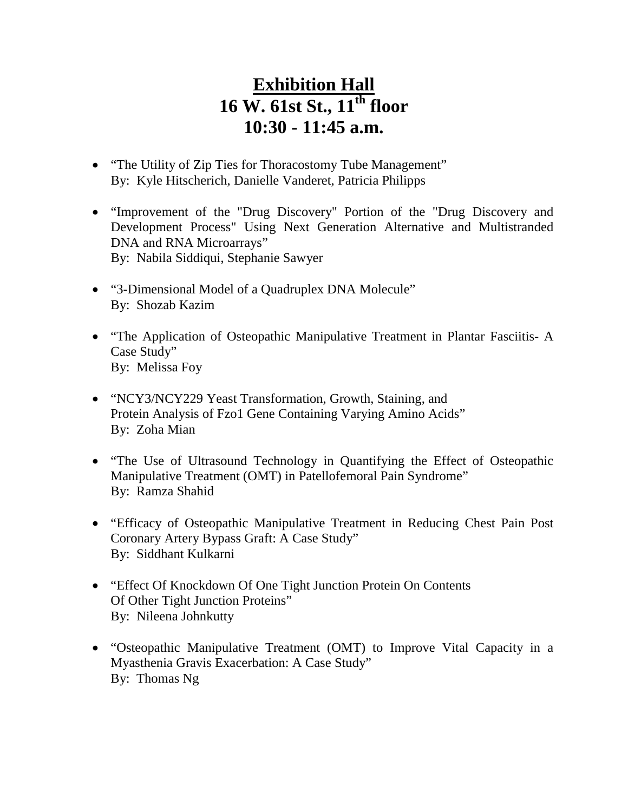- "The Utility of Zip Ties for Thoracostomy Tube Management" By: Kyle Hitscherich, Danielle Vanderet, Patricia Philipps
- "Improvement of the "Drug Discovery" Portion of the "Drug Discovery and Development Process" Using Next Generation Alternative and Multistranded DNA and RNA Microarrays" By: Nabila Siddiqui, Stephanie Sawyer
- "3-Dimensional Model of a Quadruplex DNA Molecule" By: Shozab Kazim
- "The Application of Osteopathic Manipulative Treatment in Plantar Fasciitis- A Case Study" By: Melissa Foy
- "NCY3/NCY229 Yeast Transformation, Growth, Staining, and Protein Analysis of Fzo1 Gene Containing Varying Amino Acids" By: Zoha Mian
- "The Use of Ultrasound Technology in Quantifying the Effect of Osteopathic Manipulative Treatment (OMT) in Patellofemoral Pain Syndrome" By: Ramza Shahid
- "Efficacy of Osteopathic Manipulative Treatment in Reducing Chest Pain Post Coronary Artery Bypass Graft: A Case Study" By: Siddhant Kulkarni
- "Effect Of Knockdown Of One Tight Junction Protein On Contents Of Other Tight Junction Proteins" By: Nileena Johnkutty
- "Osteopathic Manipulative Treatment (OMT) to Improve Vital Capacity in a Myasthenia Gravis Exacerbation: A Case Study" By: Thomas Ng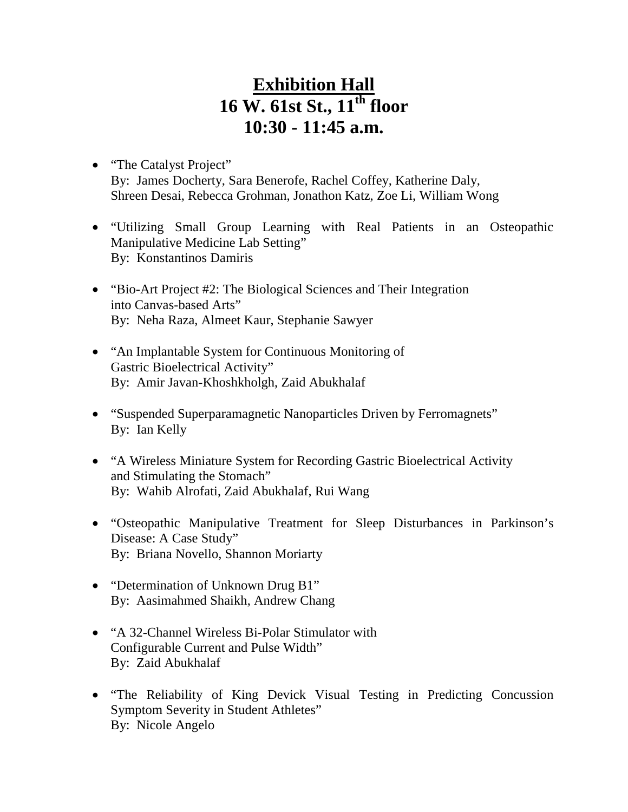- "The Catalyst Project" By: James Docherty, Sara Benerofe, Rachel Coffey, Katherine Daly, Shreen Desai, Rebecca Grohman, Jonathon Katz, Zoe Li, William Wong
- "Utilizing Small Group Learning with Real Patients in an Osteopathic Manipulative Medicine Lab Setting" By: Konstantinos Damiris
- "Bio-Art Project #2: The Biological Sciences and Their Integration into Canvas-based Arts" By: Neha Raza, Almeet Kaur, Stephanie Sawyer
- "An Implantable System for Continuous Monitoring of Gastric Bioelectrical Activity" By: Amir Javan-Khoshkholgh, Zaid Abukhalaf
- "Suspended Superparamagnetic Nanoparticles Driven by Ferromagnets" By: Ian Kelly
- "A Wireless Miniature System for Recording Gastric Bioelectrical Activity and Stimulating the Stomach" By: Wahib Alrofati, Zaid Abukhalaf, Rui Wang
- "Osteopathic Manipulative Treatment for Sleep Disturbances in Parkinson's Disease: A Case Study" By: Briana Novello, Shannon Moriarty
- "Determination of Unknown Drug B1" By: Aasimahmed Shaikh, Andrew Chang
- "A 32-Channel Wireless Bi-Polar Stimulator with Configurable Current and Pulse Width" By: Zaid Abukhalaf
- "The Reliability of King Devick Visual Testing in Predicting Concussion Symptom Severity in Student Athletes" By: Nicole Angelo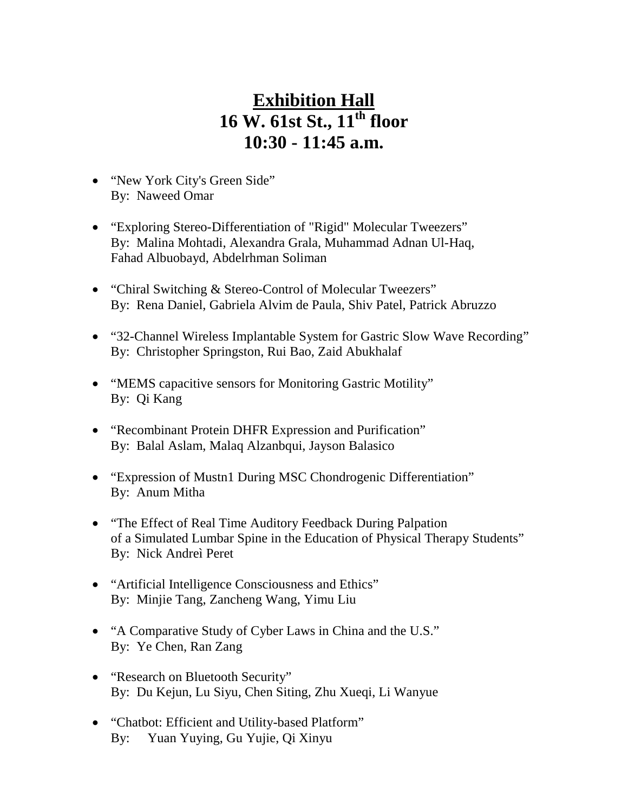- "New York City's Green Side" By: Naweed Omar
- "Exploring Stereo-Differentiation of "Rigid" Molecular Tweezers" By: Malina Mohtadi, Alexandra Grala, Muhammad Adnan Ul-Haq, Fahad Albuobayd, Abdelrhman Soliman
- "Chiral Switching & Stereo-Control of Molecular Tweezers" By: Rena Daniel, Gabriela Alvim de Paula, Shiv Patel, Patrick Abruzzo
- "32-Channel Wireless Implantable System for Gastric Slow Wave Recording" By: Christopher Springston, Rui Bao, Zaid Abukhalaf
- "MEMS capacitive sensors for Monitoring Gastric Motility" By: Qi Kang
- "Recombinant Protein DHFR Expression and Purification" By: Balal Aslam, Malaq Alzanbqui, Jayson Balasico
- "Expression of Mustn1 During MSC Chondrogenic Differentiation" By: Anum Mitha
- "The Effect of Real Time Auditory Feedback During Palpation of a Simulated Lumbar Spine in the Education of Physical Therapy Students" By: Nick Andreì Peret
- "Artificial Intelligence Consciousness and Ethics" By: Minjie Tang, Zancheng Wang, Yimu Liu
- "A Comparative Study of Cyber Laws in China and the U.S." By: Ye Chen, Ran Zang
- "Research on Bluetooth Security" By: Du Kejun, Lu Siyu, Chen Siting, Zhu Xueqi, Li Wanyue
- "Chatbot: Efficient and Utility-based Platform" By: Yuan Yuying, Gu Yujie, Qi Xinyu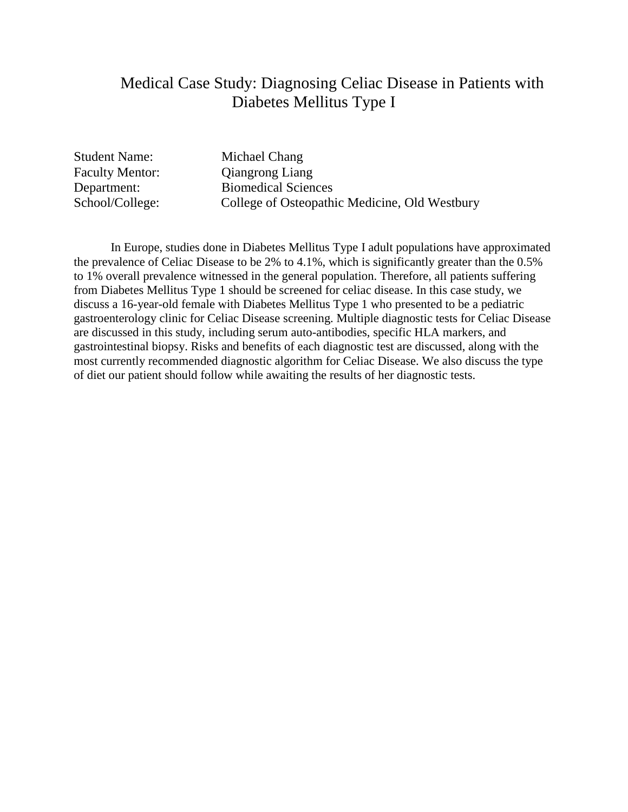## Medical Case Study: Diagnosing Celiac Disease in Patients with Diabetes Mellitus Type I

Student Name: Michael Chang

Faculty Mentor: Qiangrong Liang Department: Biomedical Sciences School/College: College of Osteopathic Medicine, Old Westbury

In Europe, studies done in Diabetes Mellitus Type I adult populations have approximated the prevalence of Celiac Disease to be 2% to 4.1%, which is significantly greater than the 0.5% to 1% overall prevalence witnessed in the general population. Therefore, all patients suffering from Diabetes Mellitus Type 1 should be screened for celiac disease. In this case study, we discuss a 16-year-old female with Diabetes Mellitus Type 1 who presented to be a pediatric gastroenterology clinic for Celiac Disease screening. Multiple diagnostic tests for Celiac Disease are discussed in this study, including serum auto-antibodies, specific HLA markers, and gastrointestinal biopsy. Risks and benefits of each diagnostic test are discussed, along with the most currently recommended diagnostic algorithm for Celiac Disease. We also discuss the type of diet our patient should follow while awaiting the results of her diagnostic tests.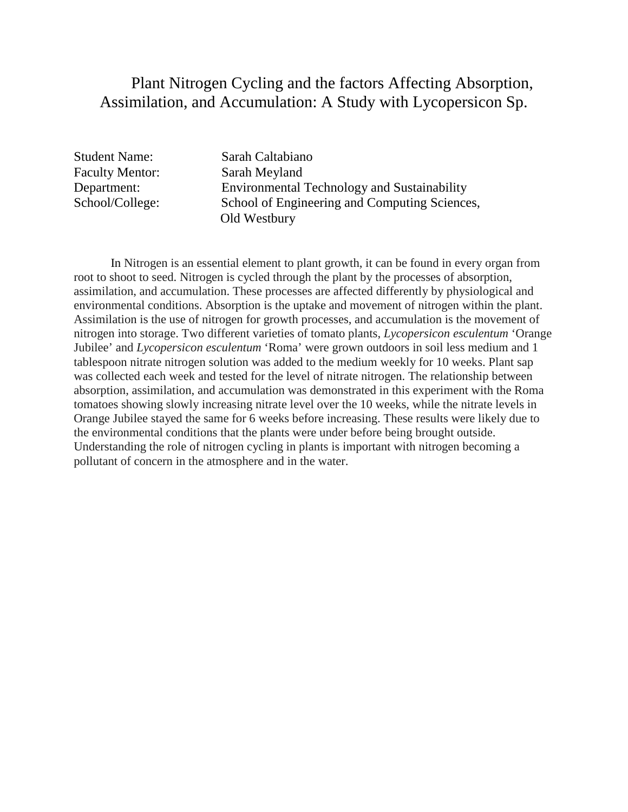## Plant Nitrogen Cycling and the factors Affecting Absorption, Assimilation, and Accumulation: A Study with Lycopersicon Sp.

Faculty Mentor: Sarah Meyland

Student Name: Sarah Caltabiano Department: Environmental Technology and Sustainability School/College: School of Engineering and Computing Sciences, Old Westbury

In Nitrogen is an essential element to plant growth, it can be found in every organ from root to shoot to seed. Nitrogen is cycled through the plant by the processes of absorption, assimilation, and accumulation. These processes are affected differently by physiological and environmental conditions. Absorption is the uptake and movement of nitrogen within the plant. Assimilation is the use of nitrogen for growth processes, and accumulation is the movement of nitrogen into storage. Two different varieties of tomato plants, *Lycopersicon esculentum* 'Orange Jubilee' and *Lycopersicon esculentum* 'Roma' were grown outdoors in soil less medium and 1 tablespoon nitrate nitrogen solution was added to the medium weekly for 10 weeks. Plant sap was collected each week and tested for the level of nitrate nitrogen. The relationship between absorption, assimilation, and accumulation was demonstrated in this experiment with the Roma tomatoes showing slowly increasing nitrate level over the 10 weeks, while the nitrate levels in Orange Jubilee stayed the same for 6 weeks before increasing. These results were likely due to the environmental conditions that the plants were under before being brought outside. Understanding the role of nitrogen cycling in plants is important with nitrogen becoming a pollutant of concern in the atmosphere and in the water.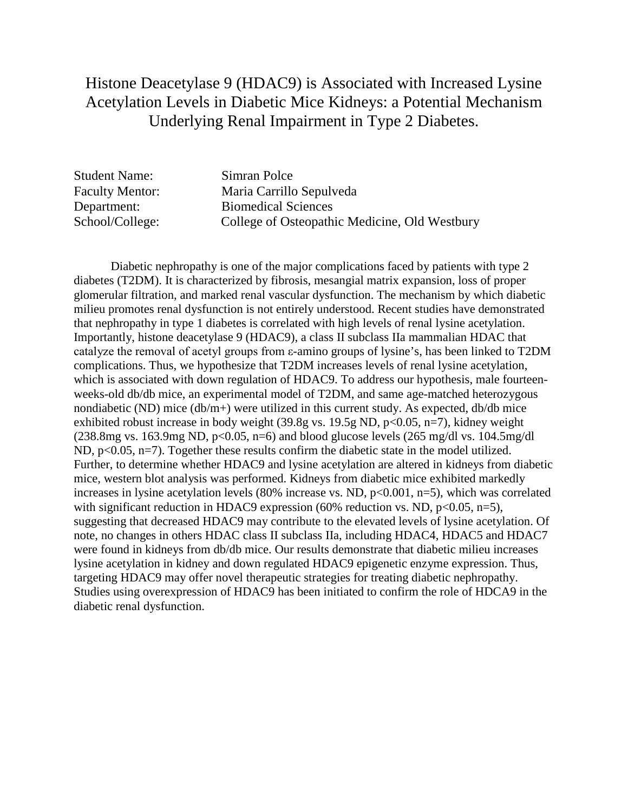## Histone Deacetylase 9 (HDAC9) is Associated with Increased Lysine Acetylation Levels in Diabetic Mice Kidneys: a Potential Mechanism Underlying Renal Impairment in Type 2 Diabetes.

Student Name: Simran Polce

Faculty Mentor: Maria Carrillo Sepulveda Department: Biomedical Sciences School/College: College of Osteopathic Medicine, Old Westbury

Diabetic nephropathy is one of the major complications faced by patients with type 2 diabetes (T2DM). It is characterized by fibrosis, mesangial matrix expansion, loss of proper glomerular filtration, and marked renal vascular dysfunction. The mechanism by which diabetic milieu promotes renal dysfunction is not entirely understood. Recent studies have demonstrated that nephropathy in type 1 diabetes is correlated with high levels of renal lysine acetylation. Importantly, histone deacetylase 9 (HDAC9), a class II subclass IIa mammalian HDAC that catalyze the removal of acetyl groups from ε-amino groups of lysine's, has been linked to T2DM complications. Thus, we hypothesize that T2DM increases levels of renal lysine acetylation, which is associated with down regulation of HDAC9. To address our hypothesis, male fourteenweeks-old db/db mice, an experimental model of T2DM, and same age-matched heterozygous nondiabetic (ND) mice  $(db/m+)$  were utilized in this current study. As expected,  $db/db$  mice exhibited robust increase in body weight  $(39.8g \text{ vs. } 19.5g \text{ ND}, p<0.05, n=7)$ , kidney weight  $(238.8mg \text{ vs. } 163.9mg \text{ ND}, p<0.05, n=6)$  and blood glucose levels  $(265 mg/dl \text{ vs. } 104.5mg/dl)$ ND, p<0.05, n=7). Together these results confirm the diabetic state in the model utilized. Further, to determine whether HDAC9 and lysine acetylation are altered in kidneys from diabetic mice, western blot analysis was performed. Kidneys from diabetic mice exhibited markedly increases in lysine acetylation levels (80% increase vs. ND,  $p<0.001$ ,  $n=5$ ), which was correlated with significant reduction in HDAC9 expression (60% reduction vs. ND,  $p<0.05$ ,  $n=5$ ), suggesting that decreased HDAC9 may contribute to the elevated levels of lysine acetylation. Of note, no changes in others HDAC class II subclass IIa, including HDAC4, HDAC5 and HDAC7 were found in kidneys from db/db mice. Our results demonstrate that diabetic milieu increases lysine acetylation in kidney and down regulated HDAC9 epigenetic enzyme expression. Thus, targeting HDAC9 may offer novel therapeutic strategies for treating diabetic nephropathy. Studies using overexpression of HDAC9 has been initiated to confirm the role of HDCA9 in the diabetic renal dysfunction.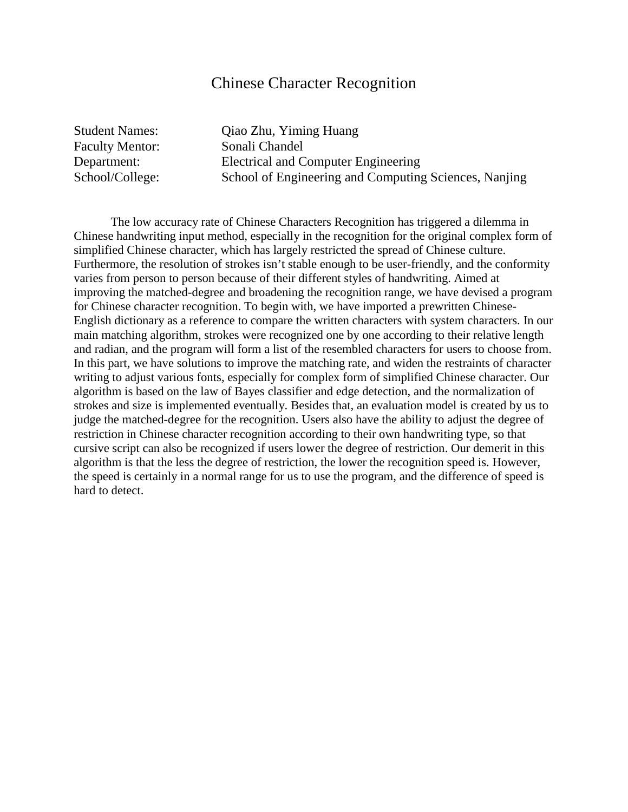#### Chinese Character Recognition

Faculty Mentor: Sonali Chandel

Student Names: Qiao Zhu, Yiming Huang Department: Electrical and Computer Engineering School/College: School of Engineering and Computing Sciences, Nanjing

The low accuracy rate of Chinese Characters Recognition has triggered a dilemma in Chinese handwriting input method, especially in the recognition for the original complex form of simplified Chinese character, which has largely restricted the spread of Chinese culture. Furthermore, the resolution of strokes isn't stable enough to be user-friendly, and the conformity varies from person to person because of their different styles of handwriting. Aimed at improving the matched-degree and broadening the recognition range, we have devised a program for Chinese character recognition. To begin with, we have imported a prewritten Chinese-English dictionary as a reference to compare the written characters with system characters. In our main matching algorithm, strokes were recognized one by one according to their relative length and radian, and the program will form a list of the resembled characters for users to choose from. In this part, we have solutions to improve the matching rate, and widen the restraints of character writing to adjust various fonts, especially for complex form of simplified Chinese character. Our algorithm is based on the law of Bayes classifier and edge detection, and the normalization of strokes and size is implemented eventually. Besides that, an evaluation model is created by us to judge the matched-degree for the recognition. Users also have the ability to adjust the degree of restriction in Chinese character recognition according to their own handwriting type, so that cursive script can also be recognized if users lower the degree of restriction. Our demerit in this algorithm is that the less the degree of restriction, the lower the recognition speed is. However, the speed is certainly in a normal range for us to use the program, and the difference of speed is hard to detect.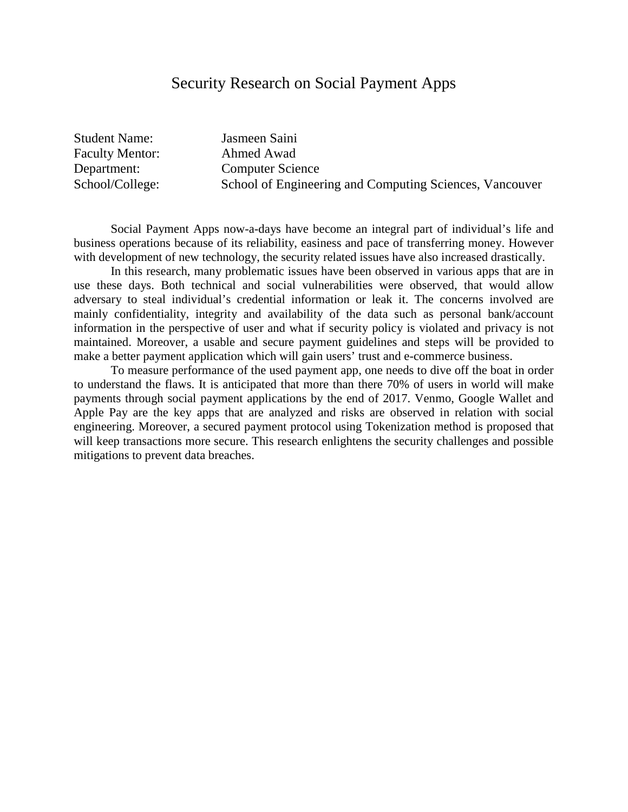# Security Research on Social Payment Apps

Student Name: Jasmeen Saini Faculty Mentor: Ahmed Awad

Department: Computer Science School/College: School of Engineering and Computing Sciences, Vancouver

Social Payment Apps now-a-days have become an integral part of individual's life and business operations because of its reliability, easiness and pace of transferring money. However with development of new technology, the security related issues have also increased drastically.

In this research, many problematic issues have been observed in various apps that are in use these days. Both technical and social vulnerabilities were observed, that would allow adversary to steal individual's credential information or leak it. The concerns involved are mainly confidentiality, integrity and availability of the data such as personal bank/account information in the perspective of user and what if security policy is violated and privacy is not maintained. Moreover, a usable and secure payment guidelines and steps will be provided to make a better payment application which will gain users' trust and e-commerce business.

To measure performance of the used payment app, one needs to dive off the boat in order to understand the flaws. It is anticipated that more than there 70% of users in world will make payments through social payment applications by the end of 2017. Venmo, Google Wallet and Apple Pay are the key apps that are analyzed and risks are observed in relation with social engineering. Moreover, a secured payment protocol using Tokenization method is proposed that will keep transactions more secure. This research enlightens the security challenges and possible mitigations to prevent data breaches.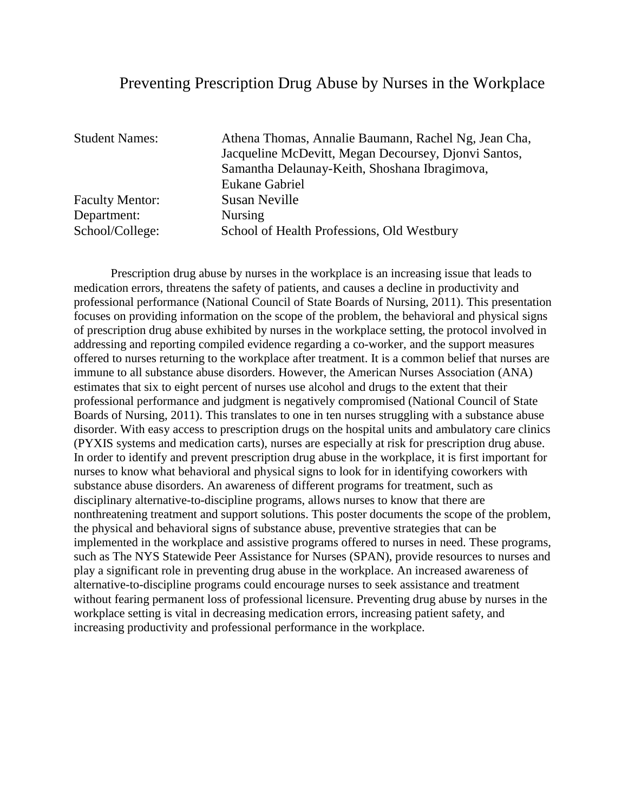#### Preventing Prescription Drug Abuse by Nurses in the Workplace

| <b>Student Names:</b>  | Athena Thomas, Annalie Baumann, Rachel Ng, Jean Cha, |
|------------------------|------------------------------------------------------|
|                        | Jacqueline McDevitt, Megan Decoursey, Djonvi Santos, |
|                        | Samantha Delaunay-Keith, Shoshana Ibragimova,        |
|                        | Eukane Gabriel                                       |
| <b>Faculty Mentor:</b> | Susan Neville                                        |
| Department:            | <b>Nursing</b>                                       |
| School/College:        | School of Health Professions, Old Westbury           |

Prescription drug abuse by nurses in the workplace is an increasing issue that leads to medication errors, threatens the safety of patients, and causes a decline in productivity and professional performance (National Council of State Boards of Nursing, 2011). This presentation focuses on providing information on the scope of the problem, the behavioral and physical signs of prescription drug abuse exhibited by nurses in the workplace setting, the protocol involved in addressing and reporting compiled evidence regarding a co-worker, and the support measures offered to nurses returning to the workplace after treatment. It is a common belief that nurses are immune to all substance abuse disorders. However, the American Nurses Association (ANA) estimates that six to eight percent of nurses use alcohol and drugs to the extent that their professional performance and judgment is negatively compromised (National Council of State Boards of Nursing, 2011). This translates to one in ten nurses struggling with a substance abuse disorder. With easy access to prescription drugs on the hospital units and ambulatory care clinics (PYXIS systems and medication carts), nurses are especially at risk for prescription drug abuse. In order to identify and prevent prescription drug abuse in the workplace, it is first important for nurses to know what behavioral and physical signs to look for in identifying coworkers with substance abuse disorders. An awareness of different programs for treatment, such as disciplinary alternative-to-discipline programs, allows nurses to know that there are nonthreatening treatment and support solutions. This poster documents the scope of the problem, the physical and behavioral signs of substance abuse, preventive strategies that can be implemented in the workplace and assistive programs offered to nurses in need. These programs, such as The NYS Statewide Peer Assistance for Nurses (SPAN), provide resources to nurses and play a significant role in preventing drug abuse in the workplace. An increased awareness of alternative-to-discipline programs could encourage nurses to seek assistance and treatment without fearing permanent loss of professional licensure. Preventing drug abuse by nurses in the workplace setting is vital in decreasing medication errors, increasing patient safety, and increasing productivity and professional performance in the workplace.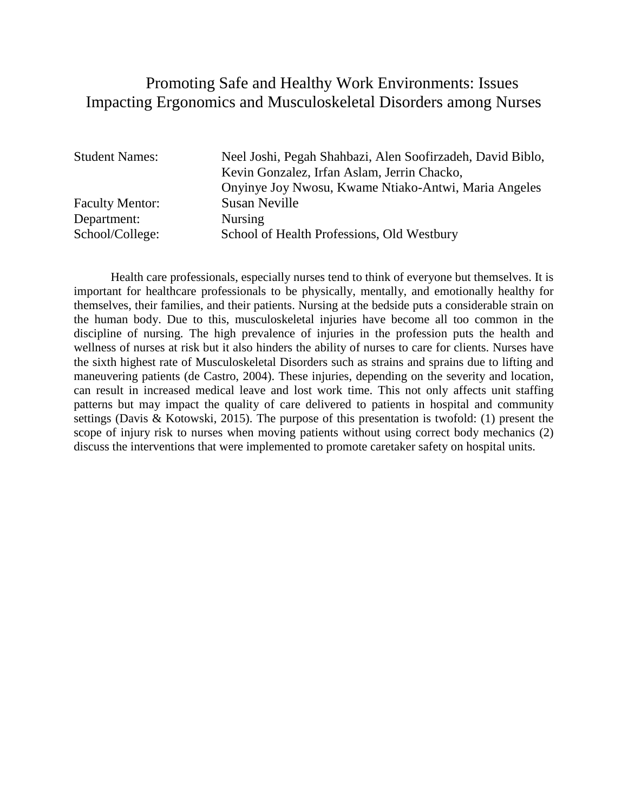### Promoting Safe and Healthy Work Environments: Issues Impacting Ergonomics and Musculoskeletal Disorders among Nurses

| <b>Student Names:</b>  | Neel Joshi, Pegah Shahbazi, Alen Soofirzadeh, David Biblo,<br>Kevin Gonzalez, Irfan Aslam, Jerrin Chacko, |
|------------------------|-----------------------------------------------------------------------------------------------------------|
|                        | Onyinye Joy Nwosu, Kwame Ntiako-Antwi, Maria Angeles                                                      |
| <b>Faculty Mentor:</b> | <b>Susan Neville</b>                                                                                      |
| Department:            | <b>Nursing</b>                                                                                            |
| School/College:        | School of Health Professions, Old Westbury                                                                |

Health care professionals, especially nurses tend to think of everyone but themselves. It is important for healthcare professionals to be physically, mentally, and emotionally healthy for themselves, their families, and their patients. Nursing at the bedside puts a considerable strain on the human body. Due to this, musculoskeletal injuries have become all too common in the discipline of nursing. The high prevalence of injuries in the profession puts the health and wellness of nurses at risk but it also hinders the ability of nurses to care for clients. Nurses have the sixth highest rate of Musculoskeletal Disorders such as strains and sprains due to lifting and maneuvering patients (de Castro, 2004). These injuries, depending on the severity and location, can result in increased medical leave and lost work time. This not only affects unit staffing patterns but may impact the quality of care delivered to patients in hospital and community settings (Davis & Kotowski, 2015). The purpose of this presentation is twofold: (1) present the scope of injury risk to nurses when moving patients without using correct body mechanics (2) discuss the interventions that were implemented to promote caretaker safety on hospital units.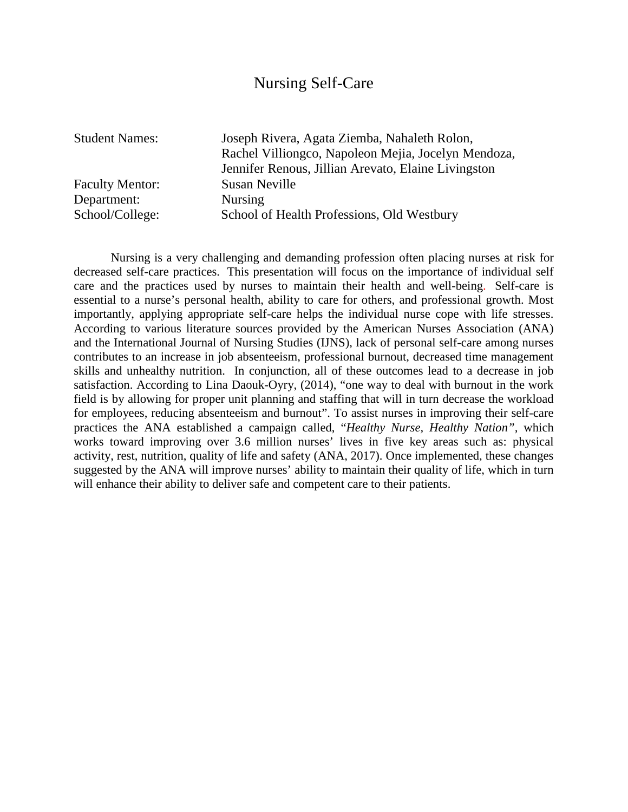# Nursing Self-Care

Faculty Mentor: Susan Neville Department: Nursing

Student Names: Joseph Rivera, Agata Ziemba, Nahaleth Rolon, Rachel Villiongco, Napoleon Mejia, Jocelyn Mendoza, Jennifer Renous, Jillian Arevato, Elaine Livingston School/College: School of Health Professions, Old Westbury

Nursing is a very challenging and demanding profession often placing nurses at risk for decreased self-care practices. This presentation will focus on the importance of individual self care and the practices used by nurses to maintain their health and well-being. Self-care is essential to a nurse's personal health, ability to care for others, and professional growth. Most importantly, applying appropriate self-care helps the individual nurse cope with life stresses. According to various literature sources provided by the American Nurses Association (ANA) and the International Journal of Nursing Studies (IJNS), lack of personal self-care among nurses contributes to an increase in job absenteeism, professional burnout, decreased time management skills and unhealthy nutrition. In conjunction, all of these outcomes lead to a decrease in job satisfaction. According to Lina Daouk-Oyry, (2014), "one way to deal with burnout in the work field is by allowing for proper unit planning and staffing that will in turn decrease the workload for employees, reducing absenteeism and burnout". To assist nurses in improving their self-care practices the ANA established a campaign called, "*Healthy Nurse, Healthy Nation",* which works toward improving over 3.6 million nurses' lives in five key areas such as: physical activity, rest, nutrition, quality of life and safety (ANA, 2017). Once implemented, these changes suggested by the ANA will improve nurses' ability to maintain their quality of life, which in turn will enhance their ability to deliver safe and competent care to their patients.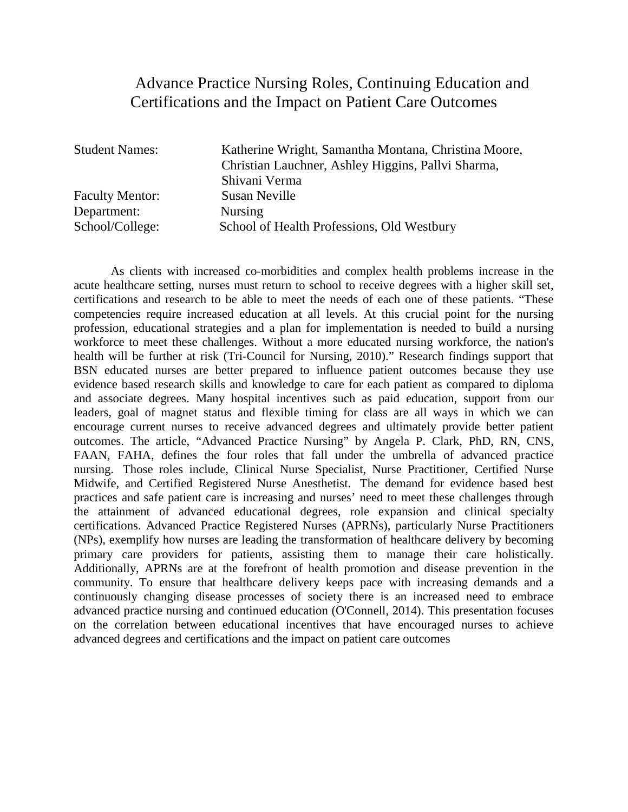## Advance Practice Nursing Roles, Continuing Education and Certifications and the Impact on Patient Care Outcomes

| <b>Student Names:</b>  | Katherine Wright, Samantha Montana, Christina Moore, |
|------------------------|------------------------------------------------------|
|                        | Christian Lauchner, Ashley Higgins, Pallvi Sharma,   |
|                        | Shivani Verma                                        |
| <b>Faculty Mentor:</b> | Susan Neville                                        |
| Department:            | <b>Nursing</b>                                       |
| School/College:        | School of Health Professions, Old Westbury           |

As clients with increased co-morbidities and complex health problems increase in the acute healthcare setting, nurses must return to school to receive degrees with a higher skill set, certifications and research to be able to meet the needs of each one of these patients. "These competencies require increased education at all levels. At this crucial point for the nursing profession, educational strategies and a plan for implementation is needed to build a nursing workforce to meet these challenges. Without a more educated nursing workforce, the nation's health will be further at risk (Tri-Council for Nursing, 2010)." Research findings support that BSN educated nurses are better prepared to influence patient outcomes because they use evidence based research skills and knowledge to care for each patient as compared to diploma and associate degrees. Many hospital incentives such as paid education, support from our leaders, goal of magnet status and flexible timing for class are all ways in which we can encourage current nurses to receive advanced degrees and ultimately provide better patient outcomes. The article, "Advanced Practice Nursing" by Angela P. Clark, PhD, RN, CNS, FAAN, FAHA, defines the four roles that fall under the umbrella of advanced practice nursing. Those roles include, Clinical Nurse Specialist, Nurse Practitioner, Certified Nurse Midwife, and Certified Registered Nurse Anesthetist. The demand for evidence based best practices and safe patient care is increasing and nurses' need to meet these challenges through the attainment of advanced educational degrees, role expansion and clinical specialty certifications. Advanced Practice Registered Nurses (APRNs), particularly Nurse Practitioners (NPs), exemplify how nurses are leading the transformation of healthcare delivery by becoming primary care providers for patients, assisting them to manage their care holistically. Additionally, APRNs are at the forefront of health promotion and disease prevention in the community. To ensure that healthcare delivery keeps pace with increasing demands and a continuously changing disease processes of society there is an increased need to embrace advanced practice nursing and continued education (O'Connell, 2014). This presentation focuses on the correlation between educational incentives that have encouraged nurses to achieve advanced degrees and certifications and the impact on patient care outcomes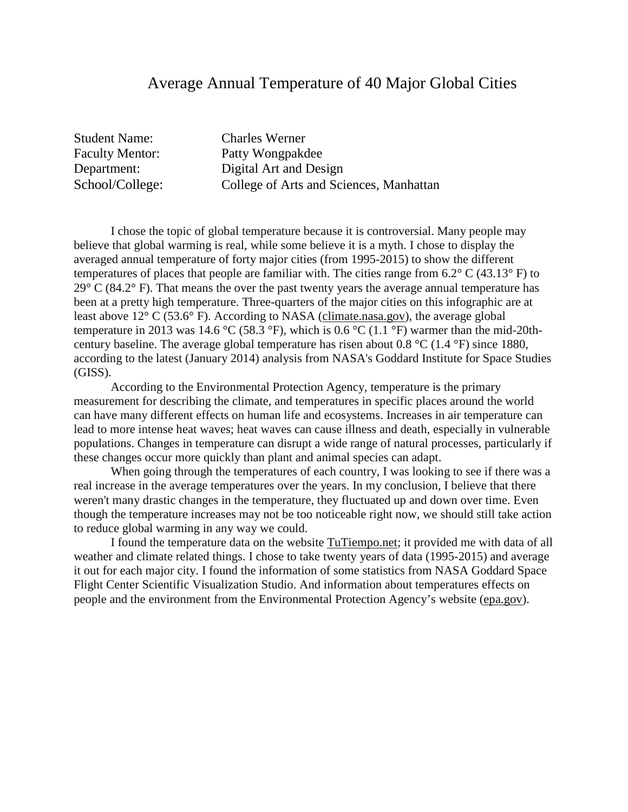#### Average Annual Temperature of 40 Major Global Cities

Student Name: Charles Werner

Faculty Mentor: Patty Wongpakdee Department: Digital Art and Design School/College: College of Arts and Sciences, Manhattan

I chose the topic of global temperature because it is controversial. Many people may believe that global warming is real, while some believe it is a myth. I chose to display the averaged annual temperature of forty major cities (from 1995-2015) to show the different temperatures of places that people are familiar with. The cities range from 6.2° C (43.13° F) to  $29^{\circ}$  C (84.2 $^{\circ}$  F). That means the over the past twenty years the average annual temperature has been at a pretty high temperature. Three-quarters of the major cities on this infographic are at least above 12° C (53.6° F). According to NASA [\(climate.nasa.gov\)](http://climate.nasa.gov/), the average global temperature in 2013 was 14.6 °C (58.3 °F), which is 0.6 °C (1.1 °F) warmer than the mid-20thcentury baseline. The average global temperature has risen about 0.8 °C (1.4 °F) since 1880, according to the latest (January 2014) analysis from NASA's Goddard Institute for Space Studies (GISS).

According to the Environmental Protection Agency, temperature is the primary measurement for describing the climate, and temperatures in specific places around the world can have many different effects on human life and ecosystems. Increases in air temperature can lead to more intense heat waves; heat waves can cause illness and death, especially in vulnerable populations. Changes in temperature can disrupt a wide range of natural processes, particularly if these changes occur more quickly than plant and animal species can adapt.

When going through the temperatures of each country, I was looking to see if there was a real increase in the average temperatures over the years. In my conclusion, I believe that there weren't many drastic changes in the temperature, they fluctuated up and down over time. Even though the temperature increases may not be too noticeable right now, we should still take action to reduce global warming in any way we could.

I found the temperature data on the website [TuTiempo.net;](http://tutiempo.net/) it provided me with data of all weather and climate related things. I chose to take twenty years of data (1995-2015) and average it out for each major city. I found the information of some statistics from NASA Goddard Space Flight Center Scientific Visualization Studio. And information about temperatures effects on people and the environment from the Environmental Protection Agency's website [\(epa.gov\)](http://epa.gov/).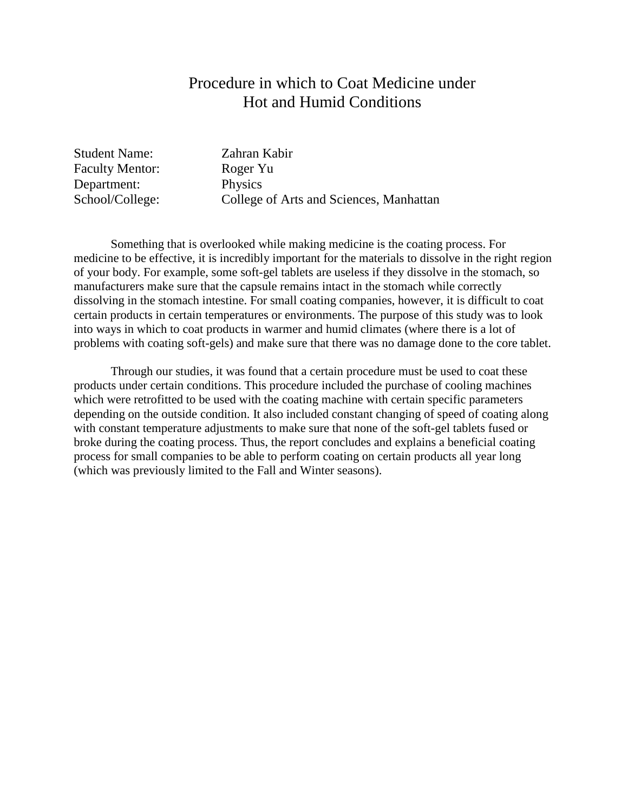### Procedure in which to Coat Medicine under Hot and Humid Conditions

Student Name: Zahran Kabir Faculty Mentor: Roger Yu Department: Physics

School/College: College of Arts and Sciences, Manhattan

Something that is overlooked while making medicine is the coating process. For medicine to be effective, it is incredibly important for the materials to dissolve in the right region of your body. For example, some soft-gel tablets are useless if they dissolve in the stomach, so manufacturers make sure that the capsule remains intact in the stomach while correctly dissolving in the stomach intestine. For small coating companies, however, it is difficult to coat certain products in certain temperatures or environments. The purpose of this study was to look into ways in which to coat products in warmer and humid climates (where there is a lot of problems with coating soft-gels) and make sure that there was no damage done to the core tablet.

Through our studies, it was found that a certain procedure must be used to coat these products under certain conditions. This procedure included the purchase of cooling machines which were retrofitted to be used with the coating machine with certain specific parameters depending on the outside condition. It also included constant changing of speed of coating along with constant temperature adjustments to make sure that none of the soft-gel tablets fused or broke during the coating process. Thus, the report concludes and explains a beneficial coating process for small companies to be able to perform coating on certain products all year long (which was previously limited to the Fall and Winter seasons).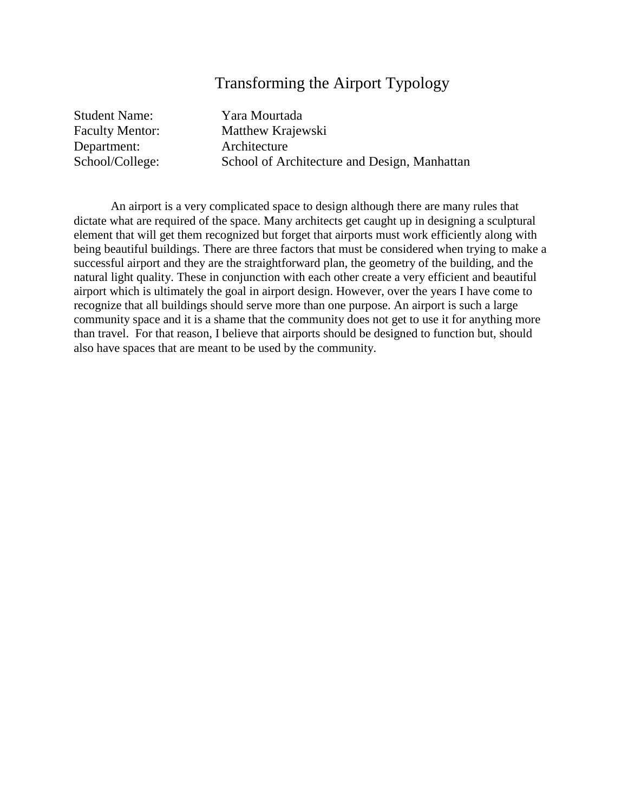## Transforming the Airport Typology

| <b>Student Name:</b>   | Yara Mourtada                                |
|------------------------|----------------------------------------------|
| <b>Faculty Mentor:</b> | Matthew Krajewski                            |
| Department:            | Architecture                                 |
| School/College:        | School of Architecture and Design, Manhattan |

An airport is a very complicated space to design although there are many rules that dictate what are required of the space. Many architects get caught up in designing a sculptural element that will get them recognized but forget that airports must work efficiently along with being beautiful buildings. There are three factors that must be considered when trying to make a successful airport and they are the straightforward plan, the geometry of the building, and the natural light quality. These in conjunction with each other create a very efficient and beautiful airport which is ultimately the goal in airport design. However, over the years I have come to recognize that all buildings should serve more than one purpose. An airport is such a large community space and it is a shame that the community does not get to use it for anything more than travel. For that reason, I believe that airports should be designed to function but, should also have spaces that are meant to be used by the community.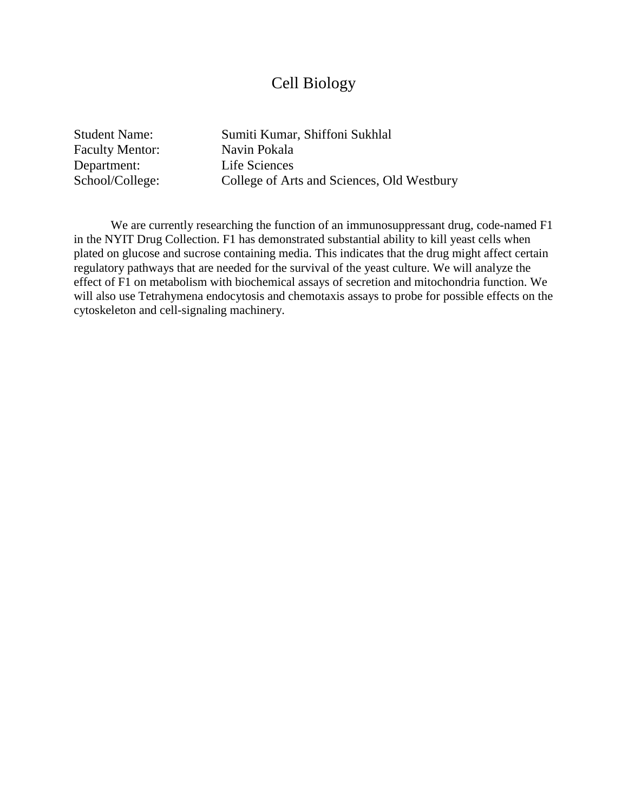### Cell Biology

Faculty Mentor: Navin Pokala Department: Life Sciences

Student Name: Sumiti Kumar, Shiffoni Sukhlal School/College: College of Arts and Sciences, Old Westbury

We are currently researching the function of an immunosuppressant drug, code-named F1 in the NYIT Drug Collection. F1 has demonstrated substantial ability to kill yeast cells when plated on glucose and sucrose containing media. This indicates that the drug might affect certain regulatory pathways that are needed for the survival of the yeast culture. We will analyze the effect of F1 on metabolism with biochemical assays of secretion and mitochondria function. We will also use Tetrahymena endocytosis and chemotaxis assays to probe for possible effects on the cytoskeleton and cell-signaling machinery.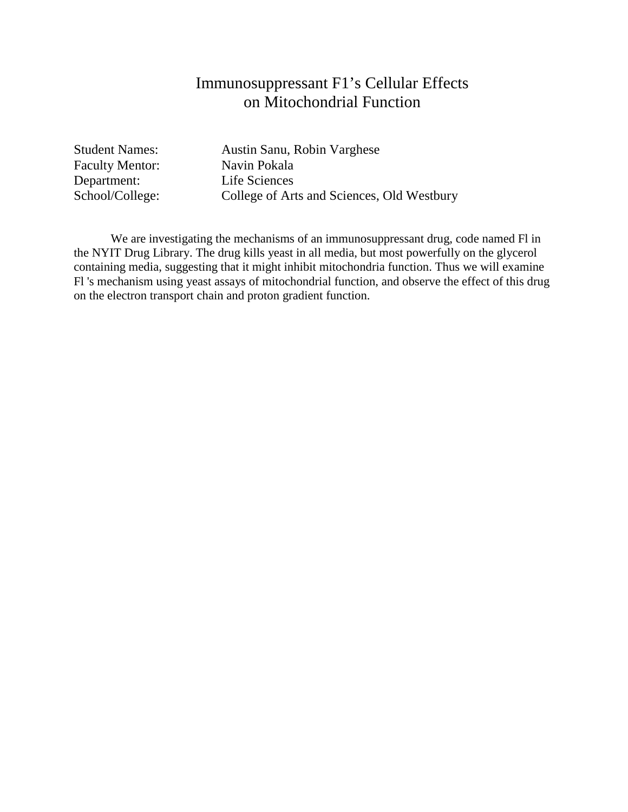# Immunosuppressant F1's Cellular Effects on Mitochondrial Function

Faculty Mentor: Navin Pokala Department:<br>
School/College:<br>
College of Art

Student Names: Austin Sanu, Robin Varghese College of Arts and Sciences, Old Westbury

We are investigating the mechanisms of an immunosuppressant drug, code named Fl in the NYIT Drug Library. The drug kills yeast in all media, but most powerfully on the glycerol containing media, suggesting that it might inhibit mitochondria function. Thus we will examine Fl 's mechanism using yeast assays of mitochondrial function, and observe the effect of this drug on the electron transport chain and proton gradient function.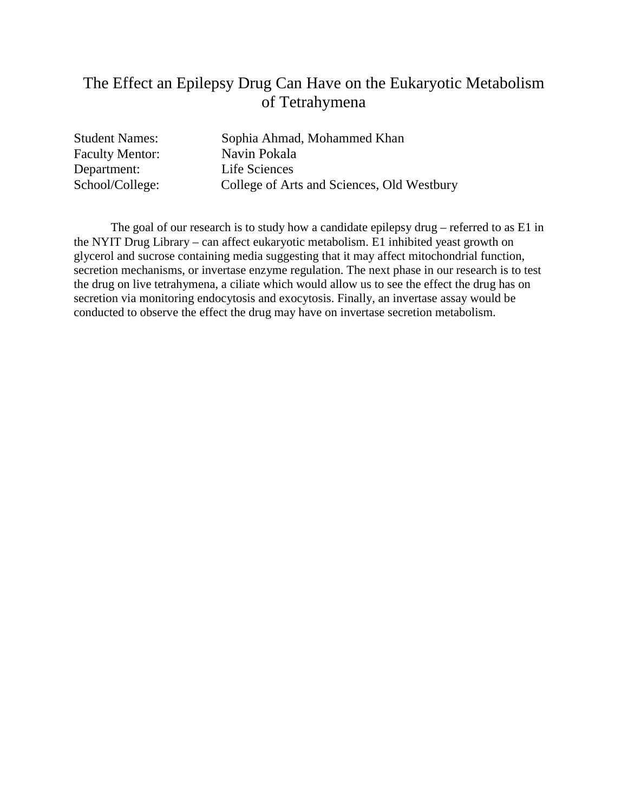# The Effect an Epilepsy Drug Can Have on the Eukaryotic Metabolism of Tetrahymena

Faculty Mentor: Navin Pokala Department: Life Sciences

Student Names: Sophia Ahmad, Mohammed Khan School/College: College of Arts and Sciences, Old Westbury

The goal of our research is to study how a candidate epilepsy drug – referred to as E1 in the NYIT Drug Library – can affect eukaryotic metabolism. E1 inhibited yeast growth on glycerol and sucrose containing media suggesting that it may affect mitochondrial function, secretion mechanisms, or invertase enzyme regulation. The next phase in our research is to test the drug on live tetrahymena, a ciliate which would allow us to see the effect the drug has on secretion via monitoring endocytosis and exocytosis. Finally, an invertase assay would be conducted to observe the effect the drug may have on invertase secretion metabolism.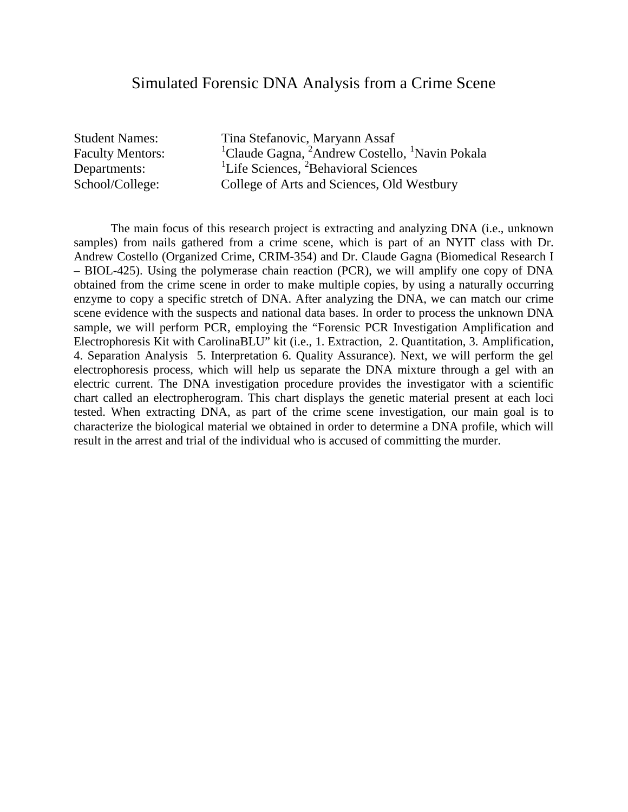#### Simulated Forensic DNA Analysis from a Crime Scene

Faculty Mentors: Departments:

Student Names: Tina Stefanovic, Maryann Assaf <sup>1</sup>Claude Gagna, <sup>2</sup>Andrew Costello, <sup>1</sup>Navin Pokala <sup>1</sup>Life Sciences, <sup>2</sup>Behavioral Sciences School/College: College of Arts and Sciences, Old Westbury

The main focus of this research project is extracting and analyzing DNA (i.e., unknown samples) from nails gathered from a crime scene, which is part of an NYIT class with Dr. Andrew Costello (Organized Crime, CRIM-354) and Dr. Claude Gagna (Biomedical Research I – BIOL-425). Using the polymerase chain reaction (PCR), we will amplify one copy of DNA obtained from the crime scene in order to make multiple copies, by using a naturally occurring enzyme to copy a specific stretch of DNA. After analyzing the DNA, we can match our crime scene evidence with the suspects and national data bases. In order to process the unknown DNA sample, we will perform PCR, employing the "Forensic PCR Investigation Amplification and Electrophoresis Kit with CarolinaBLU" kit (i.e., 1. Extraction, 2. Quantitation, 3. Amplification, 4. Separation Analysis 5. Interpretation 6. Quality Assurance). Next, we will perform the gel electrophoresis process, which will help us separate the DNA mixture through a gel with an electric current. The DNA investigation procedure provides the investigator with a scientific chart called an electropherogram. This chart displays the genetic material present at each loci tested. When extracting DNA, as part of the crime scene investigation, our main goal is to characterize the biological material we obtained in order to determine a DNA profile, which will result in the arrest and trial of the individual who is accused of committing the murder.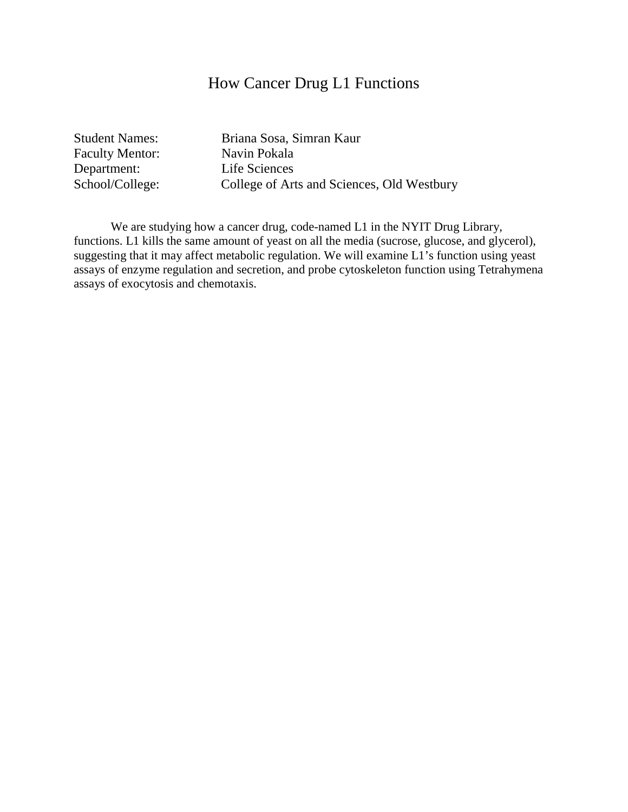### How Cancer Drug L1 Functions

Faculty Mentor: Navin Pokala<br>
Department: Life Sciences Department:<br>
School/College:<br>
College of Art

Student Names: Briana Sosa, Simran Kaur College of Arts and Sciences, Old Westbury

We are studying how a cancer drug, code-named L1 in the NYIT Drug Library, functions. L1 kills the same amount of yeast on all the media (sucrose, glucose, and glycerol), suggesting that it may affect metabolic regulation. We will examine L1's function using yeast assays of enzyme regulation and secretion, and probe cytoskeleton function using Tetrahymena assays of exocytosis and chemotaxis.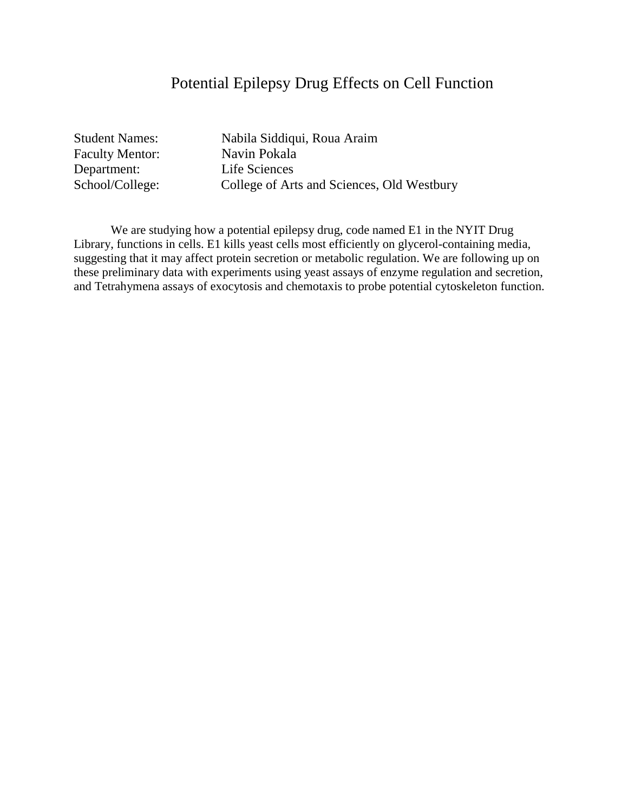## Potential Epilepsy Drug Effects on Cell Function

Faculty Mentor: Navin Pokala Department: Life Sciences

Student Names: Nabila Siddiqui, Roua Araim School/College: College of Arts and Sciences, Old Westbury

We are studying how a potential epilepsy drug, code named E1 in the NYIT Drug Library, functions in cells. E1 kills yeast cells most efficiently on glycerol-containing media, suggesting that it may affect protein secretion or metabolic regulation. We are following up on these preliminary data with experiments using yeast assays of enzyme regulation and secretion, and Tetrahymena assays of exocytosis and chemotaxis to probe potential cytoskeleton function.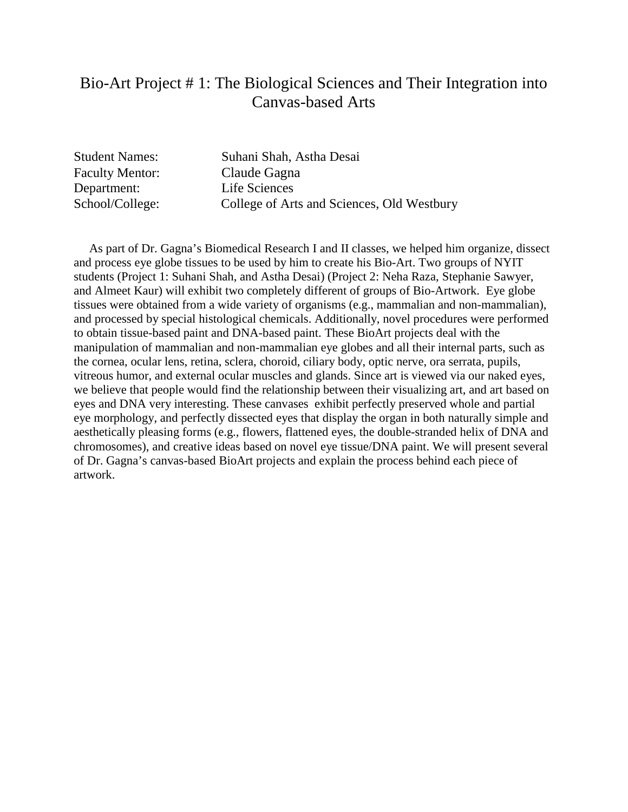### Bio-Art Project # 1: The Biological Sciences and Their Integration into Canvas-based Arts

Student Names: Suhani Shah, Astha Desai Faculty Mentor: Claude Gagna Department: Life Sciences School/College: College of Arts and Sciences, Old Westbury

 As part of Dr. Gagna's Biomedical Research I and II classes, we helped him organize, dissect and process eye globe tissues to be used by him to create his Bio-Art. Two groups of NYIT students (Project 1: Suhani Shah, and Astha Desai) (Project 2: Neha Raza, Stephanie Sawyer, and Almeet Kaur) will exhibit two completely different of groups of Bio-Artwork. Eye globe tissues were obtained from a wide variety of organisms (e.g., mammalian and non-mammalian), and processed by special histological chemicals. Additionally, novel procedures were performed to obtain tissue-based paint and DNA-based paint. These BioArt projects deal with the manipulation of mammalian and non-mammalian eye globes and all their internal parts, such as the cornea, ocular lens, retina, sclera, choroid, ciliary body, optic nerve, ora serrata, pupils, vitreous humor, and external ocular muscles and glands. Since art is viewed via our naked eyes, we believe that people would find the relationship between their visualizing art, and art based on eyes and DNA very interesting. These canvases exhibit perfectly preserved whole and partial eye morphology, and perfectly dissected eyes that display the organ in both naturally simple and aesthetically pleasing forms (e.g., flowers, flattened eyes, the double-stranded helix of DNA and chromosomes), and creative ideas based on novel eye tissue/DNA paint. We will present several of Dr. Gagna's canvas-based BioArt projects and explain the process behind each piece of artwork.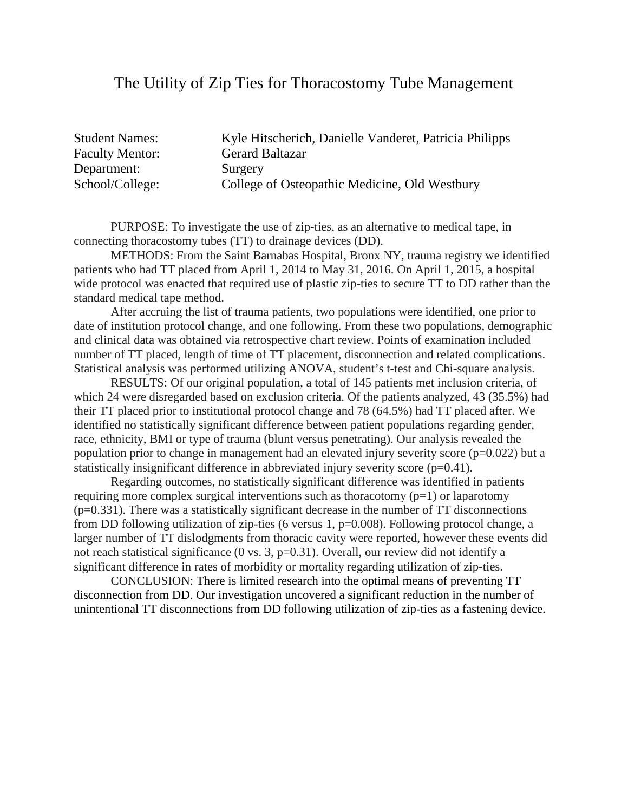#### The Utility of Zip Ties for Thoracostomy Tube Management

Student Names: Kyle Hitscherich, Danielle Vanderet, Patricia Philipps Faculty Mentor: Gerard Baltazar Department: Surgery School/College: College of Osteopathic Medicine, Old Westbury

PURPOSE: To investigate the use of zip-ties, as an alternative to medical tape, in connecting thoracostomy tubes (TT) to drainage devices (DD).

METHODS: From the Saint Barnabas Hospital, Bronx NY, trauma registry we identified patients who had TT placed from April 1, 2014 to May 31, 2016. On April 1, 2015, a hospital wide protocol was enacted that required use of plastic zip-ties to secure TT to DD rather than the standard medical tape method.

After accruing the list of trauma patients, two populations were identified, one prior to date of institution protocol change, and one following. From these two populations, demographic and clinical data was obtained via retrospective chart review. Points of examination included number of TT placed, length of time of TT placement, disconnection and related complications. Statistical analysis was performed utilizing ANOVA, student's t-test and Chi-square analysis.

RESULTS: Of our original population, a total of 145 patients met inclusion criteria, of which 24 were disregarded based on exclusion criteria. Of the patients analyzed, 43 (35.5%) had their TT placed prior to institutional protocol change and 78 (64.5%) had TT placed after. We identified no statistically significant difference between patient populations regarding gender, race, ethnicity, BMI or type of trauma (blunt versus penetrating). Our analysis revealed the population prior to change in management had an elevated injury severity score ( $p=0.022$ ) but a statistically insignificant difference in abbreviated injury severity score (p=0.41).

Regarding outcomes, no statistically significant difference was identified in patients requiring more complex surgical interventions such as thoracotomy  $(p=1)$  or laparotomy (p=0.331). There was a statistically significant decrease in the number of TT disconnections from DD following utilization of zip-ties (6 versus 1, p=0.008). Following protocol change, a larger number of TT dislodgments from thoracic cavity were reported, however these events did not reach statistical significance (0 vs. 3, p=0.31). Overall, our review did not identify a significant difference in rates of morbidity or mortality regarding utilization of zip-ties.

CONCLUSION: There is limited research into the optimal means of preventing TT disconnection from DD. Our investigation uncovered a significant reduction in the number of unintentional TT disconnections from DD following utilization of zip-ties as a fastening device.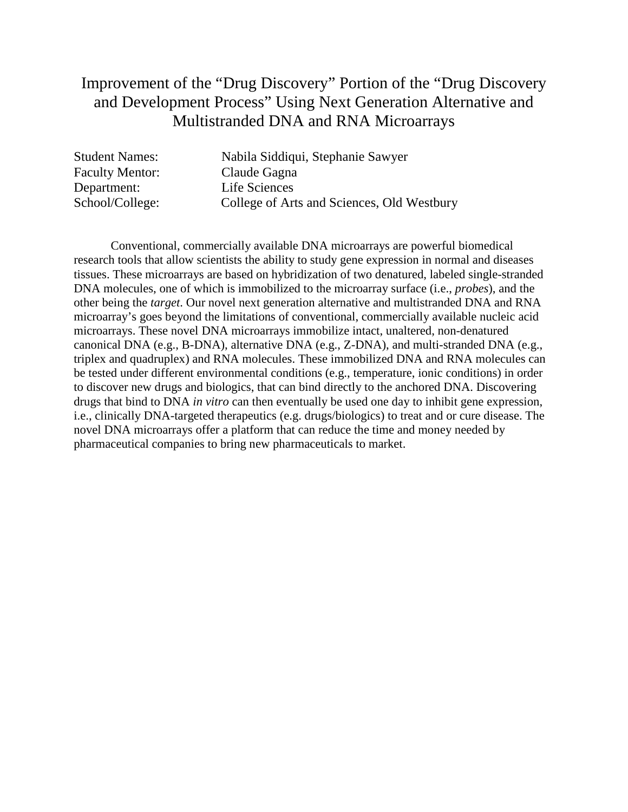## Improvement of the "Drug Discovery" Portion of the "Drug Discovery and Development Process" Using Next Generation Alternative and Multistranded DNA and RNA Microarrays

| <b>Student Names:</b>  | Nabila Siddiqui, Stephanie Sawyer          |
|------------------------|--------------------------------------------|
| <b>Faculty Mentor:</b> | Claude Gagna                               |
| Department:            | Life Sciences                              |
| School/College:        | College of Arts and Sciences, Old Westbury |

Conventional, commercially available DNA microarrays are powerful biomedical research tools that allow scientists the ability to study gene expression in normal and diseases tissues. These microarrays are based on hybridization of two denatured, labeled single-stranded DNA molecules, one of which is immobilized to the microarray surface (i.e., *probes*), and the other being the *target*. Our novel next generation alternative and multistranded DNA and RNA microarray's goes beyond the limitations of conventional, commercially available nucleic acid microarrays. These novel DNA microarrays immobilize intact, unaltered, non-denatured canonical DNA (e.g., B-DNA), alternative DNA (e.g., Z-DNA), and multi-stranded DNA (e.g., triplex and quadruplex) and RNA molecules. These immobilized DNA and RNA molecules can be tested under different environmental conditions (e.g., temperature, ionic conditions) in order to discover new drugs and biologics, that can bind directly to the anchored DNA. Discovering drugs that bind to DNA *in vitro* can then eventually be used one day to inhibit gene expression, i.e., clinically DNA-targeted therapeutics (e.g. drugs/biologics) to treat and or cure disease. The novel DNA microarrays offer a platform that can reduce the time and money needed by pharmaceutical companies to bring new pharmaceuticals to market.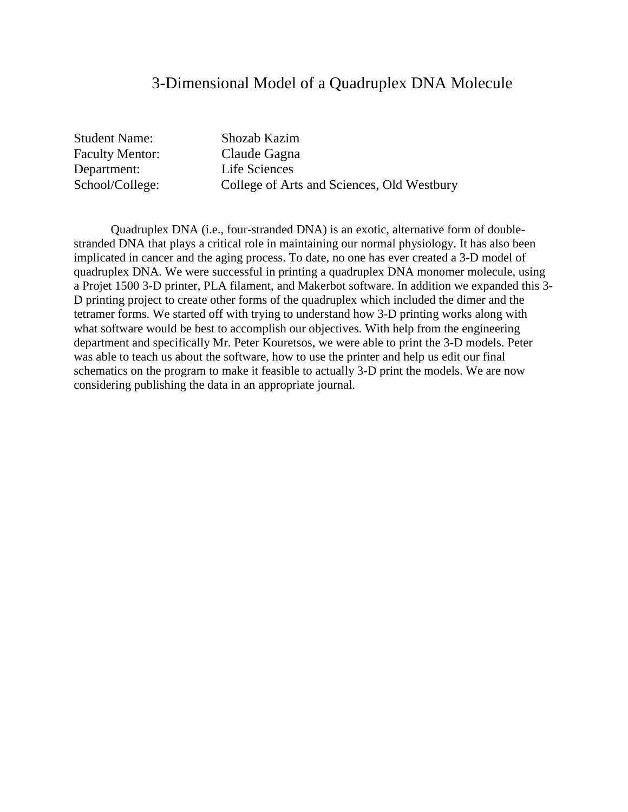#### 3-Dimensional Model of a Quadruplex DNA Molecule

Student Name: Shozab Kazim Faculty Mentor: Claude Gagna Department: Life Sciences

School/College: College of Arts and Sciences, Old Westbury

Quadruplex DNA (i.e., four-stranded DNA) is an exotic, alternative form of doublestranded DNA that plays a critical role in maintaining our normal physiology. It has also been implicated in cancer and the aging process. To date, no one has ever created a 3-D model of quadruplex DNA. We were successful in printing a quadruplex DNA monomer molecule, using a Projet 1500 3-D printer, PLA filament, and Makerbot software. In addition we expanded this 3- D printing project to create other forms of the quadruplex which included the dimer and the tetramer forms. We started off with trying to understand how 3-D printing works along with what software would be best to accomplish our objectives. With help from the engineering department and specifically Mr. Peter Kouretsos, we were able to print the 3-D models. Peter was able to teach us about the software, how to use the printer and help us edit our final schematics on the program to make it feasible to actually 3-D print the models. We are now considering publishing the data in an appropriate journal.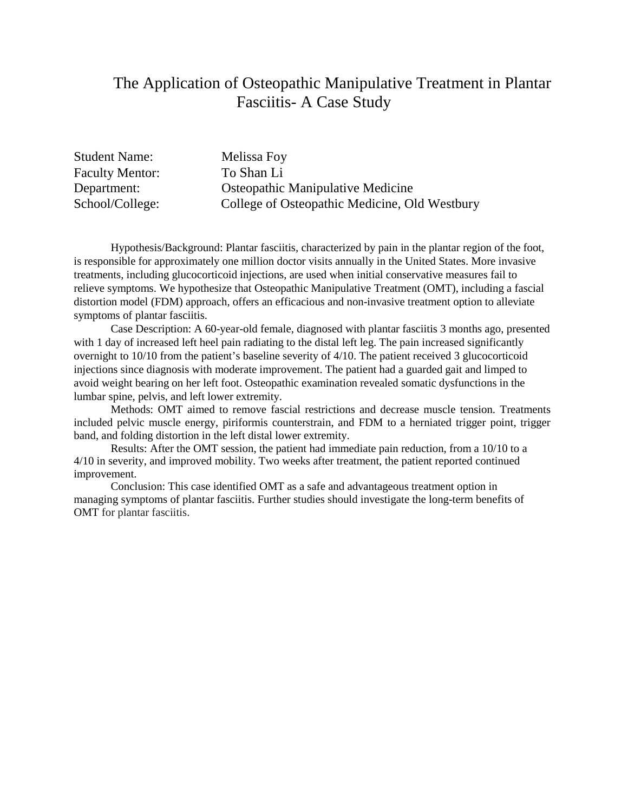### The Application of Osteopathic Manipulative Treatment in Plantar Fasciitis- A Case Study

Student Name: Melissa Foy Faculty Mentor: To Shan Li

Department: Osteopathic Manipulative Medicine School/College: College of Osteopathic Medicine, Old Westbury

Hypothesis/Background: Plantar fasciitis, characterized by pain in the plantar region of the foot, is responsible for approximately one million doctor visits annually in the United States. More invasive treatments, including glucocorticoid injections, are used when initial conservative measures fail to relieve symptoms. We hypothesize that Osteopathic Manipulative Treatment (OMT), including a fascial distortion model (FDM) approach, offers an efficacious and non-invasive treatment option to alleviate symptoms of plantar fasciitis.

Case Description: A 60-year-old female, diagnosed with plantar fasciitis 3 months ago, presented with 1 day of increased left heel pain radiating to the distal left leg. The pain increased significantly overnight to 10/10 from the patient's baseline severity of 4/10. The patient received 3 glucocorticoid injections since diagnosis with moderate improvement. The patient had a guarded gait and limped to avoid weight bearing on her left foot. Osteopathic examination revealed somatic dysfunctions in the lumbar spine, pelvis, and left lower extremity.

Methods: OMT aimed to remove fascial restrictions and decrease muscle tension. Treatments included pelvic muscle energy, piriformis counterstrain, and FDM to a herniated trigger point, trigger band, and folding distortion in the left distal lower extremity.

Results: After the OMT session, the patient had immediate pain reduction, from a 10/10 to a 4/10 in severity, and improved mobility. Two weeks after treatment, the patient reported continued improvement.

Conclusion: This case identified OMT as a safe and advantageous treatment option in managing symptoms of plantar fasciitis. Further studies should investigate the long-term benefits of OMT for plantar fasciitis.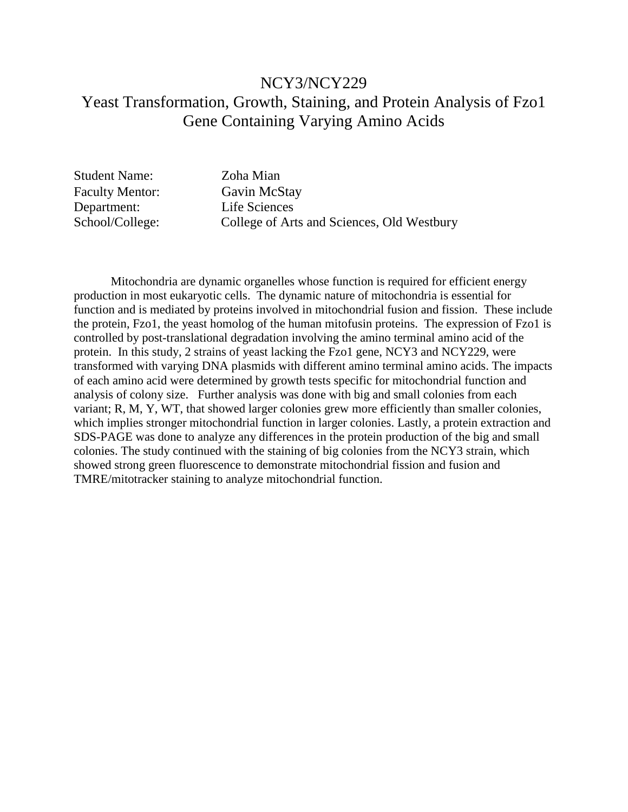### NCY3/NCY229 Yeast Transformation, Growth, Staining, and Protein Analysis of Fzo1 Gene Containing Varying Amino Acids

Student Name: Zoha Mian Faculty Mentor: Gavin McStay Department: Life Sciences

School/College: College of Arts and Sciences, Old Westbury

Mitochondria are dynamic organelles whose function is required for efficient energy production in most eukaryotic cells. The dynamic nature of mitochondria is essential for function and is mediated by proteins involved in mitochondrial fusion and fission. These include the protein, Fzo1, the yeast homolog of the human mitofusin proteins. The expression of Fzo1 is controlled by post-translational degradation involving the amino terminal amino acid of the protein. In this study, 2 strains of yeast lacking the Fzo1 gene, NCY3 and NCY229, were transformed with varying DNA plasmids with different amino terminal amino acids. The impacts of each amino acid were determined by growth tests specific for mitochondrial function and analysis of colony size. Further analysis was done with big and small colonies from each variant; R, M, Y, WT, that showed larger colonies grew more efficiently than smaller colonies, which implies stronger mitochondrial function in larger colonies. Lastly, a protein extraction and SDS-PAGE was done to analyze any differences in the protein production of the big and small colonies. The study continued with the staining of big colonies from the NCY3 strain, which showed strong green fluorescence to demonstrate mitochondrial fission and fusion and TMRE/mitotracker staining to analyze mitochondrial function.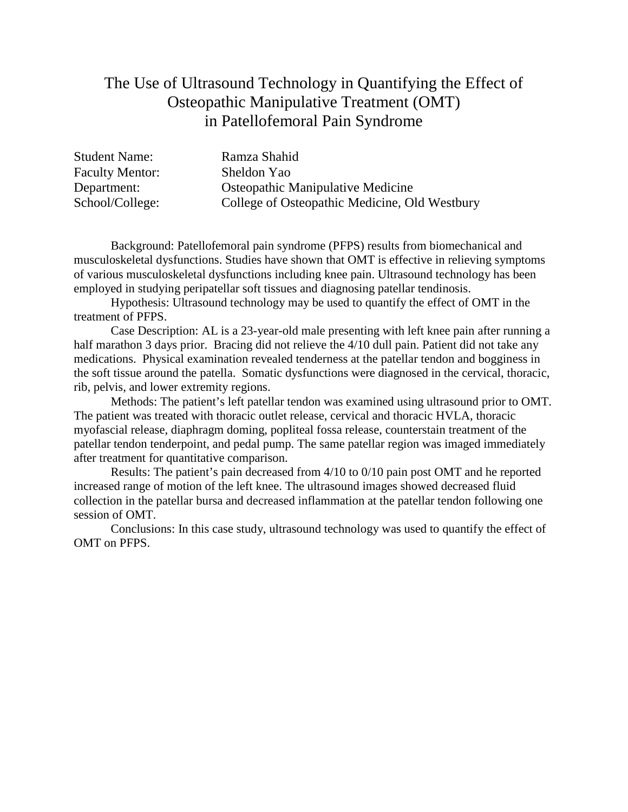### The Use of Ultrasound Technology in Quantifying the Effect of Osteopathic Manipulative Treatment (OMT) in Patellofemoral Pain Syndrome

| <b>Student Name:</b>   | Ramza Shahid                                  |
|------------------------|-----------------------------------------------|
| <b>Faculty Mentor:</b> | Sheldon Yao                                   |
| Department:            | <b>Osteopathic Manipulative Medicine</b>      |
| School/College:        | College of Osteopathic Medicine, Old Westbury |

Background: Patellofemoral pain syndrome (PFPS) results from biomechanical and musculoskeletal dysfunctions. Studies have shown that OMT is effective in relieving symptoms of various musculoskeletal dysfunctions including knee pain. Ultrasound technology has been employed in studying peripatellar soft tissues and diagnosing patellar tendinosis.

Hypothesis: Ultrasound technology may be used to quantify the effect of OMT in the treatment of PFPS.

Case Description: AL is a 23-year-old male presenting with left knee pain after running a half marathon 3 days prior. Bracing did not relieve the 4/10 dull pain. Patient did not take any medications. Physical examination revealed tenderness at the patellar tendon and bogginess in the soft tissue around the patella. Somatic dysfunctions were diagnosed in the cervical, thoracic, rib, pelvis, and lower extremity regions.

Methods: The patient's left patellar tendon was examined using ultrasound prior to OMT. The patient was treated with thoracic outlet release, cervical and thoracic HVLA, thoracic myofascial release, diaphragm doming, popliteal fossa release, counterstain treatment of the patellar tendon tenderpoint, and pedal pump. The same patellar region was imaged immediately after treatment for quantitative comparison.

Results: The patient's pain decreased from 4/10 to 0/10 pain post OMT and he reported increased range of motion of the left knee. The ultrasound images showed decreased fluid collection in the patellar bursa and decreased inflammation at the patellar tendon following one session of OMT.

Conclusions: In this case study, ultrasound technology was used to quantify the effect of OMT on PFPS.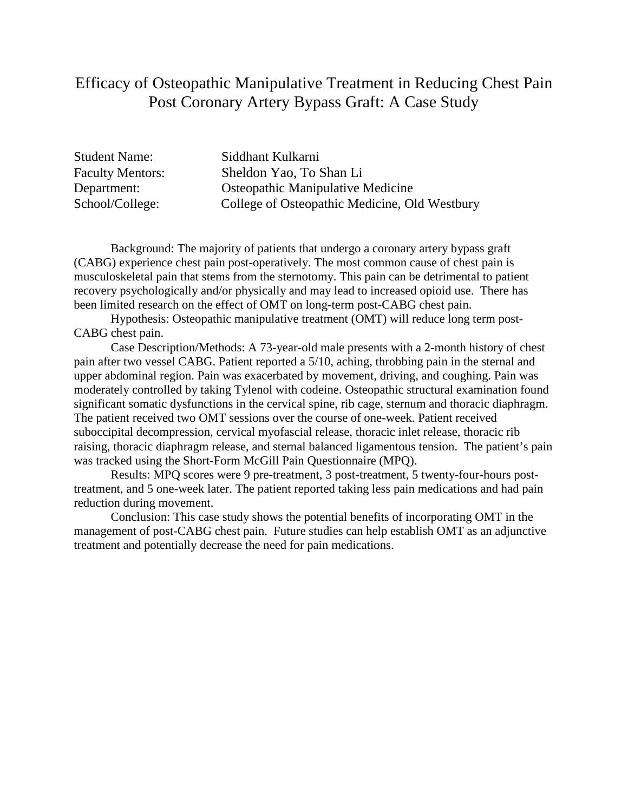### Efficacy of Osteopathic Manipulative Treatment in Reducing Chest Pain Post Coronary Artery Bypass Graft: A Case Study

Student Name: Siddhant Kulkarni Faculty Mentors: Sheldon Yao, To Shan Li Department: Osteopathic Manipulative Medicine School/College: College of Osteopathic Medicine, Old Westbury

Background: The majority of patients that undergo a coronary artery bypass graft (CABG) experience chest pain post-operatively. The most common cause of chest pain is musculoskeletal pain that stems from the sternotomy. This pain can be detrimental to patient recovery psychologically and/or physically and may lead to increased opioid use. There has been limited research on the effect of OMT on long-term post-CABG chest pain.

Hypothesis: Osteopathic manipulative treatment (OMT) will reduce long term post-CABG chest pain.

Case Description/Methods: A 73-year-old male presents with a 2-month history of chest pain after two vessel CABG. Patient reported a 5/10, aching, throbbing pain in the sternal and upper abdominal region. Pain was exacerbated by movement, driving, and coughing. Pain was moderately controlled by taking Tylenol with codeine. Osteopathic structural examination found significant somatic dysfunctions in the cervical spine, rib cage, sternum and thoracic diaphragm. The patient received two OMT sessions over the course of one-week. Patient received suboccipital decompression, cervical myofascial release, thoracic inlet release, thoracic rib raising, thoracic diaphragm release, and sternal balanced ligamentous tension. The patient's pain was tracked using the Short-Form McGill Pain Questionnaire (MPQ).

Results: MPQ scores were 9 pre-treatment, 3 post-treatment, 5 twenty-four-hours posttreatment, and 5 one-week later. The patient reported taking less pain medications and had pain reduction during movement.

Conclusion: This case study shows the potential benefits of incorporating OMT in the management of post-CABG chest pain. Future studies can help establish OMT as an adjunctive treatment and potentially decrease the need for pain medications.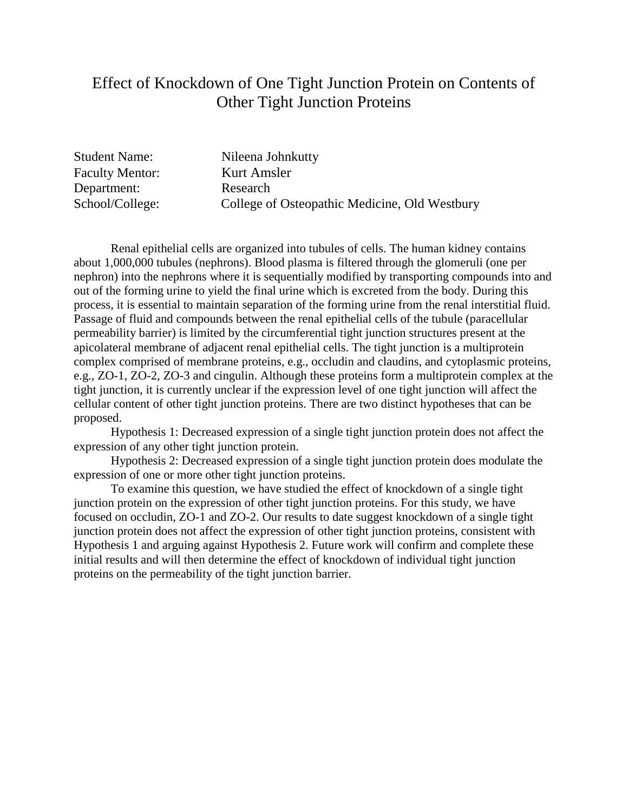### Effect of Knockdown of One Tight Junction Protein on Contents of Other Tight Junction Proteins

Student Name: Nileena Johnkutty Faculty Mentor: Kurt Amsler Department: Research School/College: College of Osteopathic Medicine, Old Westbury

Renal epithelial cells are organized into tubules of cells. The human kidney contains about 1,000,000 tubules (nephrons). Blood plasma is filtered through the glomeruli (one per nephron) into the nephrons where it is sequentially modified by transporting compounds into and out of the forming urine to yield the final urine which is excreted from the body. During this process, it is essential to maintain separation of the forming urine from the renal interstitial fluid. Passage of fluid and compounds between the renal epithelial cells of the tubule (paracellular permeability barrier) is limited by the circumferential tight junction structures present at the apicolateral membrane of adjacent renal epithelial cells. The tight junction is a multiprotein complex comprised of membrane proteins, e.g., occludin and claudins, and cytoplasmic proteins, e.g., ZO-1, ZO-2, ZO-3 and cingulin. Although these proteins form a multiprotein complex at the tight junction, it is currently unclear if the expression level of one tight junction will affect the cellular content of other tight junction proteins. There are two distinct hypotheses that can be proposed.

Hypothesis 1: Decreased expression of a single tight junction protein does not affect the expression of any other tight junction protein.

Hypothesis 2: Decreased expression of a single tight junction protein does modulate the expression of one or more other tight junction proteins.

To examine this question, we have studied the effect of knockdown of a single tight junction protein on the expression of other tight junction proteins. For this study, we have focused on occludin, ZO-1 and ZO-2. Our results to date suggest knockdown of a single tight junction protein does not affect the expression of other tight junction proteins, consistent with Hypothesis 1 and arguing against Hypothesis 2. Future work will confirm and complete these initial results and will then determine the effect of knockdown of individual tight junction proteins on the permeability of the tight junction barrier.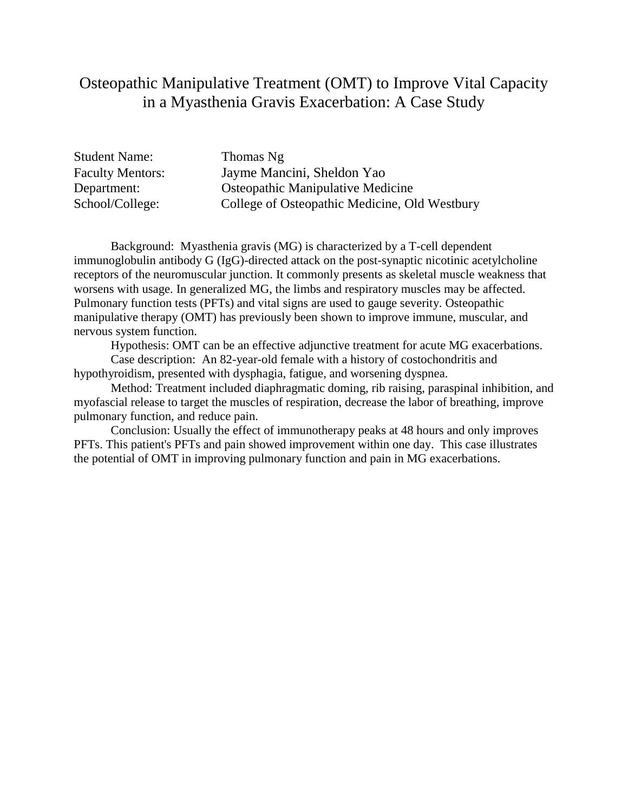### Osteopathic Manipulative Treatment (OMT) to Improve Vital Capacity in a Myasthenia Gravis Exacerbation: A Case Study

Student Name: Thomas Ng

Faculty Mentors: Jayme Mancini, Sheldon Yao Department: Osteopathic Manipulative Medicine School/College: College of Osteopathic Medicine, Old Westbury

Background: Myasthenia gravis (MG) is characterized by a T-cell dependent immunoglobulin antibody G (IgG)-directed attack on the post-synaptic nicotinic acetylcholine receptors of the neuromuscular junction. It commonly presents as skeletal muscle weakness that worsens with usage. In generalized MG, the limbs and respiratory muscles may be affected. Pulmonary function tests (PFTs) and vital signs are used to gauge severity. Osteopathic manipulative therapy (OMT) has previously been shown to improve immune, muscular, and nervous system function.

Hypothesis: OMT can be an effective adjunctive treatment for acute MG exacerbations.

Case description: An 82-year-old female with a history of costochondritis and hypothyroidism, presented with dysphagia, fatigue, and worsening dyspnea.

Method: Treatment included diaphragmatic doming, rib raising, paraspinal inhibition, and myofascial release to target the muscles of respiration, decrease the labor of breathing, improve pulmonary function, and reduce pain.

Conclusion: Usually the effect of immunotherapy peaks at 48 hours and only improves PFTs. This patient's PFTs and pain showed improvement within one day. This case illustrates the potential of OMT in improving pulmonary function and pain in MG exacerbations.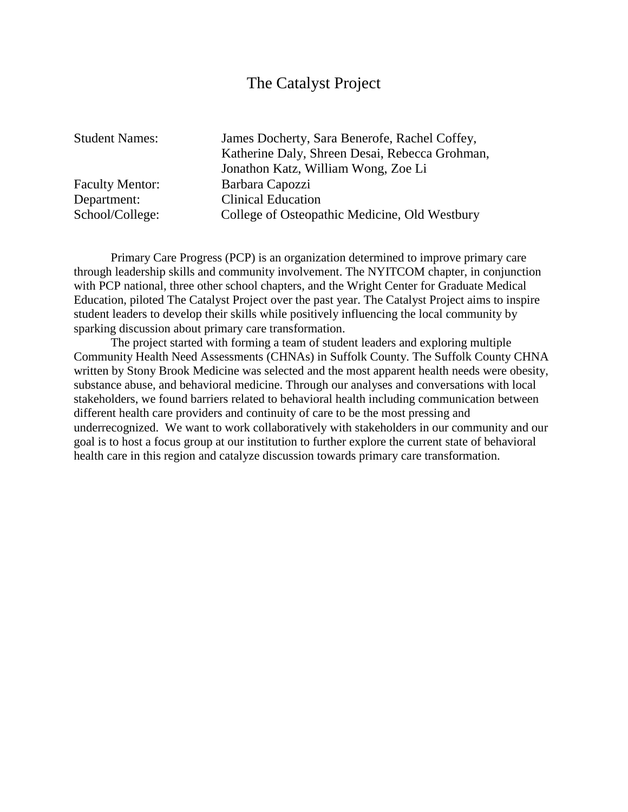#### The Catalyst Project

Student Names: James Docherty, Sara Benerofe, Rachel Coffey, Katherine Daly, Shreen Desai, Rebecca Grohman, Jonathon Katz, William Wong, Zoe Li Faculty Mentor: Barbara Capozzi Department: Clinical Education School/College: College of Osteopathic Medicine, Old Westbury

Primary Care Progress (PCP) is an organization determined to improve primary care through leadership skills and community involvement. The NYITCOM chapter, in conjunction with PCP national, three other school chapters, and the Wright Center for Graduate Medical Education, piloted The Catalyst Project over the past year. The Catalyst Project aims to inspire student leaders to develop their skills while positively influencing the local community by sparking discussion about primary care transformation.

The project started with forming a team of student leaders and exploring multiple Community Health Need Assessments (CHNAs) in Suffolk County. The Suffolk County CHNA written by Stony Brook Medicine was selected and the most apparent health needs were obesity, substance abuse, and behavioral medicine. Through our analyses and conversations with local stakeholders, we found barriers related to behavioral health including communication between different health care providers and continuity of care to be the most pressing and underrecognized. We want to work collaboratively with stakeholders in our community and our goal is to host a focus group at our institution to further explore the current state of behavioral health care in this region and catalyze discussion towards primary care transformation.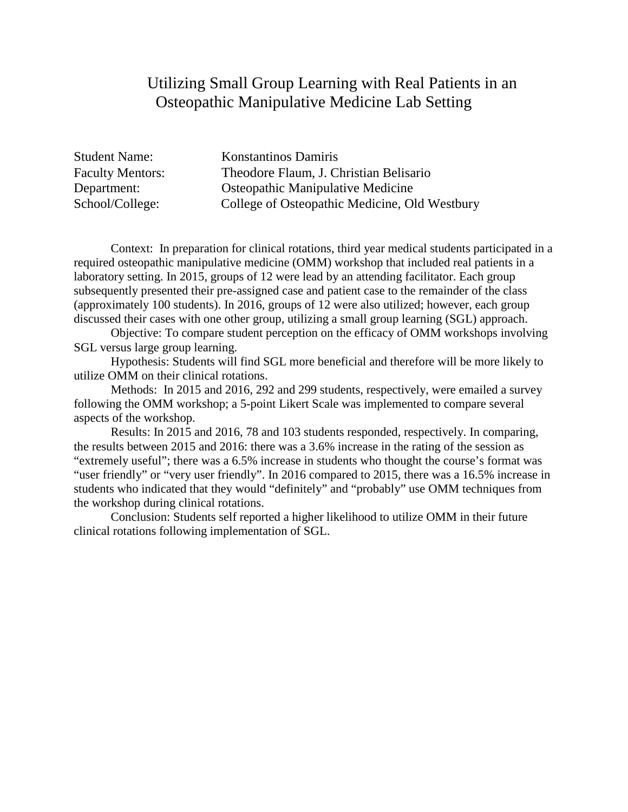### Utilizing Small Group Learning with Real Patients in an Osteopathic Manipulative Medicine Lab Setting

| <b>Student Name:</b>    | <b>Konstantinos Damiris</b>                   |
|-------------------------|-----------------------------------------------|
| <b>Faculty Mentors:</b> | Theodore Flaum, J. Christian Belisario        |
| Department:             | <b>Osteopathic Manipulative Medicine</b>      |
| School/College:         | College of Osteopathic Medicine, Old Westbury |

Context: In preparation for clinical rotations, third year medical students participated in a required osteopathic manipulative medicine (OMM) workshop that included real patients in a laboratory setting. In 2015, groups of 12 were lead by an attending facilitator. Each group subsequently presented their pre-assigned case and patient case to the remainder of the class (approximately 100 students). In 2016, groups of 12 were also utilized; however, each group discussed their cases with one other group, utilizing a small group learning (SGL) approach.

Objective: To compare student perception on the efficacy of OMM workshops involving SGL versus large group learning.

Hypothesis: Students will find SGL more beneficial and therefore will be more likely to utilize OMM on their clinical rotations.

Methods: In 2015 and 2016, 292 and 299 students, respectively, were emailed a survey following the OMM workshop; a 5-point Likert Scale was implemented to compare several aspects of the workshop.

Results: In 2015 and 2016, 78 and 103 students responded, respectively. In comparing, the results between 2015 and 2016: there was a 3.6% increase in the rating of the session as "extremely useful"; there was a 6.5% increase in students who thought the course's format was "user friendly" or "very user friendly". In 2016 compared to 2015, there was a 16.5% increase in students who indicated that they would "definitely" and "probably" use OMM techniques from the workshop during clinical rotations.

Conclusion: Students self reported a higher likelihood to utilize OMM in their future clinical rotations following implementation of SGL.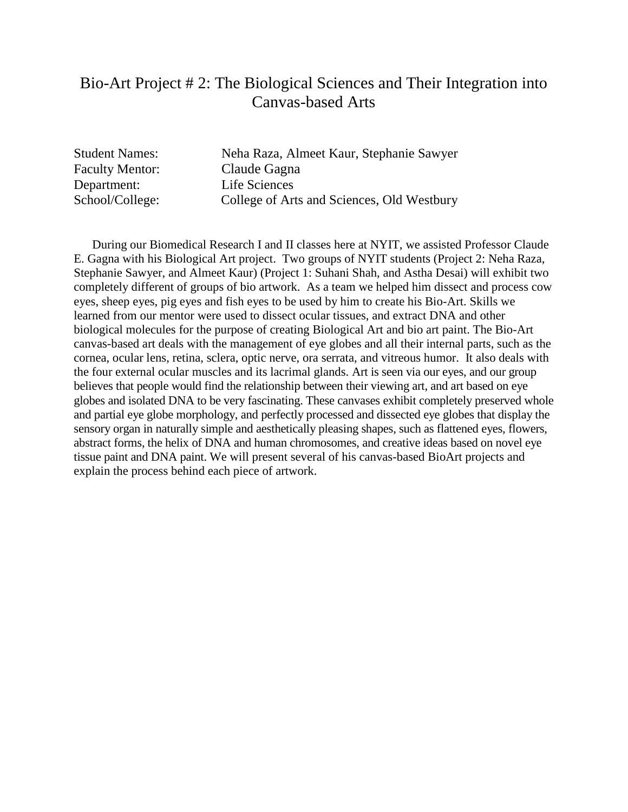### Bio-Art Project # 2: The Biological Sciences and Their Integration into Canvas-based Arts

Student Names: Neha Raza, Almeet Kaur, Stephanie Sawyer Faculty Mentor: Claude Gagna Department: Life Sciences School/College: College of Arts and Sciences, Old Westbury

 During our Biomedical Research I and II classes here at NYIT, we assisted Professor Claude E. Gagna with his Biological Art project. Two groups of NYIT students (Project 2: Neha Raza, Stephanie Sawyer, and Almeet Kaur) (Project 1: Suhani Shah, and Astha Desai) will exhibit two completely different of groups of bio artwork. As a team we helped him dissect and process cow eyes, sheep eyes, pig eyes and fish eyes to be used by him to create his Bio-Art. Skills we learned from our mentor were used to dissect ocular tissues, and extract DNA and other biological molecules for the purpose of creating Biological Art and bio art paint. The Bio-Art canvas-based art deals with the management of eye globes and all their internal parts, such as the cornea, ocular lens, retina, sclera, optic nerve, ora serrata, and vitreous humor. It also deals with the four external ocular muscles and its lacrimal glands. Art is seen via our eyes, and our group believes that people would find the relationship between their viewing art, and art based on eye globes and isolated DNA to be very fascinating. These canvases exhibit completely preserved whole and partial eye globe morphology, and perfectly processed and dissected eye globes that display the sensory organ in naturally simple and aesthetically pleasing shapes, such as flattened eyes, flowers, abstract forms, the helix of DNA and human chromosomes, and creative ideas based on novel eye tissue paint and DNA paint. We will present several of his canvas-based BioArt projects and explain the process behind each piece of artwork.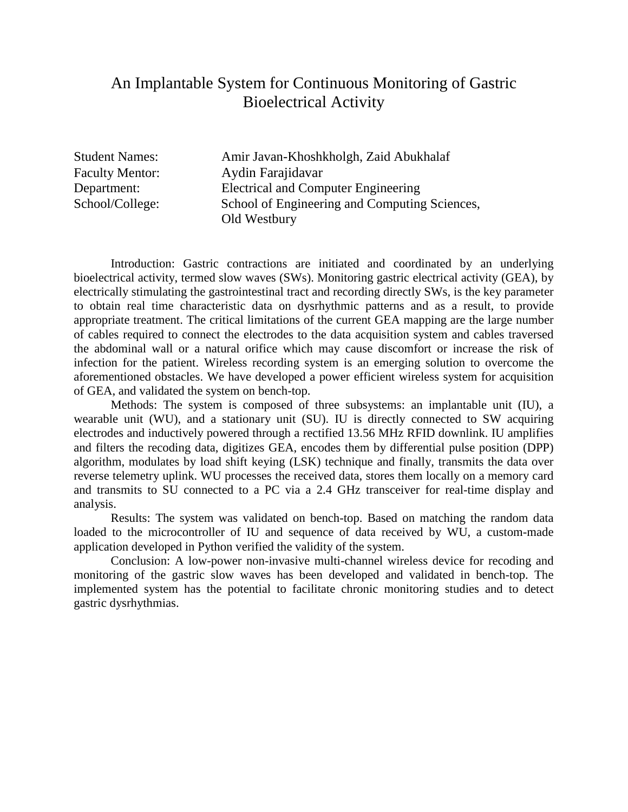### An Implantable System for Continuous Monitoring of Gastric Bioelectrical Activity

Student Names: Amir Javan-Khoshkholgh, Zaid Abukhalaf Faculty Mentor: Aydin Farajidavar Department: Electrical and Computer Engineering School/College: School of Engineering and Computing Sciences, Old Westbury

Introduction: Gastric contractions are initiated and coordinated by an underlying bioelectrical activity, termed slow waves (SWs). Monitoring gastric electrical activity (GEA), by electrically stimulating the gastrointestinal tract and recording directly SWs, is the key parameter to obtain real time characteristic data on dysrhythmic patterns and as a result, to provide appropriate treatment. The critical limitations of the current GEA mapping are the large number of cables required to connect the electrodes to the data acquisition system and cables traversed the abdominal wall or a natural orifice which may cause discomfort or increase the risk of infection for the patient. Wireless recording system is an emerging solution to overcome the aforementioned obstacles. We have developed a power efficient wireless system for acquisition of GEA, and validated the system on bench-top.

Methods: The system is composed of three subsystems: an implantable unit (IU), a wearable unit (WU), and a stationary unit (SU). IU is directly connected to SW acquiring electrodes and inductively powered through a rectified 13.56 MHz RFID downlink. IU amplifies and filters the recoding data, digitizes GEA, encodes them by differential pulse position (DPP) algorithm, modulates by load shift keying (LSK) technique and finally, transmits the data over reverse telemetry uplink. WU processes the received data, stores them locally on a memory card and transmits to SU connected to a PC via a 2.4 GHz transceiver for real-time display and analysis.

Results: The system was validated on bench-top. Based on matching the random data loaded to the microcontroller of IU and sequence of data received by WU, a custom-made application developed in Python verified the validity of the system.

Conclusion: A low-power non-invasive multi-channel wireless device for recoding and monitoring of the gastric slow waves has been developed and validated in bench-top. The implemented system has the potential to facilitate chronic monitoring studies and to detect gastric dysrhythmias.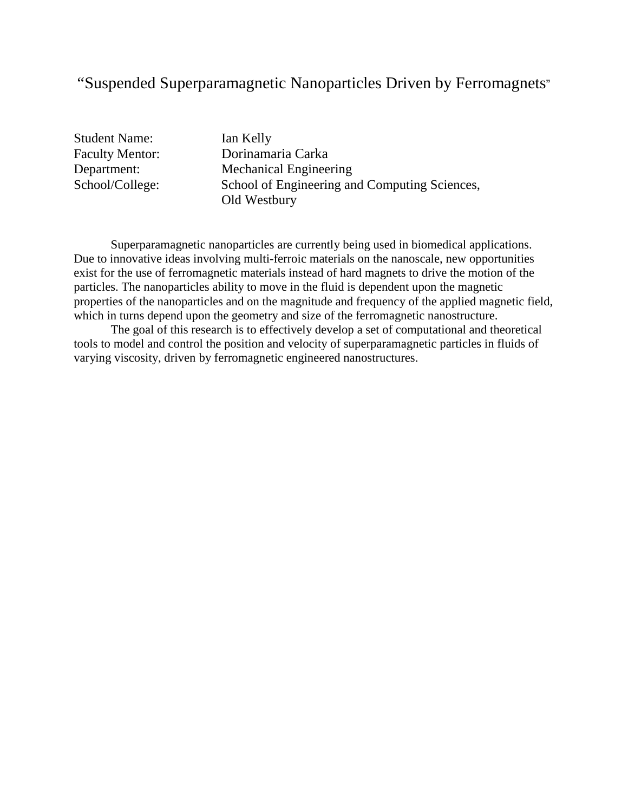# "Suspended Superparamagnetic Nanoparticles Driven by Ferromagnets"

Student Name: Ian Kelly

Faculty Mentor: Dorinamaria Carka Department: Mechanical Engineering School/College: School of Engineering and Computing Sciences, Old Westbury

Superparamagnetic nanoparticles are currently being used in biomedical applications. Due to innovative ideas involving multi-ferroic materials on the nanoscale, new opportunities exist for the use of ferromagnetic materials instead of hard magnets to drive the motion of the particles. The nanoparticles ability to move in the fluid is dependent upon the magnetic properties of the nanoparticles and on the magnitude and frequency of the applied magnetic field, which in turns depend upon the geometry and size of the ferromagnetic nanostructure.

The goal of this research is to effectively develop a set of computational and theoretical tools to model and control the position and velocity of superparamagnetic particles in fluids of varying viscosity, driven by ferromagnetic engineered nanostructures.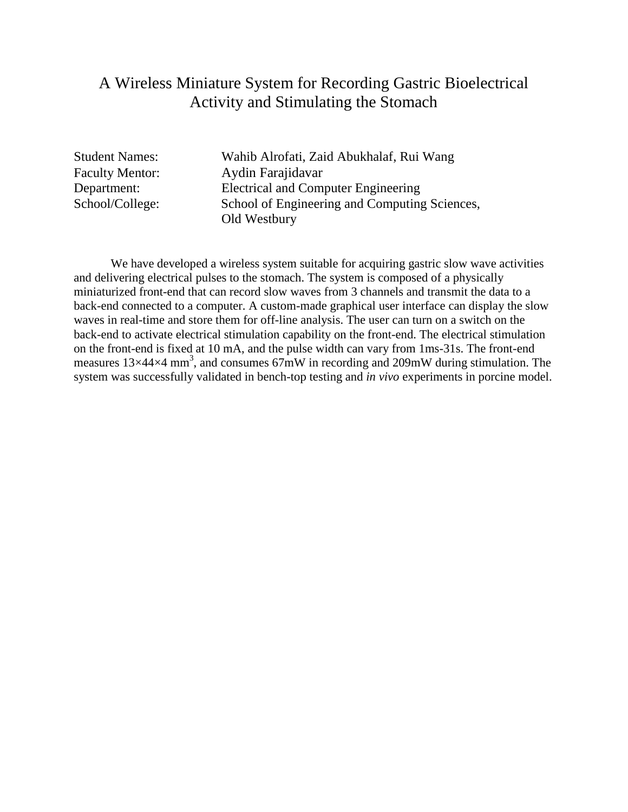### A Wireless Miniature System for Recording Gastric Bioelectrical Activity and Stimulating the Stomach

Student Names: Wahib Alrofati, Zaid Abukhalaf, Rui Wang Faculty Mentor: Aydin Farajidavar Department: Electrical and Computer Engineering School/College: School of Engineering and Computing Sciences, Old Westbury

We have developed a wireless system suitable for acquiring gastric slow wave activities and delivering electrical pulses to the stomach. The system is composed of a physically miniaturized front-end that can record slow waves from 3 channels and transmit the data to a back-end connected to a computer. A custom-made graphical user interface can display the slow waves in real-time and store them for off-line analysis. The user can turn on a switch on the back-end to activate electrical stimulation capability on the front-end. The electrical stimulation on the front-end is fixed at 10 mA, and the pulse width can vary from 1ms-31s. The front-end measures  $13\times44\times4$  mm<sup>3</sup>, and consumes  $67\text{mW}$  in recording and 209mW during stimulation. The system was successfully validated in bench-top testing and *in vivo* experiments in porcine model.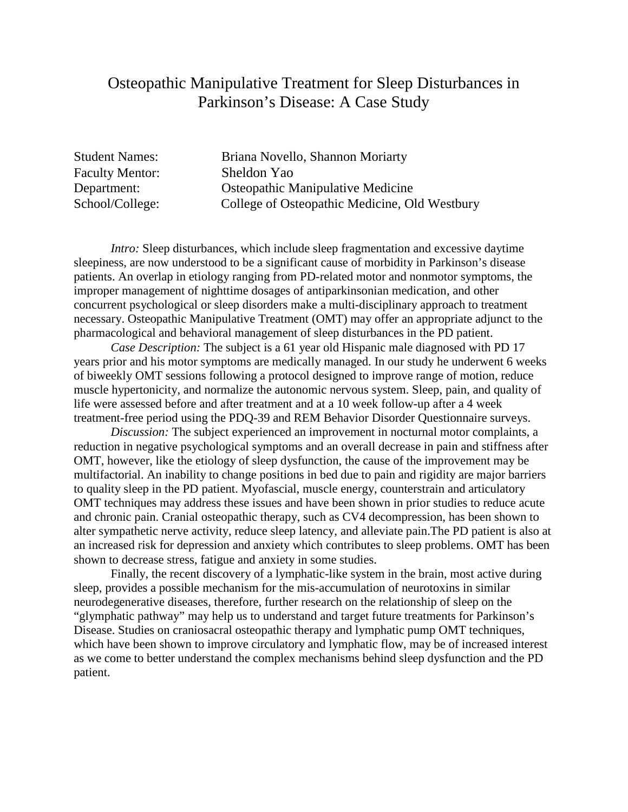### Osteopathic Manipulative Treatment for Sleep Disturbances in Parkinson's Disease: A Case Study

Faculty Mentor: Sheldon Yao

Student Names: Briana Novello, Shannon Moriarty Department: Osteopathic Manipulative Medicine School/College: College of Osteopathic Medicine, Old Westbury

*Intro:* Sleep disturbances, which include sleep fragmentation and excessive daytime sleepiness, are now understood to be a significant cause of morbidity in Parkinson's disease patients. An overlap in etiology ranging from PD-related motor and nonmotor symptoms, the improper management of nighttime dosages of antiparkinsonian medication, and other concurrent psychological or sleep disorders make a multi-disciplinary approach to treatment necessary. Osteopathic Manipulative Treatment (OMT) may offer an appropriate adjunct to the pharmacological and behavioral management of sleep disturbances in the PD patient.

*Case Description:* The subject is a 61 year old Hispanic male diagnosed with PD 17 years prior and his motor symptoms are medically managed. In our study he underwent 6 weeks of biweekly OMT sessions following a protocol designed to improve range of motion, reduce muscle hypertonicity, and normalize the autonomic nervous system. Sleep, pain, and quality of life were assessed before and after treatment and at a 10 week follow-up after a 4 week treatment-free period using the PDQ-39 and REM Behavior Disorder Questionnaire surveys.

*Discussion:* The subject experienced an improvement in nocturnal motor complaints, a reduction in negative psychological symptoms and an overall decrease in pain and stiffness after OMT, however, like the etiology of sleep dysfunction, the cause of the improvement may be multifactorial. An inability to change positions in bed due to pain and rigidity are major barriers to quality sleep in the PD patient. Myofascial, muscle energy, counterstrain and articulatory OMT techniques may address these issues and have been shown in prior studies to reduce acute and chronic pain. Cranial osteopathic therapy, such as CV4 decompression, has been shown to alter sympathetic nerve activity, reduce sleep latency, and alleviate pain.The PD patient is also at an increased risk for depression and anxiety which contributes to sleep problems. OMT has been shown to decrease stress, fatigue and anxiety in some studies.

Finally, the recent discovery of a lymphatic-like system in the brain, most active during sleep, provides a possible mechanism for the mis-accumulation of neurotoxins in similar neurodegenerative diseases, therefore, further research on the relationship of sleep on the "glymphatic pathway" may help us to understand and target future treatments for Parkinson's Disease. Studies on craniosacral osteopathic therapy and lymphatic pump OMT techniques, which have been shown to improve circulatory and lymphatic flow, may be of increased interest as we come to better understand the complex mechanisms behind sleep dysfunction and the PD patient.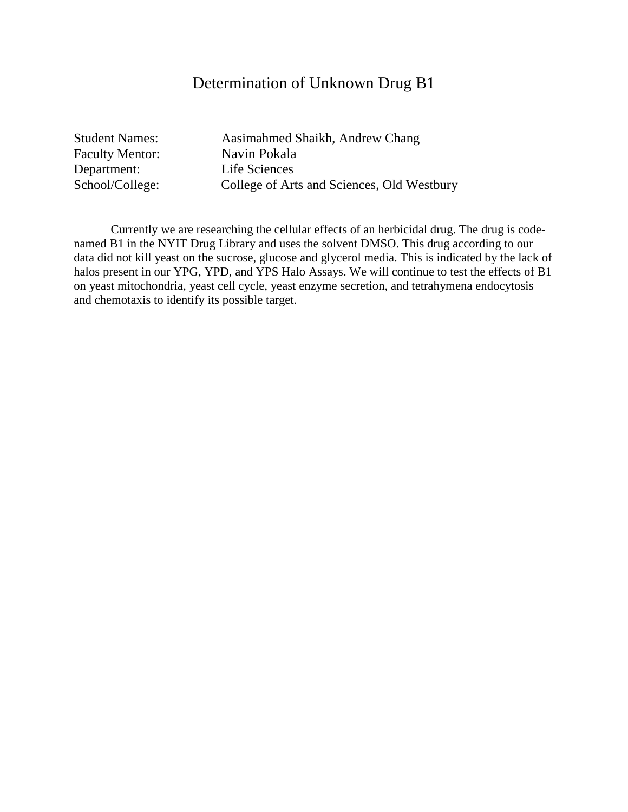### Determination of Unknown Drug B1

Faculty Mentor: Navin Pokala Department: Life Sciences

Student Names: Aasimahmed Shaikh, Andrew Chang School/College: College of Arts and Sciences, Old Westbury

Currently we are researching the cellular effects of an herbicidal drug. The drug is codenamed B1 in the NYIT Drug Library and uses the solvent DMSO. This drug according to our data did not kill yeast on the sucrose, glucose and glycerol media. This is indicated by the lack of halos present in our YPG, YPD, and YPS Halo Assays. We will continue to test the effects of B1 on yeast mitochondria, yeast cell cycle, yeast enzyme secretion, and tetrahymena endocytosis and chemotaxis to identify its possible target.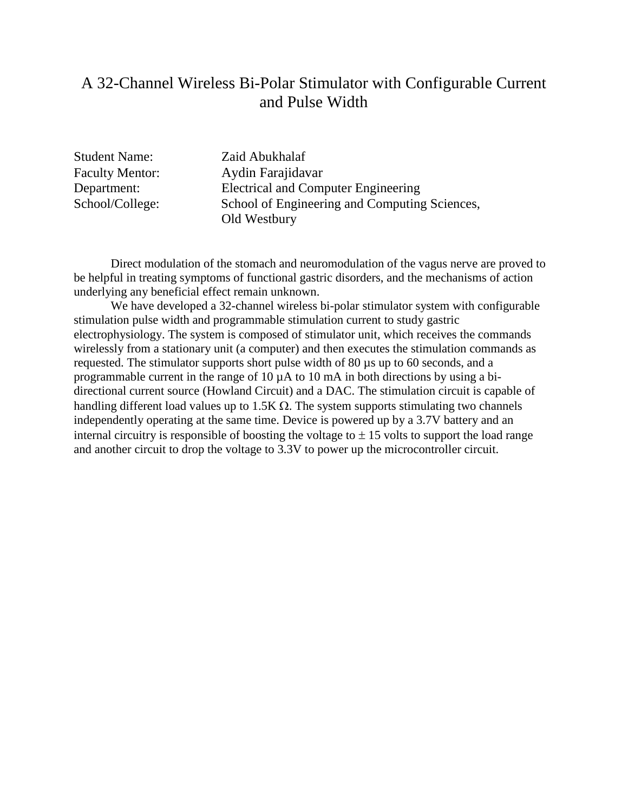### A 32-Channel Wireless Bi-Polar Stimulator with Configurable Current and Pulse Width

Student Name: Zaid Abukhalaf

Faculty Mentor: Aydin Farajidavar Department: Electrical and Computer Engineering School/College: School of Engineering and Computing Sciences, Old Westbury

Direct modulation of the stomach and neuromodulation of the vagus nerve are proved to be helpful in treating symptoms of functional gastric disorders, and the mechanisms of action underlying any beneficial effect remain unknown.

We have developed a 32-channel wireless bi-polar stimulator system with configurable stimulation pulse width and programmable stimulation current to study gastric electrophysiology. The system is composed of stimulator unit, which receives the commands wirelessly from a stationary unit (a computer) and then executes the stimulation commands as requested. The stimulator supports short pulse width of 80 µs up to 60 seconds, and a programmable current in the range of 10 µA to 10 mA in both directions by using a bidirectional current source (Howland Circuit) and a DAC. The stimulation circuit is capable of handling different load values up to  $1.5K \Omega$ . The system supports stimulating two channels independently operating at the same time. Device is powered up by a 3.7V battery and an internal circuitry is responsible of boosting the voltage to  $\pm$  15 volts to support the load range and another circuit to drop the voltage to 3.3V to power up the microcontroller circuit.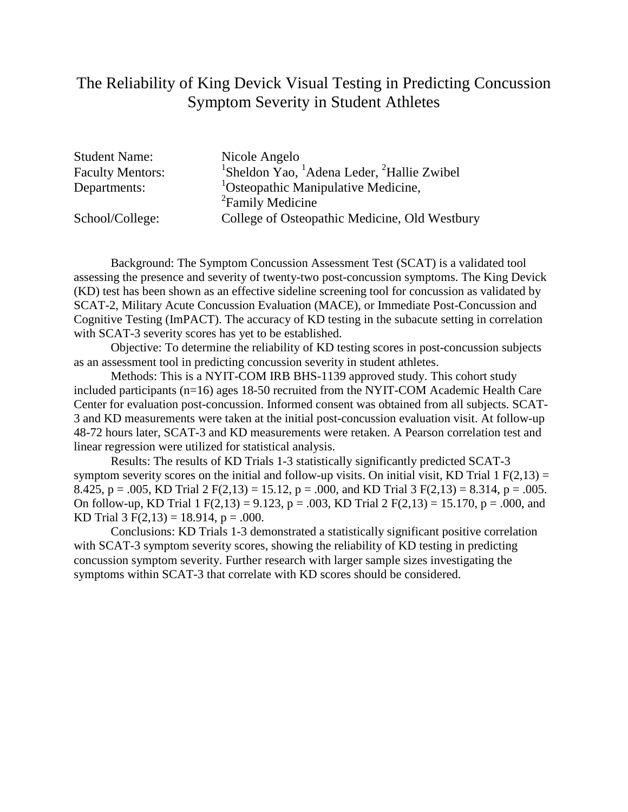### The Reliability of King Devick Visual Testing in Predicting Concussion Symptom Severity in Student Athletes

| <b>Student Name:</b>    | Nicole Angelo                                                                  |
|-------------------------|--------------------------------------------------------------------------------|
| <b>Faculty Mentors:</b> | <sup>1</sup> Sheldon Yao, <sup>1</sup> Adena Leder, <sup>2</sup> Hallie Zwibel |
| Departments:            | <sup>1</sup> Osteopathic Manipulative Medicine,                                |
|                         | <sup>2</sup> Family Medicine                                                   |
| School/College:         | College of Osteopathic Medicine, Old Westbury                                  |

Background: The Symptom Concussion Assessment Test (SCAT) is a validated tool assessing the presence and severity of twenty-two post-concussion symptoms. The King Devick (KD) test has been shown as an effective sideline screening tool for concussion as validated by SCAT-2, Military Acute Concussion Evaluation (MACE), or Immediate Post-Concussion and Cognitive Testing (ImPACT). The accuracy of KD testing in the subacute setting in correlation with SCAT-3 severity scores has yet to be established.

Objective: To determine the reliability of KD testing scores in post-concussion subjects as an assessment tool in predicting concussion severity in student athletes.

Methods: This is a NYIT-COM IRB BHS-1139 approved study. This cohort study included participants (n=16) ages 18-50 recruited from the NYIT-COM Academic Health Care Center for evaluation post-concussion. Informed consent was obtained from all subjects. SCAT-3 and KD measurements were taken at the initial post-concussion evaluation visit. At follow-up 48-72 hours later, SCAT-3 and KD measurements were retaken. A Pearson correlation test and linear regression were utilized for statistical analysis.

Results: The results of KD Trials 1-3 statistically significantly predicted SCAT-3 symptom severity scores on the initial and follow-up visits. On initial visit, KD Trial  $1 \text{ F}(2,13) =$ 8.425, p = .005, KD Trial 2 F(2,13) = 15.12, p = .000, and KD Trial 3 F(2,13) = 8.314, p = .005. On follow-up, KD Trial 1 F(2,13) = 9.123, p = .003, KD Trial 2 F(2,13) = 15.170, p = .000, and KD Trial  $3 F(2,13) = 18.914$ ,  $p = .000$ .

Conclusions: KD Trials 1-3 demonstrated a statistically significant positive correlation with SCAT-3 symptom severity scores, showing the reliability of KD testing in predicting concussion symptom severity. Further research with larger sample sizes investigating the symptoms within SCAT-3 that correlate with KD scores should be considered.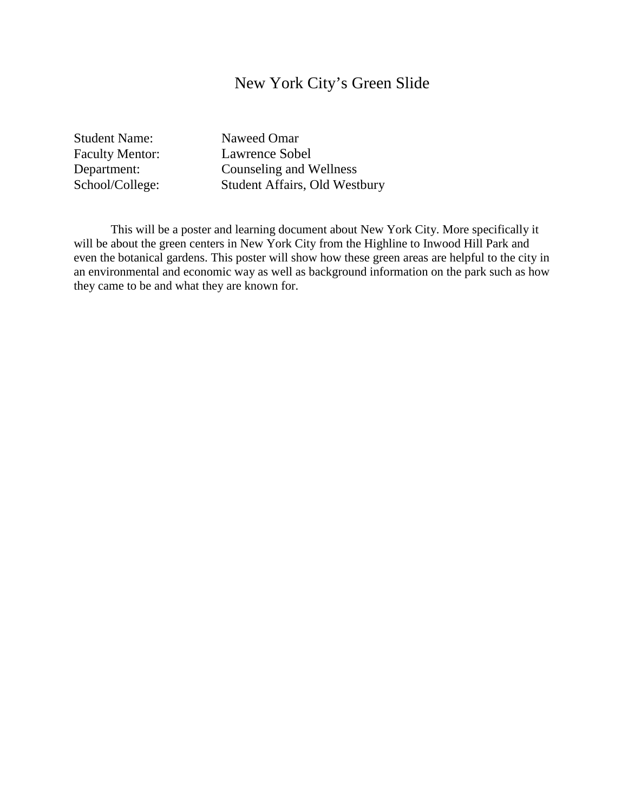### New York City's Green Slide

Student Name: Naweed Omar

Faculty Mentor: Lawrence Sobel Department: Counseling and Wellness<br>School/College: Student Affairs, Old West Student Affairs, Old Westbury

This will be a poster and learning document about New York City. More specifically it will be about the green centers in New York City from the Highline to Inwood Hill Park and even the botanical gardens. This poster will show how these green areas are helpful to the city in an environmental and economic way as well as background information on the park such as how they came to be and what they are known for.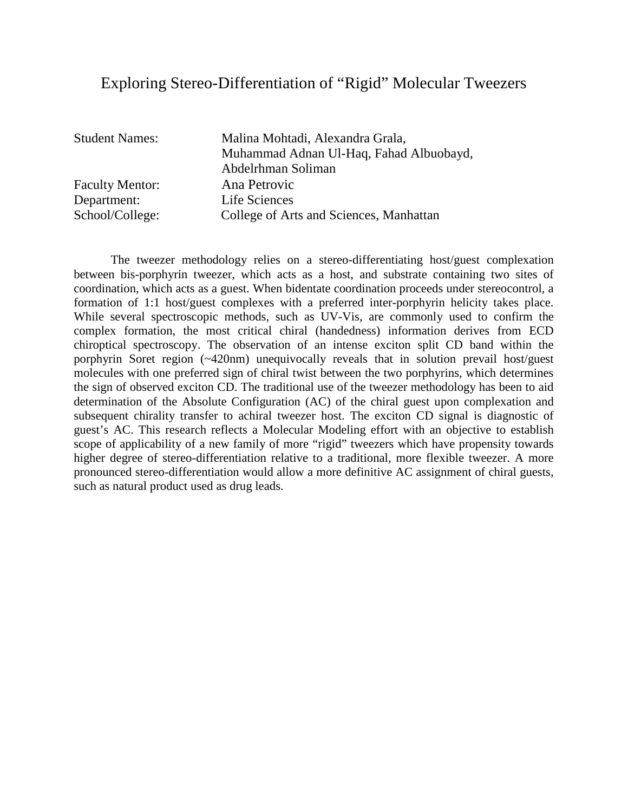### Exploring Stereo-Differentiation of "Rigid" Molecular Tweezers

Faculty Mentor: Ana Petrovic Department: Life Sciences

Student Names: Malina Mohtadi, Alexandra Grala, Muhammad Adnan Ul-Haq, Fahad Albuobayd, Abdelrhman Soliman School/College: College of Arts and Sciences, Manhattan

The tweezer methodology relies on a stereo-differentiating host/guest complexation between bis-porphyrin tweezer, which acts as a host, and substrate containing two sites of coordination, which acts as a guest. When bidentate coordination proceeds under stereocontrol, a formation of 1:1 host/guest complexes with a preferred inter-porphyrin helicity takes place. While several spectroscopic methods, such as UV-Vis, are commonly used to confirm the complex formation, the most critical chiral (handedness) information derives from ECD chiroptical spectroscopy. The observation of an intense exciton split CD band within the porphyrin Soret region (~420nm) unequivocally reveals that in solution prevail host/guest molecules with one preferred sign of chiral twist between the two porphyrins, which determines the sign of observed exciton CD. The traditional use of the tweezer methodology has been to aid determination of the Absolute Configuration (AC) of the chiral guest upon complexation and subsequent chirality transfer to achiral tweezer host. The exciton CD signal is diagnostic of guest's AC. This research reflects a Molecular Modeling effort with an objective to establish scope of applicability of a new family of more "rigid" tweezers which have propensity towards higher degree of stereo-differentiation relative to a traditional, more flexible tweezer. A more pronounced stereo-differentiation would allow a more definitive AC assignment of chiral guests, such as natural product used as drug leads.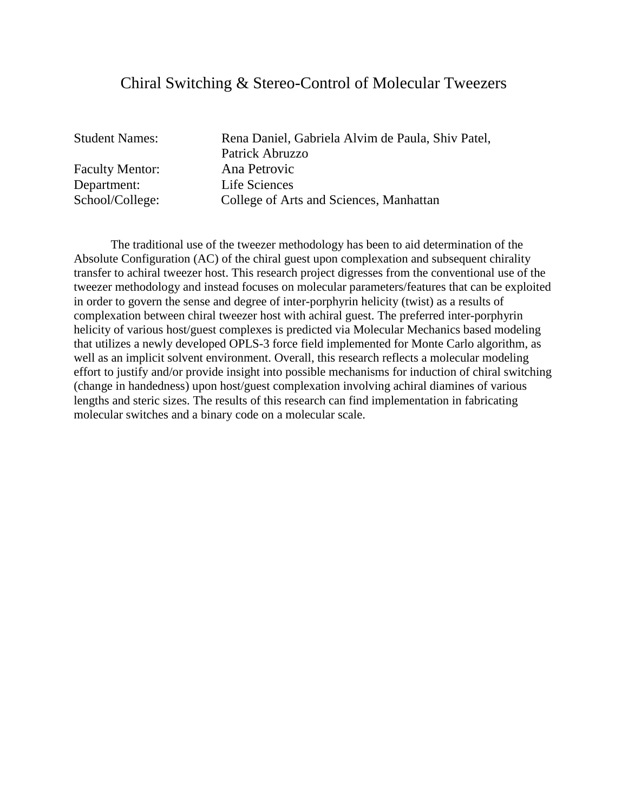### Chiral Switching & Stereo-Control of Molecular Tweezers

Faculty Mentor: Ana Petrovic Department: Life Sciences

Student Names: Rena Daniel, Gabriela Alvim de Paula, Shiv Patel, Patrick Abruzzo School/College: College of Arts and Sciences, Manhattan

The traditional use of the tweezer methodology has been to aid determination of the Absolute Configuration (AC) of the chiral guest upon complexation and subsequent chirality transfer to achiral tweezer host. This research project digresses from the conventional use of the tweezer methodology and instead focuses on molecular parameters/features that can be exploited in order to govern the sense and degree of inter-porphyrin helicity (twist) as a results of complexation between chiral tweezer host with achiral guest. The preferred inter-porphyrin helicity of various host/guest complexes is predicted via Molecular Mechanics based modeling that utilizes a newly developed OPLS-3 force field implemented for Monte Carlo algorithm, as well as an implicit solvent environment. Overall, this research reflects a molecular modeling effort to justify and/or provide insight into possible mechanisms for induction of chiral switching (change in handedness) upon host/guest complexation involving achiral diamines of various lengths and steric sizes. The results of this research can find implementation in fabricating molecular switches and a binary code on a molecular scale.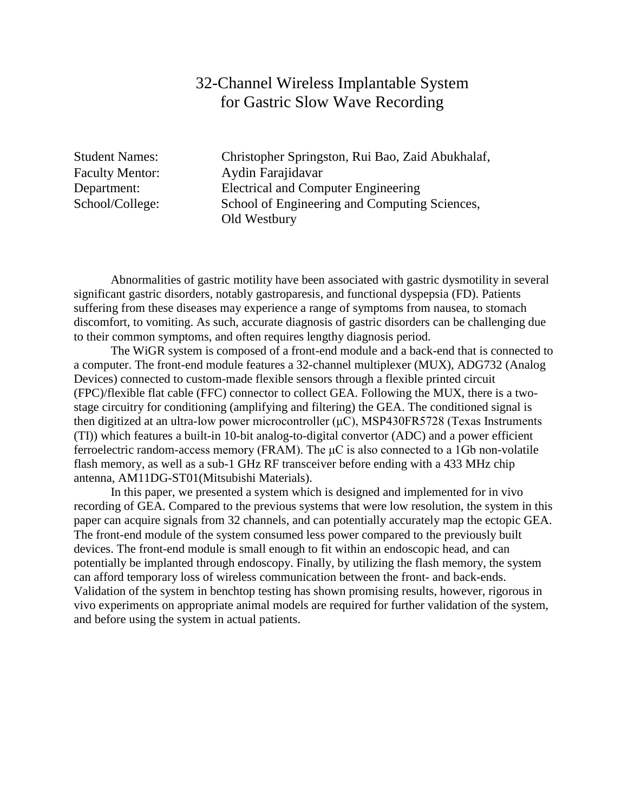### 32-Channel Wireless Implantable System for Gastric Slow Wave Recording

Student Names: Christopher Springston, Rui Bao, Zaid Abukhalaf, Faculty Mentor: Aydin Farajidavar Department: Electrical and Computer Engineering School/College: School of Engineering and Computing Sciences, Old Westbury

Abnormalities of gastric motility have been associated with gastric dysmotility in several significant gastric disorders, notably gastroparesis, and functional dyspepsia (FD). Patients suffering from these diseases may experience a range of symptoms from nausea, to stomach discomfort, to vomiting. As such, accurate diagnosis of gastric disorders can be challenging due to their common symptoms, and often requires lengthy diagnosis period.

The WiGR system is composed of a front-end module and a back-end that is connected to a computer. The front-end module features a 32-channel multiplexer (MUX), ADG732 (Analog Devices) connected to custom-made flexible sensors through a flexible printed circuit (FPC)/flexible flat cable (FFC) connector to collect GEA. Following the MUX, there is a twostage circuitry for conditioning (amplifying and filtering) the GEA. The conditioned signal is then digitized at an ultra-low power microcontroller  $(\mu C)$ , MSP430FR5728 (Texas Instruments (TI)) which features a built-in 10-bit analog-to-digital convertor (ADC) and a power efficient ferroelectric random-access memory (FRAM). The  $\mu$ C is also connected to a 1Gb non-volatile flash memory, as well as a sub-1 GHz RF transceiver before ending with a 433 MHz chip antenna, AM11DG-ST01(Mitsubishi Materials).

In this paper, we presented a system which is designed and implemented for in vivo recording of GEA. Compared to the previous systems that were low resolution, the system in this paper can acquire signals from 32 channels, and can potentially accurately map the ectopic GEA. The front-end module of the system consumed less power compared to the previously built devices. The front-end module is small enough to fit within an endoscopic head, and can potentially be implanted through endoscopy. Finally, by utilizing the flash memory, the system can afford temporary loss of wireless communication between the front- and back-ends. Validation of the system in benchtop testing has shown promising results, however, rigorous in vivo experiments on appropriate animal models are required for further validation of the system, and before using the system in actual patients.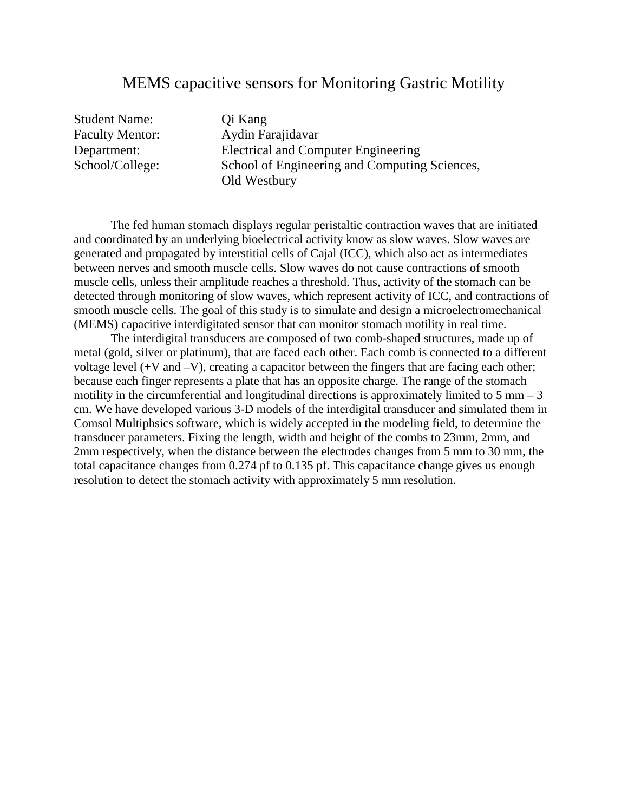#### MEMS capacitive sensors for Monitoring Gastric Motility

Student Name: Qi Kang

Faculty Mentor: Aydin Farajidavar Department: Electrical and Computer Engineering School/College: School of Engineering and Computing Sciences, Old Westbury

The fed human stomach displays regular peristaltic contraction waves that are initiated and coordinated by an underlying bioelectrical activity know as slow waves. Slow waves are generated and propagated by interstitial cells of Cajal (ICC), which also act as intermediates between nerves and smooth muscle cells. Slow waves do not cause contractions of smooth muscle cells, unless their amplitude reaches a threshold. Thus, activity of the stomach can be detected through monitoring of slow waves, which represent activity of ICC, and contractions of smooth muscle cells. The goal of this study is to simulate and design a microelectromechanical (MEMS) capacitive interdigitated sensor that can monitor stomach motility in real time.

The interdigital transducers are composed of two comb-shaped structures, made up of metal (gold, silver or platinum), that are faced each other. Each comb is connected to a different voltage level (+V and –V), creating a capacitor between the fingers that are facing each other; because each finger represents a plate that has an opposite charge. The range of the stomach motility in the circumferential and longitudinal directions is approximately limited to  $5 \text{ mm} - 3$ cm. We have developed various 3-D models of the interdigital transducer and simulated them in Comsol Multiphsics software, which is widely accepted in the modeling field, to determine the transducer parameters. Fixing the length, width and height of the combs to 23mm, 2mm, and 2mm respectively, when the distance between the electrodes changes from 5 mm to 30 mm, the total capacitance changes from 0.274 pf to 0.135 pf. This capacitance change gives us enough resolution to detect the stomach activity with approximately 5 mm resolution.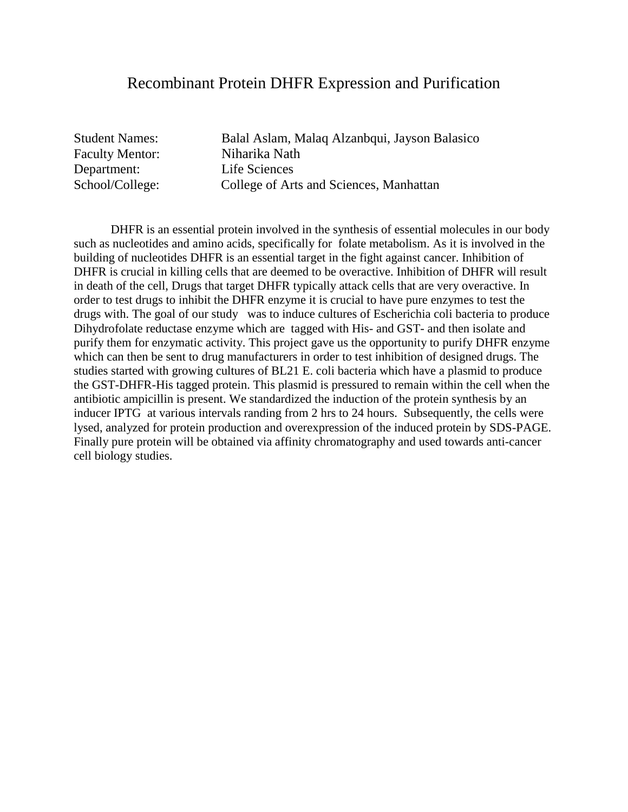#### Recombinant Protein DHFR Expression and Purification

Faculty Mentor: Niharika Nath Department: Life Sciences

Student Names: Balal Aslam, Malaq Alzanbqui, Jayson Balasico School/College: College of Arts and Sciences, Manhattan

DHFR is an essential protein involved in the synthesis of essential molecules in our body such as nucleotides and amino acids, specifically for folate metabolism. As it is involved in the building of nucleotides DHFR is an essential target in the fight against cancer. Inhibition of DHFR is crucial in killing cells that are deemed to be overactive. Inhibition of DHFR will result in death of the cell, Drugs that target DHFR typically attack cells that are very overactive. In order to test drugs to inhibit the DHFR enzyme it is crucial to have pure enzymes to test the drugs with. The goal of our study was to induce cultures of Escherichia coli bacteria to produce Dihydrofolate reductase enzyme which are tagged with His- and GST- and then isolate and purify them for enzymatic activity. This project gave us the opportunity to purify DHFR enzyme which can then be sent to drug manufacturers in order to test inhibition of designed drugs. The studies started with growing cultures of BL21 E. coli bacteria which have a plasmid to produce the GST-DHFR-His tagged protein. This plasmid is pressured to remain within the cell when the antibiotic ampicillin is present. We standardized the induction of the protein synthesis by an inducer IPTG at various intervals randing from 2 hrs to 24 hours. Subsequently, the cells were lysed, analyzed for protein production and overexpression of the induced protein by SDS-PAGE. Finally pure protein will be obtained via affinity chromatography and used towards anti-cancer cell biology studies.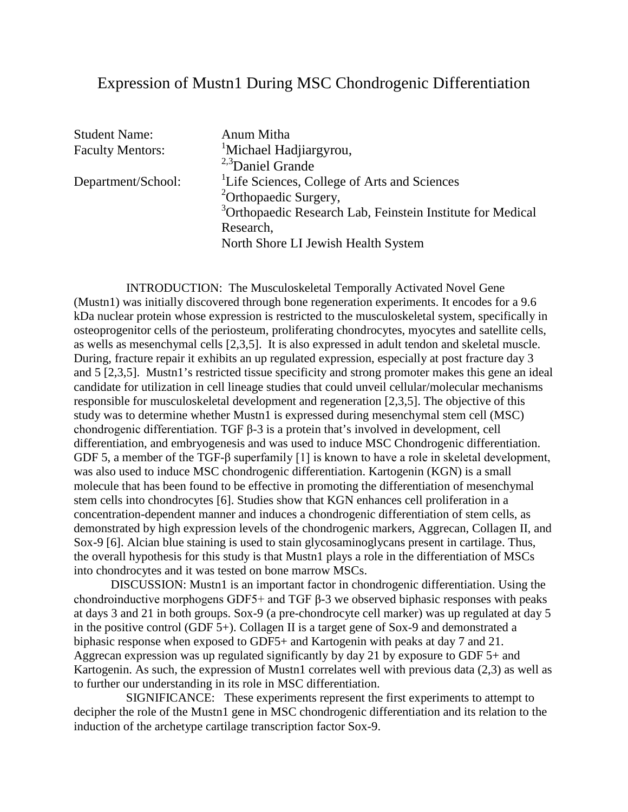### Expression of Mustn1 During MSC Chondrogenic Differentiation

| <sup>3</sup> Orthopaedic Research Lab, Feinstein Institute for Medical |
|------------------------------------------------------------------------|
|                                                                        |
|                                                                        |
|                                                                        |

 INTRODUCTION: The Musculoskeletal Temporally Activated Novel Gene (Mustn1) was initially discovered through bone regeneration experiments. It encodes for a 9.6 kDa nuclear protein whose expression is restricted to the musculoskeletal system, specifically in osteoprogenitor cells of the periosteum, proliferating chondrocytes, myocytes and satellite cells, as wells as mesenchymal cells [2,3,5]. It is also expressed in adult tendon and skeletal muscle. During, fracture repair it exhibits an up regulated expression, especially at post fracture day 3 and 5 [2,3,5]. Mustn1's restricted tissue specificity and strong promoter makes this gene an ideal candidate for utilization in cell lineage studies that could unveil cellular/molecular mechanisms responsible for musculoskeletal development and regeneration [2,3,5]. The objective of this study was to determine whether Mustn1 is expressed during mesenchymal stem cell (MSC) chondrogenic differentiation. TGF β-3 is a protein that's involved in development, cell differentiation, and embryogenesis and was used to induce MSC Chondrogenic differentiation. GDF 5, a member of the TGF-β superfamily [1] is known to have a role in skeletal development, was also used to induce MSC chondrogenic differentiation. Kartogenin (KGN) is a small molecule that has been found to be effective in promoting the differentiation of mesenchymal stem cells into chondrocytes [6]. Studies show that KGN enhances cell proliferation in a concentration-dependent manner and induces a chondrogenic differentiation of stem cells, as demonstrated by high expression levels of the chondrogenic markers, Aggrecan, Collagen II, and Sox-9 [6]. Alcian blue staining is used to stain glycosaminoglycans present in cartilage. Thus, the overall hypothesis for this study is that Mustn1 plays a role in the differentiation of MSCs into chondrocytes and it was tested on bone marrow MSCs.

DISCUSSION: Mustn1 is an important factor in chondrogenic differentiation. Using the chondroinductive morphogens GDF5+ and TGF β-3 we observed biphasic responses with peaks at days 3 and 21 in both groups. Sox-9 (a pre-chondrocyte cell marker) was up regulated at day 5 in the positive control (GDF 5+). Collagen II is a target gene of Sox-9 and demonstrated a biphasic response when exposed to GDF5+ and Kartogenin with peaks at day 7 and 21. Aggrecan expression was up regulated significantly by day 21 by exposure to GDF 5+ and Kartogenin. As such, the expression of Mustn1 correlates well with previous data  $(2,3)$  as well as to further our understanding in its role in MSC differentiation.

 SIGNIFICANCE: These experiments represent the first experiments to attempt to decipher the role of the Mustn1 gene in MSC chondrogenic differentiation and its relation to the induction of the archetype cartilage transcription factor Sox-9.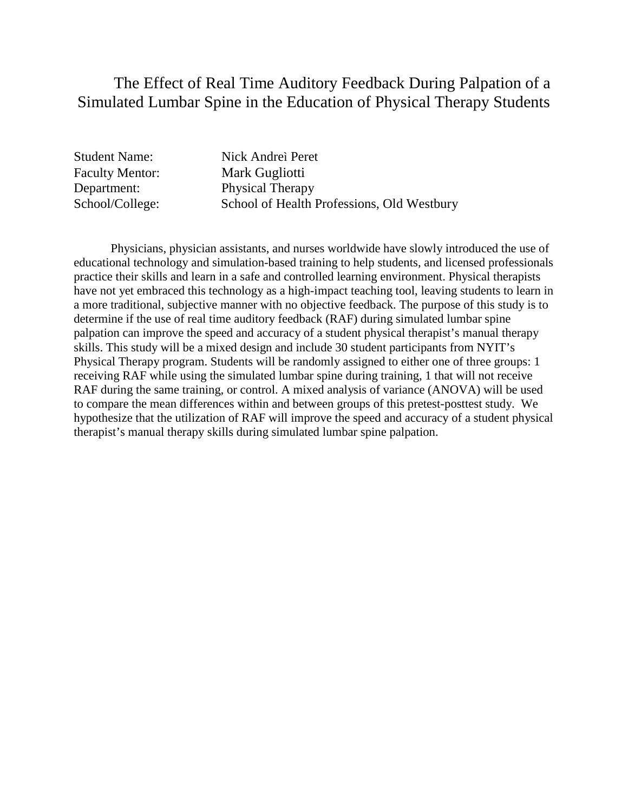### The Effect of Real Time Auditory Feedback During Palpation of a Simulated Lumbar Spine in the Education of Physical Therapy Students

| <b>Student Name:</b>   | Nick Andrei Peret                          |
|------------------------|--------------------------------------------|
| <b>Faculty Mentor:</b> | Mark Gugliotti                             |
| Department:            | <b>Physical Therapy</b>                    |
| School/College:        | School of Health Professions, Old Westbury |

Physicians, physician assistants, and nurses worldwide have slowly introduced the use of educational technology and simulation-based training to help students, and licensed professionals practice their skills and learn in a safe and controlled learning environment. Physical therapists have not yet embraced this technology as a high-impact teaching tool, leaving students to learn in a more traditional, subjective manner with no objective feedback. The purpose of this study is to determine if the use of real time auditory feedback (RAF) during simulated lumbar spine palpation can improve the speed and accuracy of a student physical therapist's manual therapy skills. This study will be a mixed design and include 30 student participants from NYIT's Physical Therapy program. Students will be randomly assigned to either one of three groups: 1 receiving RAF while using the simulated lumbar spine during training, 1 that will not receive RAF during the same training, or control. A mixed analysis of variance (ANOVA) will be used to compare the mean differences within and between groups of this pretest-posttest study. We hypothesize that the utilization of RAF will improve the speed and accuracy of a student physical therapist's manual therapy skills during simulated lumbar spine palpation.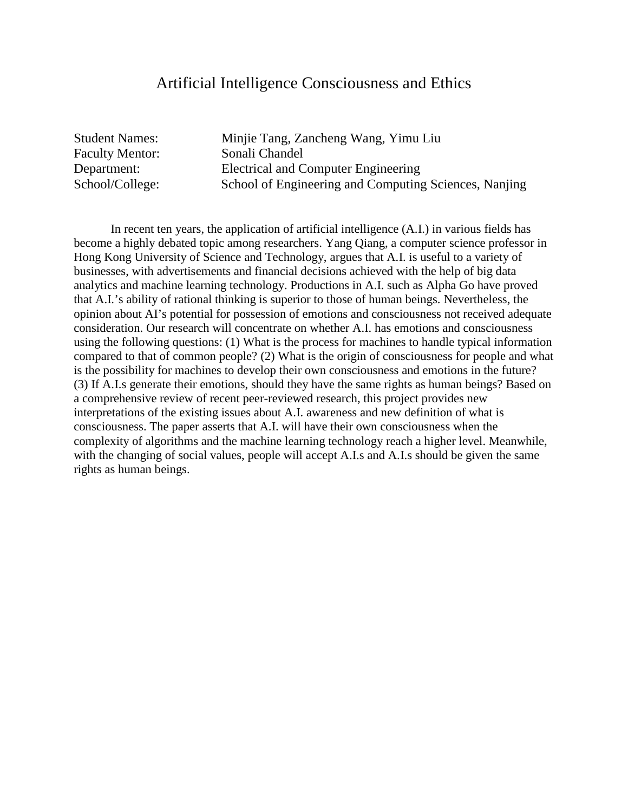#### Artificial Intelligence Consciousness and Ethics

Student Names: Minjie Tang, Zancheng Wang, Yimu Liu Faculty Mentor: Sonali Chandel Department: Electrical and Computer Engineering School/College: School of Engineering and Computing Sciences, Nanjing

In recent ten years, the application of artificial intelligence (A.I.) in various fields has become a highly debated topic among researchers. Yang Qiang, a computer science professor in Hong Kong University of Science and Technology, argues that A.I. is useful to a variety of businesses, with advertisements and financial decisions achieved with the help of big data analytics and machine learning technology. Productions in A.I. such as Alpha Go have proved that A.I.'s ability of rational thinking is superior to those of human beings. Nevertheless, the opinion about AI's potential for possession of emotions and consciousness not received adequate consideration. Our research will concentrate on whether A.I. has emotions and consciousness using the following questions: (1) What is the process for machines to handle typical information compared to that of common people? (2) What is the origin of consciousness for people and what is the possibility for machines to develop their own consciousness and emotions in the future? (3) If A.I.s generate their emotions, should they have the same rights as human beings? Based on a comprehensive review of recent peer-reviewed research, this project provides new interpretations of the existing issues about A.I. awareness and new definition of what is consciousness. The paper asserts that A.I. will have their own consciousness when the complexity of algorithms and the machine learning technology reach a higher level. Meanwhile, with the changing of social values, people will accept A.I.s and A.I.s should be given the same rights as human beings.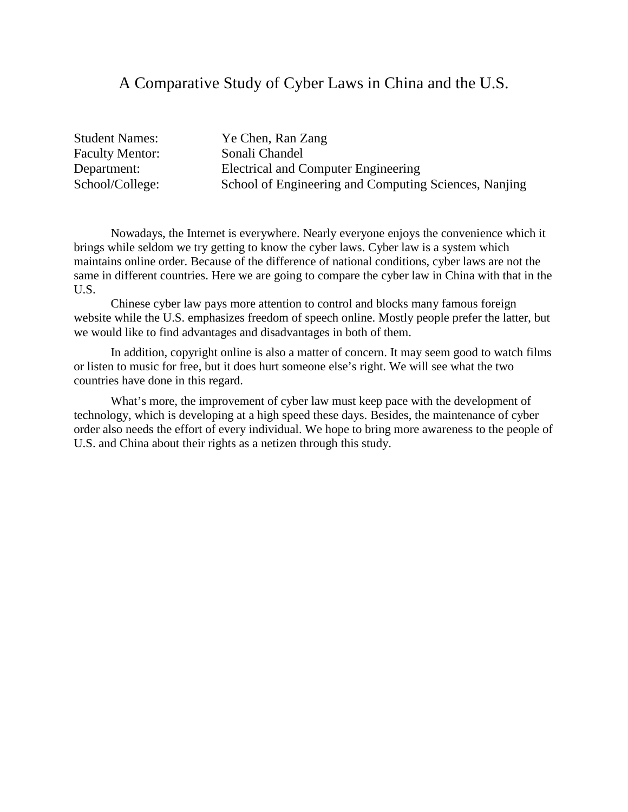#### A Comparative Study of Cyber Laws in China and the U.S.

Faculty Mentor: Sonali Chandel

Student Names: Ye Chen, Ran Zang Department: Electrical and Computer Engineering School/College: School of Engineering and Computing Sciences, Nanjing

Nowadays, the Internet is everywhere. Nearly everyone enjoys the convenience which it brings while seldom we try getting to know the cyber laws. Cyber law is a system which maintains online order. Because of the difference of national conditions, cyber laws are not the same in different countries. Here we are going to compare the cyber law in China with that in the U.S.

Chinese cyber law pays more attention to control and blocks many famous foreign website while the U.S. emphasizes freedom of speech online. Mostly people prefer the latter, but we would like to find advantages and disadvantages in both of them.

In addition, copyright online is also a matter of concern. It may seem good to watch films or listen to music for free, but it does hurt someone else's right. We will see what the two countries have done in this regard.

What's more, the improvement of cyber law must keep pace with the development of technology, which is developing at a high speed these days. Besides, the maintenance of cyber order also needs the effort of every individual. We hope to bring more awareness to the people of U.S. and China about their rights as a netizen through this study.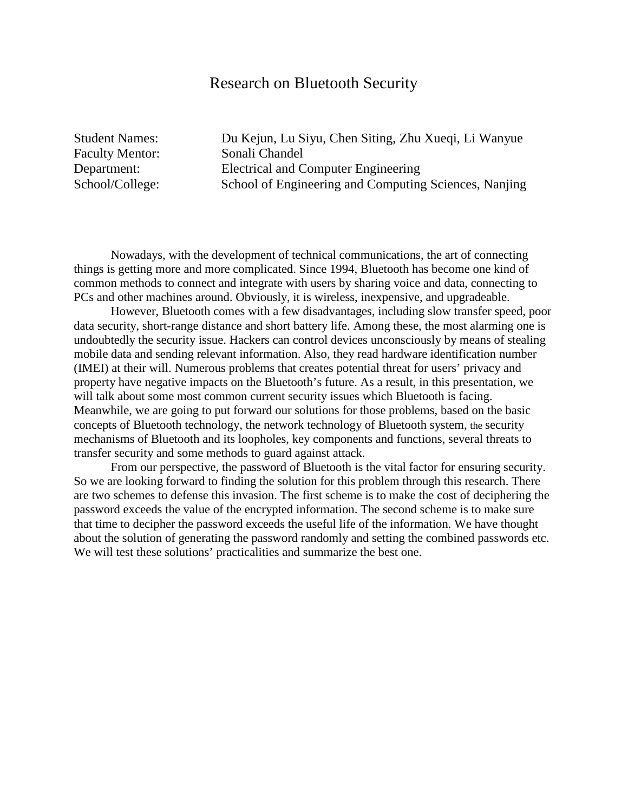#### Research on Bluetooth Security

Faculty Mentor: Sonali Chandel

Student Names: Du Kejun, Lu Siyu, Chen Siting, Zhu Xueqi, Li Wanyue Department: Electrical and Computer Engineering School/College: School of Engineering and Computing Sciences, Nanjing

Nowadays, with the development of technical communications, the art of connecting things is getting more and more complicated. Since 1994, Bluetooth has become one kind of common methods to connect and integrate with users by sharing voice and data, connecting to PCs and other machines around. Obviously, it is wireless, inexpensive, and upgradeable.

However, Bluetooth comes with a few disadvantages, including slow transfer speed, poor data security, short-range distance and short battery life. Among these, the most alarming one is undoubtedly the security issue. Hackers can control devices unconsciously by means of stealing mobile data and sending relevant information. Also, they read hardware identification number (IMEI) at their will. Numerous problems that creates potential threat for users' privacy and property have negative impacts on the Bluetooth's future. As a result, in this presentation, we will talk about some most common current security issues which Bluetooth is facing. Meanwhile, we are going to put forward our solutions for those problems, based on the basic concepts of Bluetooth technology, the network technology of Bluetooth system, the security mechanisms of Bluetooth and its loopholes, key components and functions, several threats to transfer security and some methods to guard against attack.

From our perspective, the password of Bluetooth is the vital factor for ensuring security. So we are looking forward to finding the solution for this problem through this research. There are two schemes to defense this invasion. The first scheme is to make the cost of deciphering the password exceeds the value of the encrypted information. The second scheme is to make sure that time to decipher the password exceeds the useful life of the information. We have thought about the solution of generating the password randomly and setting the combined passwords etc. We will test these solutions' practicalities and summarize the best one.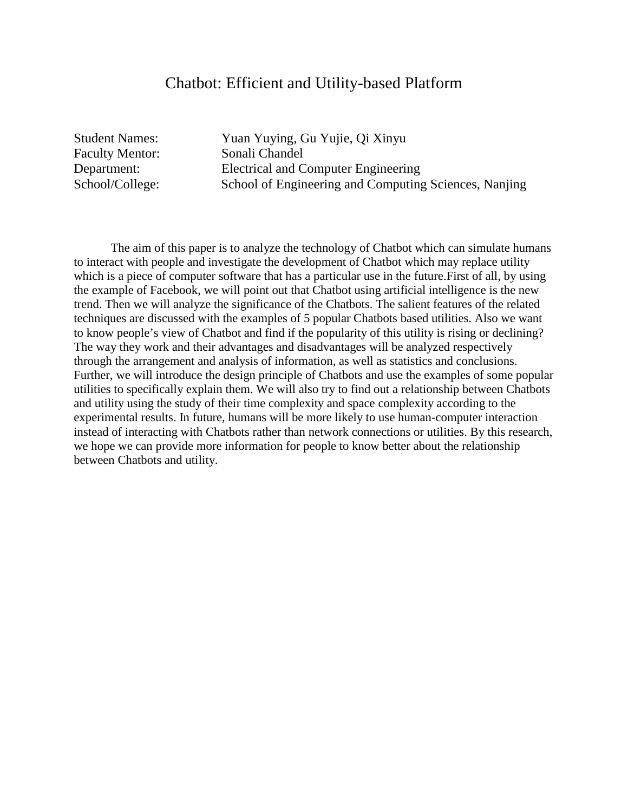#### Chatbot: Efficient and Utility-based Platform

Faculty Mentor: Sonali Chandel

Student Names: Yuan Yuying, Gu Yujie, Qi Xinyu Department: Electrical and Computer Engineering School/College: School of Engineering and Computing Sciences, Nanjing

The aim of this paper is to analyze the technology of Chatbot which can simulate humans to interact with people and investigate the development of Chatbot which may replace utility which is a piece of computer software that has a particular use in the future. First of all, by using the example of Facebook, we will point out that Chatbot using artificial intelligence is the new trend. Then we will analyze the significance of the Chatbots. The salient features of the related techniques are discussed with the examples of 5 popular Chatbots based utilities. Also we want to know people's view of Chatbot and find if the popularity of this utility is rising or declining? The way they work and their advantages and disadvantages will be analyzed respectively through the arrangement and analysis of information, as well as statistics and conclusions. Further, we will introduce the design principle of Chatbots and use the examples of some popular utilities to specifically explain them. We will also try to find out a relationship between Chatbots and utility using the study of their time complexity and space complexity according to the experimental results. In future, humans will be more likely to use human-computer interaction instead of interacting with Chatbots rather than network connections or utilities. By this research, we hope we can provide more information for people to know better about the relationship between Chatbots and utility.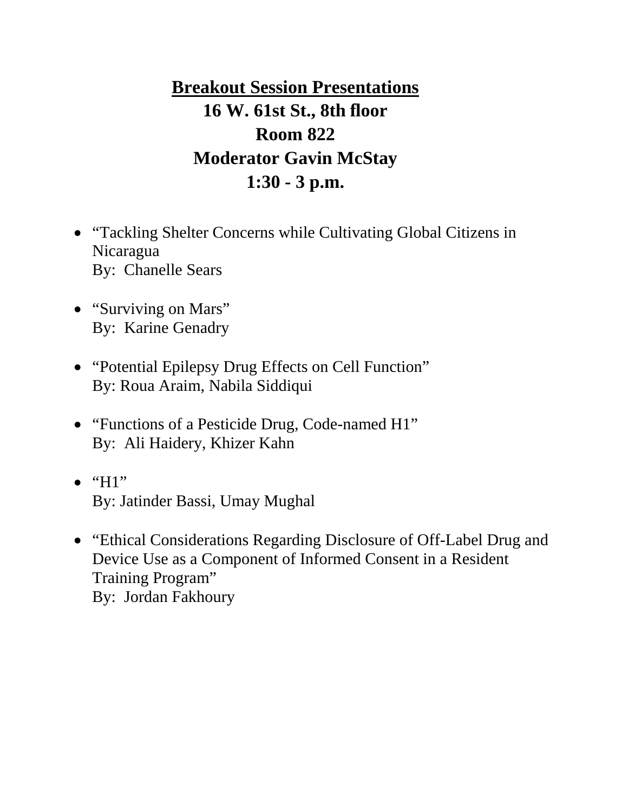**Breakout Session Presentations 16 W. 61st St., 8th floor Room 822 Moderator Gavin McStay 1:30 - 3 p.m.**

- "Tackling Shelter Concerns while Cultivating Global Citizens in Nicaragua By: Chanelle Sears
- "Surviving on Mars" By: Karine Genadry
- "Potential Epilepsy Drug Effects on Cell Function" By: Roua Araim, Nabila Siddiqui
- "Functions of a Pesticide Drug, Code-named H1" By: Ali Haidery, Khizer Kahn
- $\bullet$  "H1" By: Jatinder Bassi, Umay Mughal
- "Ethical Considerations Regarding Disclosure of Off-Label Drug and Device Use as a Component of Informed Consent in a Resident Training Program" By: Jordan Fakhoury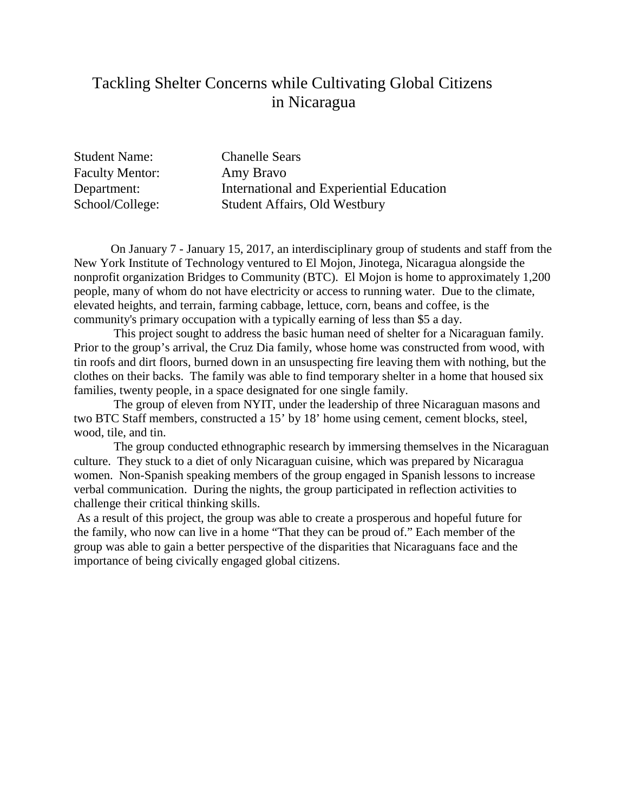### Tackling Shelter Concerns while Cultivating Global Citizens in Nicaragua

Student Name: Chanelle Sears Faculty Mentor: Amy Bravo Department: International and Experiential Education School/College: Student Affairs, Old Westbury

On January 7 - January 15, 2017, an interdisciplinary group of students and staff from the New York Institute of Technology ventured to El Mojon, Jinotega, Nicaragua alongside the nonprofit organization Bridges to Community (BTC). El Mojon is home to approximately 1,200 people, many of whom do not have electricity or access to running water. Due to the climate, elevated heights, and terrain, farming cabbage, lettuce, corn, beans and coffee, is the community's primary occupation with a typically earning of less than \$5 a day.

This project sought to address the basic human need of shelter for a Nicaraguan family. Prior to the group's arrival, the Cruz Dia family, whose home was constructed from wood, with tin roofs and dirt floors, burned down in an unsuspecting fire leaving them with nothing, but the clothes on their backs. The family was able to find temporary shelter in a home that housed six families, twenty people, in a space designated for one single family.

The group of eleven from NYIT, under the leadership of three Nicaraguan masons and two BTC Staff members, constructed a 15' by 18' home using cement, cement blocks, steel, wood, tile, and tin.

The group conducted ethnographic research by immersing themselves in the Nicaraguan culture. They stuck to a diet of only Nicaraguan cuisine, which was prepared by Nicaragua women. Non-Spanish speaking members of the group engaged in Spanish lessons to increase verbal communication. During the nights, the group participated in reflection activities to challenge their critical thinking skills.

As a result of this project, the group was able to create a prosperous and hopeful future for the family, who now can live in a home "That they can be proud of." Each member of the group was able to gain a better perspective of the disparities that Nicaraguans face and the importance of being civically engaged global citizens.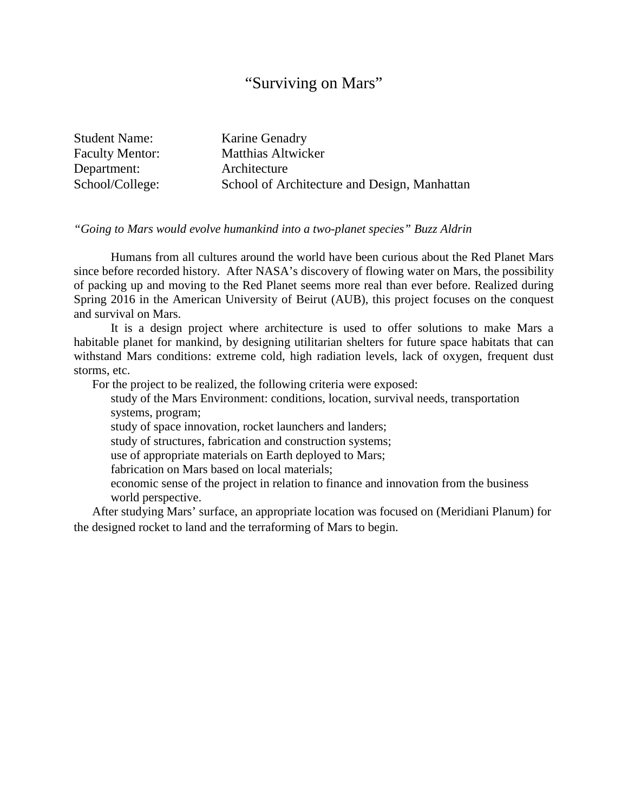#### "Surviving on Mars"

| <b>Student Name:</b>   | <b>Karine Genadry</b>                        |
|------------------------|----------------------------------------------|
| <b>Faculty Mentor:</b> | <b>Matthias Altwicker</b>                    |
| Department:            | Architecture                                 |
| School/College:        | School of Architecture and Design, Manhattan |

#### *"Going to Mars would evolve humankind into a two-planet species" Buzz Aldrin*

Humans from all cultures around the world have been curious about the Red Planet Mars since before recorded history. After NASA's discovery of flowing water on Mars, the possibility of packing up and moving to the Red Planet seems more real than ever before. Realized during Spring 2016 in the American University of Beirut (AUB), this project focuses on the conquest and survival on Mars.

It is a design project where architecture is used to offer solutions to make Mars a habitable planet for mankind, by designing utilitarian shelters for future space habitats that can withstand Mars conditions: extreme cold, high radiation levels, lack of oxygen, frequent dust storms, etc.

For the project to be realized, the following criteria were exposed:

study of the Mars Environment: conditions, location, survival needs, transportation systems, program;

study of space innovation, rocket launchers and landers;

study of structures, fabrication and construction systems;

use of appropriate materials on Earth deployed to Mars;

fabrication on Mars based on local materials;

economic sense of the project in relation to finance and innovation from the business world perspective.

After studying Mars' surface, an appropriate location was focused on (Meridiani Planum) for the designed rocket to land and the terraforming of Mars to begin.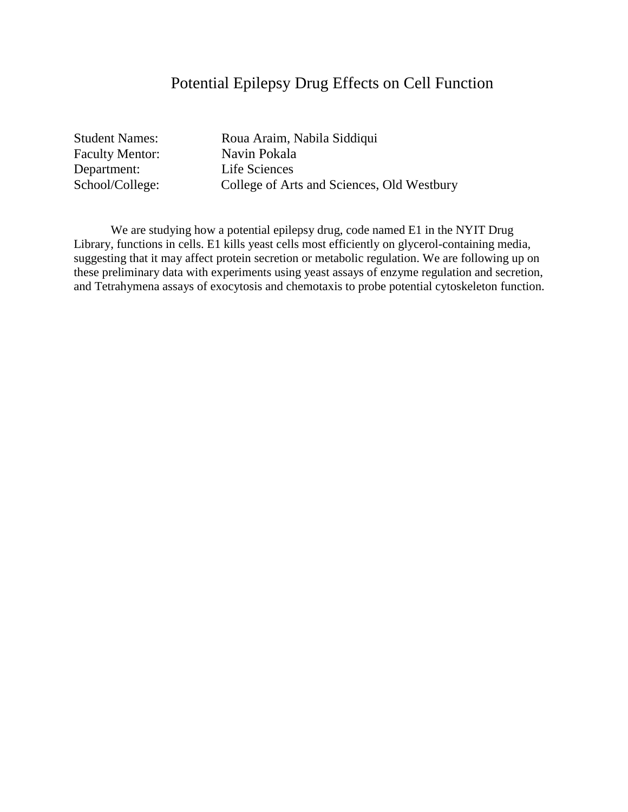### Potential Epilepsy Drug Effects on Cell Function

Faculty Mentor: Navin Pokala Department: Life Sciences

Student Names: Roua Araim, Nabila Siddiqui School/College: College of Arts and Sciences, Old Westbury

We are studying how a potential epilepsy drug, code named E1 in the NYIT Drug Library, functions in cells. E1 kills yeast cells most efficiently on glycerol-containing media, suggesting that it may affect protein secretion or metabolic regulation. We are following up on these preliminary data with experiments using yeast assays of enzyme regulation and secretion, and Tetrahymena assays of exocytosis and chemotaxis to probe potential cytoskeleton function.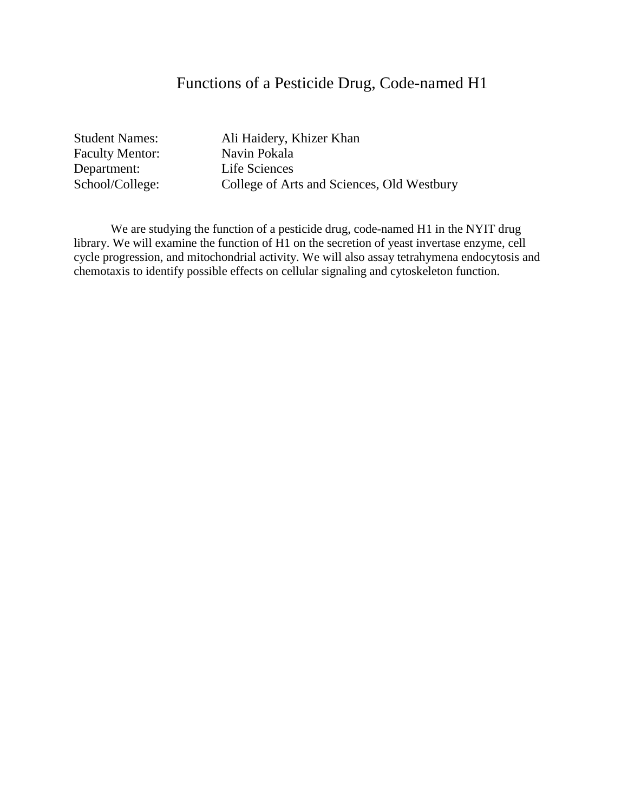### Functions of a Pesticide Drug, Code-named H1

Faculty Mentor: Navin Pokala<br>
Department: Life Sciences Department:<br>
School/College:<br>
College of Art

Student Names: Ali Haidery, Khizer Khan College of Arts and Sciences, Old Westbury

We are studying the function of a pesticide drug, code-named H1 in the NYIT drug library. We will examine the function of H1 on the secretion of yeast invertase enzyme, cell cycle progression, and mitochondrial activity. We will also assay tetrahymena endocytosis and chemotaxis to identify possible effects on cellular signaling and cytoskeleton function.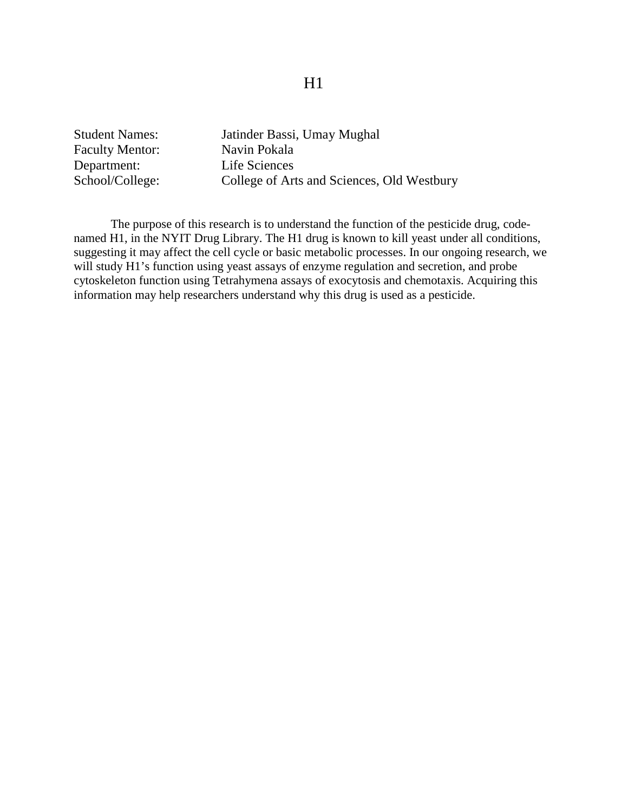#### H1

Faculty Mentor: Navin Pokala Department: Life Sciences

Student Names: Jatinder Bassi, Umay Mughal School/College: College of Arts and Sciences, Old Westbury

The purpose of this research is to understand the function of the pesticide drug, codenamed H1, in the NYIT Drug Library. The H1 drug is known to kill yeast under all conditions, suggesting it may affect the cell cycle or basic metabolic processes. In our ongoing research, we will study H1's function using yeast assays of enzyme regulation and secretion, and probe cytoskeleton function using Tetrahymena assays of exocytosis and chemotaxis. Acquiring this information may help researchers understand why this drug is used as a pesticide.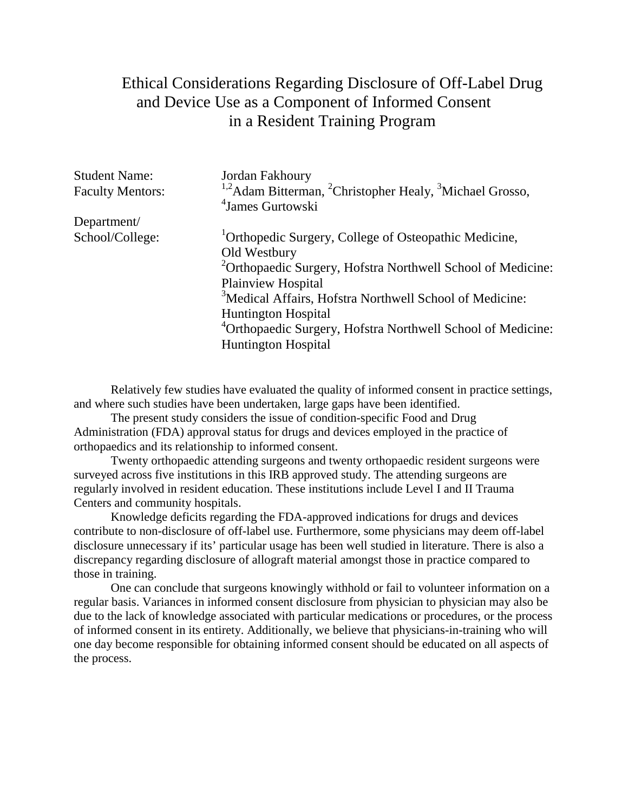## Ethical Considerations Regarding Disclosure of Off-Label Drug and Device Use as a Component of Informed Consent in a Resident Training Program

| <b>Student Name:</b><br><b>Faculty Mentors:</b> | Jordan Fakhoury<br><sup>1,2</sup> Adam Bitterman, <sup>2</sup> Christopher Healy, <sup>3</sup> Michael Grosso,<br><sup>4</sup> James Gurtowski |
|-------------------------------------------------|------------------------------------------------------------------------------------------------------------------------------------------------|
| Department/                                     |                                                                                                                                                |
| School/College:                                 | <sup>1</sup> Orthopedic Surgery, College of Osteopathic Medicine,                                                                              |
|                                                 | Old Westbury                                                                                                                                   |
|                                                 | <sup>2</sup> Orthopaedic Surgery, Hofstra Northwell School of Medicine:                                                                        |
|                                                 | Plainview Hospital                                                                                                                             |
|                                                 | <sup>3</sup> Medical Affairs, Hofstra Northwell School of Medicine:                                                                            |
|                                                 | <b>Huntington Hospital</b>                                                                                                                     |
|                                                 | <sup>4</sup> Orthopaedic Surgery, Hofstra Northwell School of Medicine:                                                                        |
|                                                 | <b>Huntington Hospital</b>                                                                                                                     |

Relatively few studies have evaluated the quality of informed consent in practice settings, and where such studies have been undertaken, large gaps have been identified.

The present study considers the issue of condition-specific Food and Drug Administration (FDA) approval status for drugs and devices employed in the practice of orthopaedics and its relationship to informed consent.

Twenty orthopaedic attending surgeons and twenty orthopaedic resident surgeons were surveyed across five institutions in this IRB approved study. The attending surgeons are regularly involved in resident education. These institutions include Level I and II Trauma Centers and community hospitals.

Knowledge deficits regarding the FDA-approved indications for drugs and devices contribute to non-disclosure of off-label use. Furthermore, some physicians may deem off-label disclosure unnecessary if its' particular usage has been well studied in literature. There is also a discrepancy regarding disclosure of allograft material amongst those in practice compared to those in training.

One can conclude that surgeons knowingly withhold or fail to volunteer information on a regular basis. Variances in informed consent disclosure from physician to physician may also be due to the lack of knowledge associated with particular medications or procedures, or the process of informed consent in its entirety. Additionally, we believe that physicians-in-training who will one day become responsible for obtaining informed consent should be educated on all aspects of the process.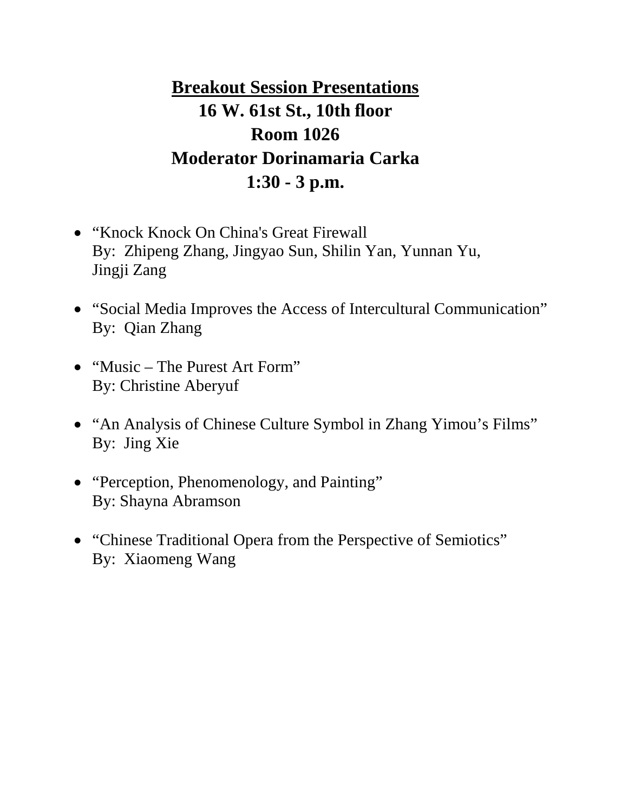**Breakout Session Presentations 16 W. 61st St., 10th floor Room 1026 Moderator Dorinamaria Carka 1:30 - 3 p.m.**

- "Knock Knock On China's Great Firewall By: Zhipeng Zhang, Jingyao Sun, Shilin Yan, Yunnan Yu, Jingji Zang
- "Social Media Improves the Access of Intercultural Communication" By: Qian Zhang
- "Music The Purest Art Form" By: Christine Aberyuf
- "An Analysis of Chinese Culture Symbol in Zhang Yimou's Films" By: Jing Xie
- "Perception, Phenomenology, and Painting" By: Shayna Abramson
- "Chinese Traditional Opera from the Perspective of Semiotics" By: Xiaomeng Wang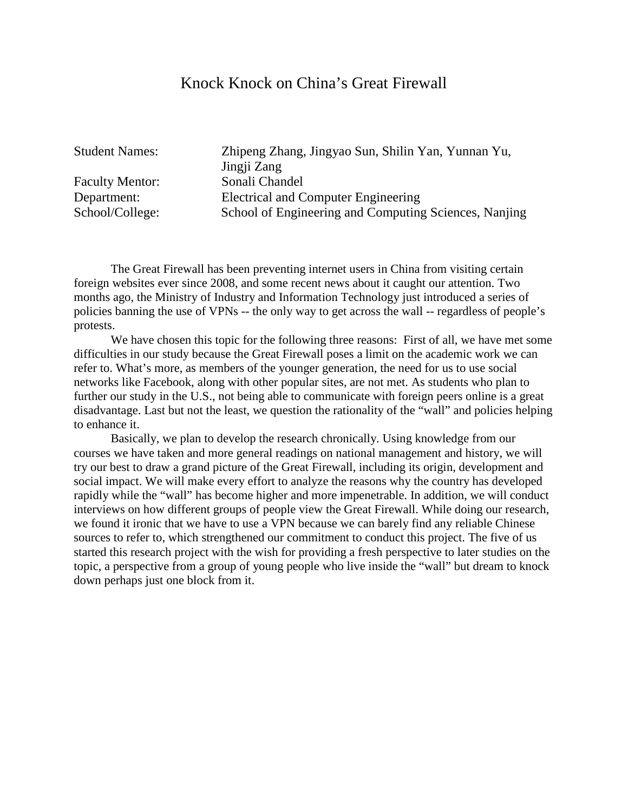#### Knock Knock on China's Great Firewall

Faculty Mentor: Sonali Chandel

Student Names: Zhipeng Zhang, Jingyao Sun, Shilin Yan, Yunnan Yu, Jingji Zang Department: Electrical and Computer Engineering School/College: School of Engineering and Computing Sciences, Nanjing

The Great Firewall has been preventing internet users in China from visiting certain foreign websites ever since 2008, and some recent news about it caught our attention. Two months ago, the Ministry of Industry and Information Technology just introduced a series of policies banning the use of VPNs -- the only way to get across the wall -- regardless of people's protests.

We have chosen this topic for the following three reasons: First of all, we have met some difficulties in our study because the Great Firewall poses a limit on the academic work we can refer to. What's more, as members of the younger generation, the need for us to use social networks like Facebook, along with other popular sites, are not met. As students who plan to further our study in the U.S., not being able to communicate with foreign peers online is a great disadvantage. Last but not the least, we question the rationality of the "wall" and policies helping to enhance it.

Basically, we plan to develop the research chronically. Using knowledge from our courses we have taken and more general readings on national management and history, we will try our best to draw a grand picture of the Great Firewall, including its origin, development and social impact. We will make every effort to analyze the reasons why the country has developed rapidly while the "wall" has become higher and more impenetrable. In addition, we will conduct interviews on how different groups of people view the Great Firewall. While doing our research, we found it ironic that we have to use a VPN because we can barely find any reliable Chinese sources to refer to, which strengthened our commitment to conduct this project. The five of us started this research project with the wish for providing a fresh perspective to later studies on the topic, a perspective from a group of young people who live inside the "wall" but dream to knock down perhaps just one block from it.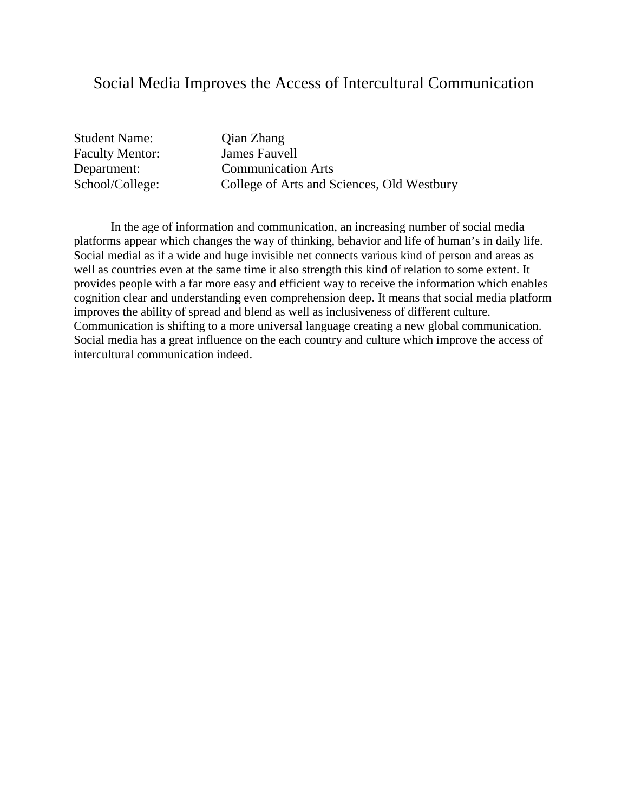### Social Media Improves the Access of Intercultural Communication

Student Name: Qian Zhang Faculty Mentor: James Fauvell

Department: Communication Arts<br>School/College: College of Arts and S College of Arts and Sciences, Old Westbury

In the age of information and communication, an increasing number of social media platforms appear which changes the way of thinking, behavior and life of human's in daily life. Social medial as if a wide and huge invisible net connects various kind of person and areas as well as countries even at the same time it also strength this kind of relation to some extent. It provides people with a far more easy and efficient way to receive the information which enables cognition clear and understanding even comprehension deep. It means that social media platform improves the ability of spread and blend as well as inclusiveness of different culture. Communication is shifting to a more universal language creating a new global communication. Social media has a great influence on the each country and culture which improve the access of intercultural communication indeed.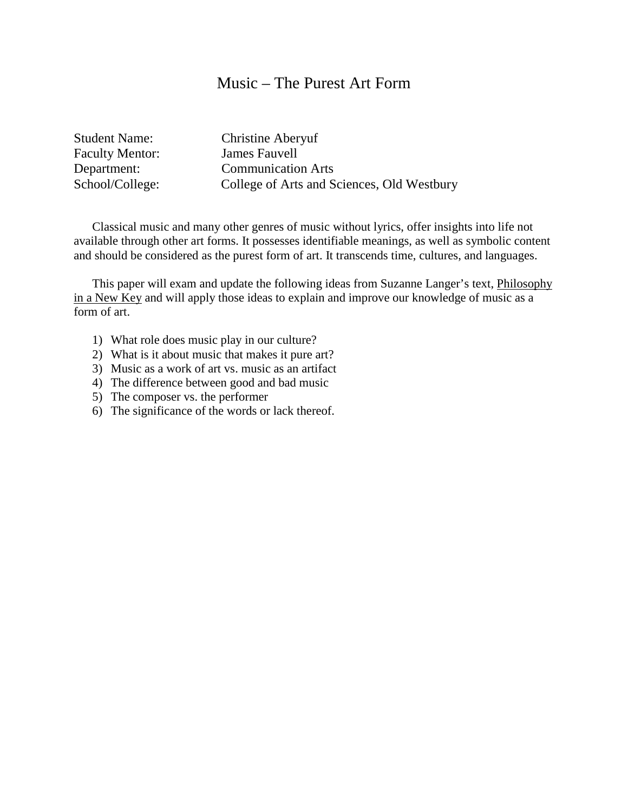#### Music – The Purest Art Form

Student Name: Christine Aberyuf Faculty Mentor: James Fauvell

Department: Communication Arts<br>School/College: College of Arts and S College of Arts and Sciences, Old Westbury

Classical music and many other genres of music without lyrics, offer insights into life not available through other art forms. It possesses identifiable meanings, as well as symbolic content and should be considered as the purest form of art. It transcends time, cultures, and languages.

This paper will exam and update the following ideas from Suzanne Langer's text, Philosophy in a New Key and will apply those ideas to explain and improve our knowledge of music as a form of art.

- 1) What role does music play in our culture?
- 2) What is it about music that makes it pure art?
- 3) Music as a work of art vs. music as an artifact
- 4) The difference between good and bad music
- 5) The composer vs. the performer
- 6) The significance of the words or lack thereof.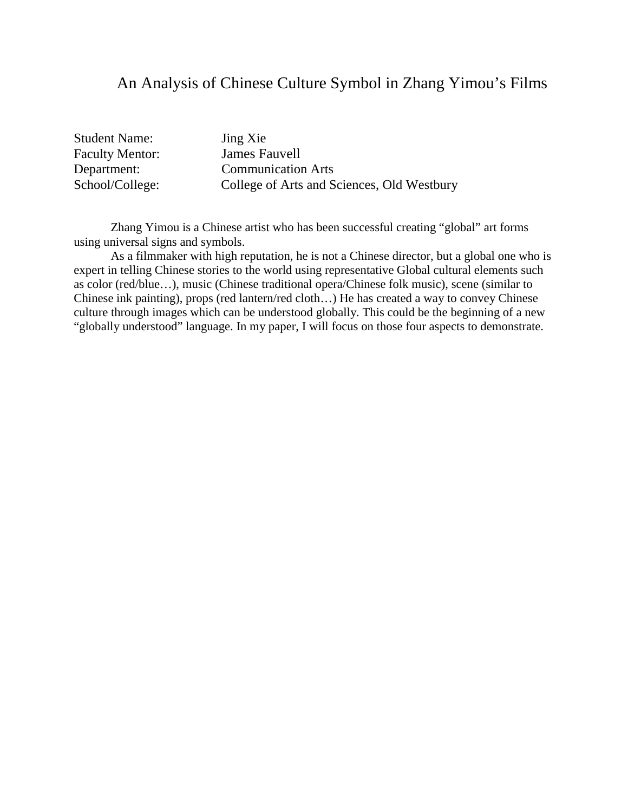### An Analysis of Chinese Culture Symbol in Zhang Yimou's Films

Student Name: Jing Xie Faculty Mentor: James Fauvell

Department: Communication Arts School/College: College of Arts and Sciences, Old Westbury

Zhang Yimou is a Chinese artist who has been successful creating "global" art forms using universal signs and symbols.

As a filmmaker with high reputation, he is not a Chinese director, but a global one who is expert in telling Chinese stories to the world using representative Global cultural elements such as color (red/blue…), music (Chinese traditional opera/Chinese folk music), scene (similar to Chinese ink painting), props (red lantern/red cloth…) He has created a way to convey Chinese culture through images which can be understood globally. This could be the beginning of a new "globally understood" language. In my paper, I will focus on those four aspects to demonstrate.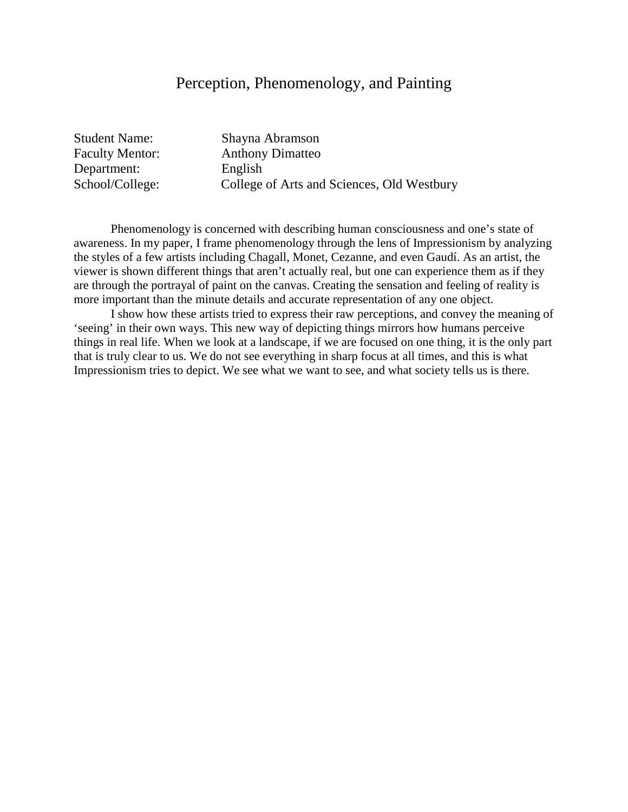### Perception, Phenomenology, and Painting

Student Name: Shayna Abramson Department: English<br>School/College: College

Faculty Mentor: Anthony Dimatteo College of Arts and Sciences, Old Westbury

Phenomenology is concerned with describing human consciousness and one's state of awareness. In my paper, I frame phenomenology through the lens of Impressionism by analyzing the styles of a few artists including Chagall, Monet, Cezanne, and even Gaudí. As an artist, the viewer is shown different things that aren't actually real, but one can experience them as if they are through the portrayal of paint on the canvas. Creating the sensation and feeling of reality is more important than the minute details and accurate representation of any one object.

I show how these artists tried to express their raw perceptions, and convey the meaning of 'seeing' in their own ways. This new way of depicting things mirrors how humans perceive things in real life. When we look at a landscape, if we are focused on one thing, it is the only part that is truly clear to us. We do not see everything in sharp focus at all times, and this is what Impressionism tries to depict. We see what we want to see, and what society tells us is there.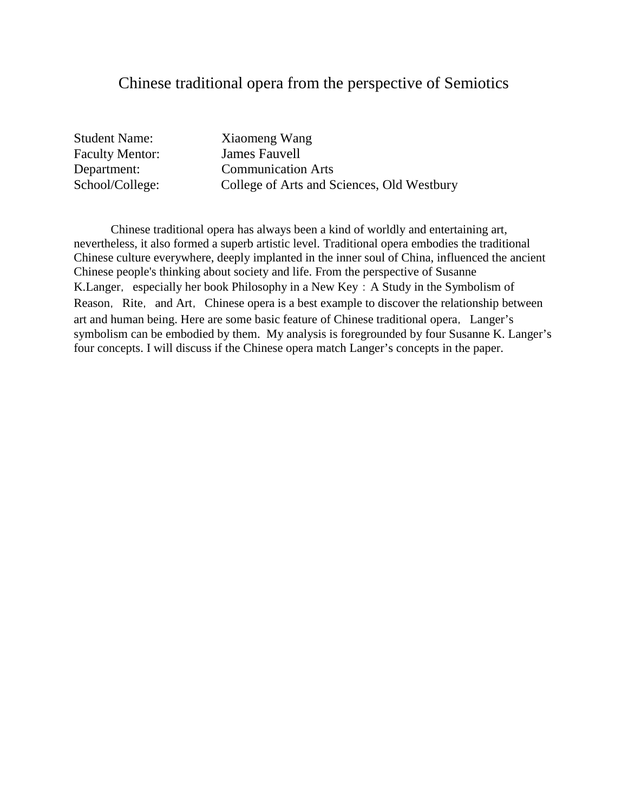#### Chinese traditional opera from the perspective of Semiotics

Student Name: Xiaomeng Wang Faculty Mentor: James Fauvell

Department: Communication Arts School/College: College of Arts and Sciences, Old Westbury

Chinese traditional opera has always been a kind of worldly and entertaining art, nevertheless, it also formed a superb artistic level. Traditional opera embodies the traditional Chinese culture everywhere, deeply implanted in the inner soul of China, influenced the ancient Chinese people's thinking about society and life. From the perspective of Susanne K.Langer, especially her book Philosophy in a New Key: A Study in the Symbolism of Reason, Rite, and Art, Chinese opera is a best example to discover the relationship between art and human being. Here are some basic feature of Chinese traditional opera, Langer's symbolism can be embodied by them. My analysis is foregrounded by four Susanne K. Langer's four concepts. I will discuss if the Chinese opera match Langer's concepts in the paper.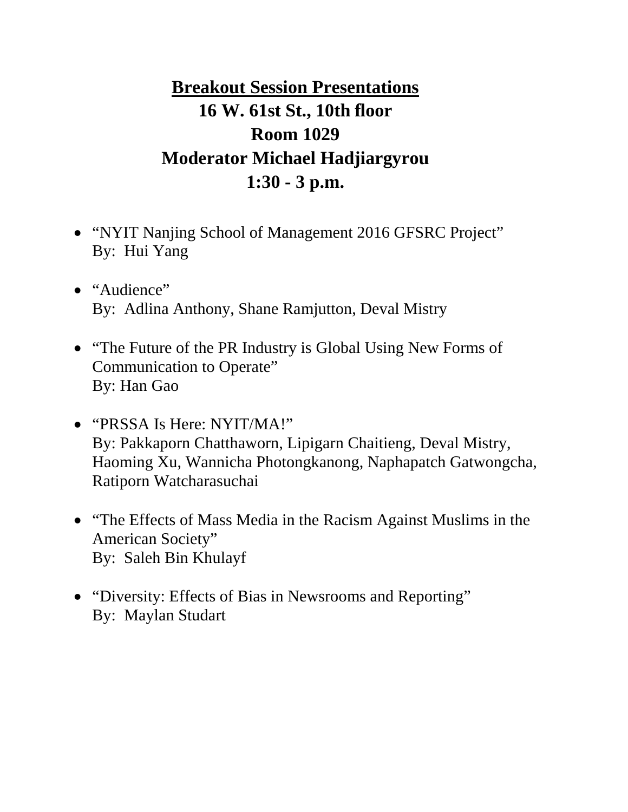# **Breakout Session Presentations 16 W. 61st St., 10th floor Room 1029 Moderator Michael Hadjiargyrou 1:30 - 3 p.m.**

- "NYIT Nanjing School of Management 2016 GFSRC Project" By: Hui Yang
- "Audience" By: Adlina Anthony, Shane Ramjutton, Deval Mistry
- "The Future of the PR Industry is Global Using New Forms of Communication to Operate" By: Han Gao
- "PRSSA Is Here: NYIT/MA!" By: Pakkaporn Chatthaworn, Lipigarn Chaitieng, Deval Mistry, Haoming Xu, Wannicha Photongkanong, Naphapatch Gatwongcha, Ratiporn Watcharasuchai
- "The Effects of Mass Media in the Racism Against Muslims in the American Society" By: Saleh Bin Khulayf
- "Diversity: Effects of Bias in Newsrooms and Reporting" By: Maylan Studart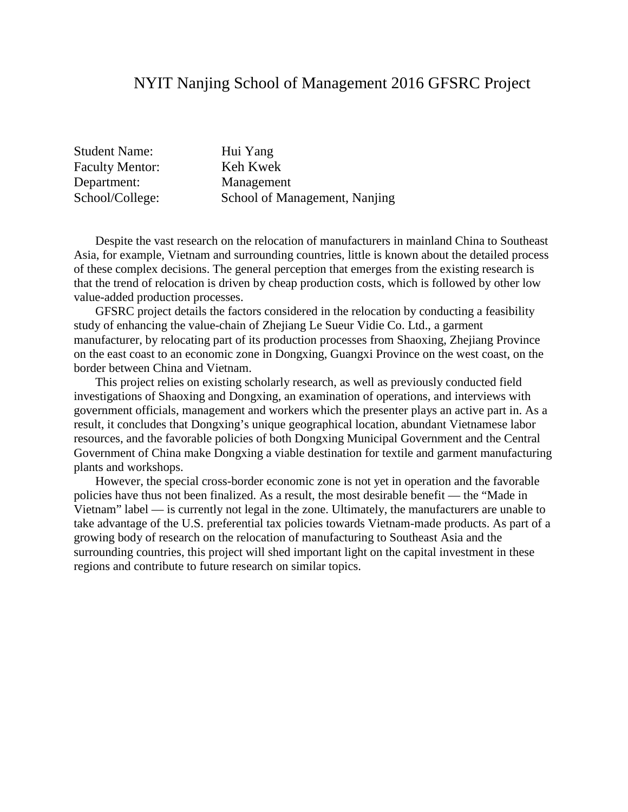### NYIT Nanjing School of Management 2016 GFSRC Project

| <b>Student Name:</b>   | Hui Yang                      |
|------------------------|-------------------------------|
| <b>Faculty Mentor:</b> | Keh Kwek                      |
| Department:            | Management                    |
| School/College:        | School of Management, Nanjing |

Despite the vast research on the relocation of manufacturers in mainland China to Southeast Asia, for example, Vietnam and surrounding countries, little is known about the detailed process of these complex decisions. The general perception that emerges from the existing research is that the trend of relocation is driven by cheap production costs, which is followed by other low value-added production processes.

GFSRC project details the factors considered in the relocation by conducting a feasibility study of enhancing the value-chain of Zhejiang Le Sueur Vidie Co. Ltd., a garment manufacturer, by relocating part of its production processes from Shaoxing, Zhejiang Province on the east coast to an economic zone in Dongxing, Guangxi Province on the west coast, on the border between China and Vietnam.

This project relies on existing scholarly research, as well as previously conducted field investigations of Shaoxing and Dongxing, an examination of operations, and interviews with government officials, management and workers which the presenter plays an active part in. As a result, it concludes that Dongxing's unique geographical location, abundant Vietnamese labor resources, and the favorable policies of both Dongxing Municipal Government and the Central Government of China make Dongxing a viable destination for textile and garment manufacturing plants and workshops.

However, the special cross-border economic zone is not yet in operation and the favorable policies have thus not been finalized. As a result, the most desirable benefit — the "Made in Vietnam" label — is currently not legal in the zone. Ultimately, the manufacturers are unable to take advantage of the U.S. preferential tax policies towards Vietnam-made products. As part of a growing body of research on the relocation of manufacturing to Southeast Asia and the surrounding countries, this project will shed important light on the capital investment in these regions and contribute to future research on similar topics.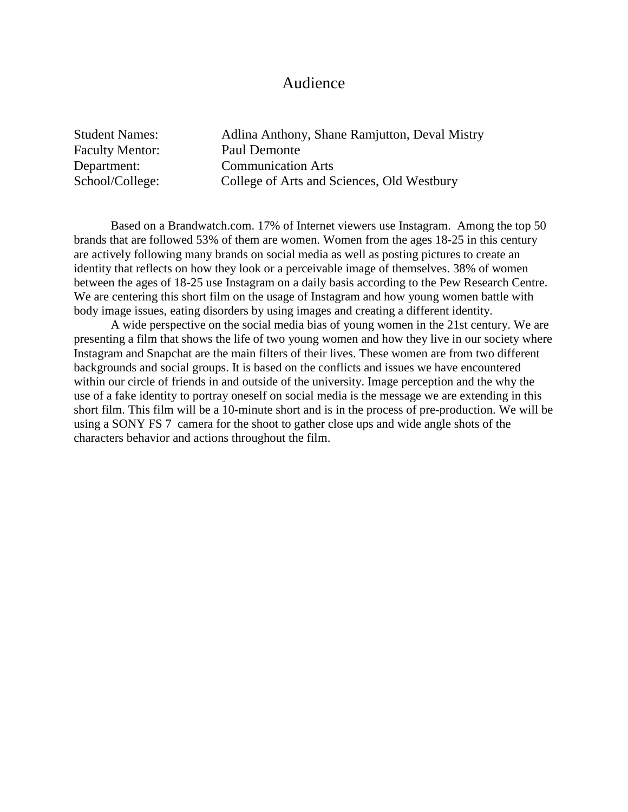#### Audience

| <b>Student Names:</b>  | Adlina Anthony, Shane Ramjutton, Deval Mistry |
|------------------------|-----------------------------------------------|
| <b>Faculty Mentor:</b> | Paul Demonte                                  |
| Department:            | <b>Communication Arts</b>                     |
| School/College:        | College of Arts and Sciences, Old Westbury    |

Based on a Brandwatch.com. 17% of Internet viewers use Instagram. Among the top 50 brands that are followed 53% of them are women. Women from the ages 18-25 in this century are actively following many brands on social media as well as posting pictures to create an identity that reflects on how they look or a perceivable image of themselves. 38% of women between the ages of 18-25 use Instagram on a daily basis according to the Pew Research Centre. We are centering this short film on the usage of Instagram and how young women battle with body image issues, eating disorders by using images and creating a different identity.

A wide perspective on the social media bias of young women in the 21st century. We are presenting a film that shows the life of two young women and how they live in our society where Instagram and Snapchat are the main filters of their lives. These women are from two different backgrounds and social groups. It is based on the conflicts and issues we have encountered within our circle of friends in and outside of the university. Image perception and the why the use of a fake identity to portray oneself on social media is the message we are extending in this short film. This film will be a 10-minute short and is in the process of pre-production. We will be using a SONY FS 7 camera for the shoot to gather close ups and wide angle shots of the characters behavior and actions throughout the film.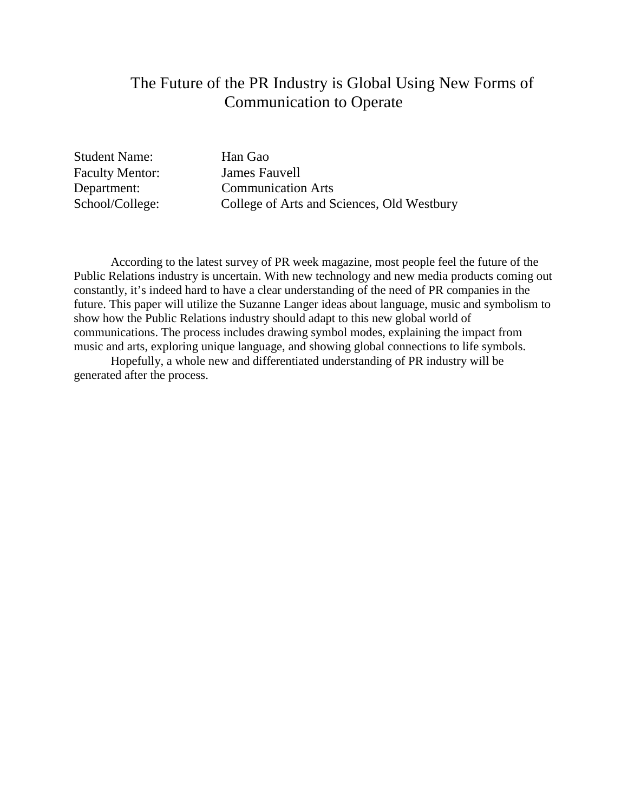# The Future of the PR Industry is Global Using New Forms of Communication to Operate

Student Name: Han Gao Faculty Mentor: James Fauvell

Department: Communication Arts School/College: College of Arts and Sciences, Old Westbury

According to the latest survey of PR week magazine, most people feel the future of the Public Relations industry is uncertain. With new technology and new media products coming out constantly, it's indeed hard to have a clear understanding of the need of PR companies in the future. This paper will utilize the Suzanne Langer ideas about language, music and symbolism to show how the Public Relations industry should adapt to this new global world of communications. The process includes drawing symbol modes, explaining the impact from music and arts, exploring unique language, and showing global connections to life symbols.

Hopefully, a whole new and differentiated understanding of PR industry will be generated after the process.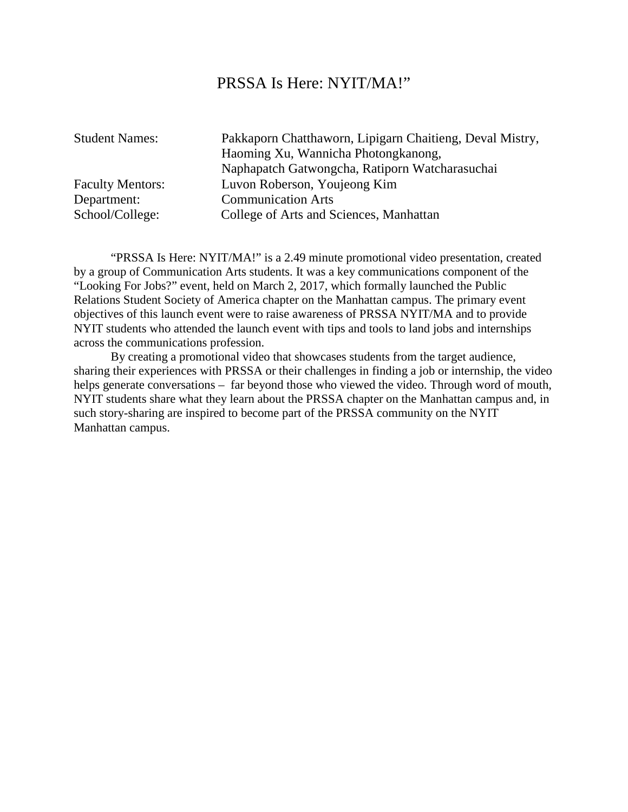#### PRSSA Is Here: NYIT/MA!"

Student Names: Pakkaporn Chatthaworn, Lipigarn Chaitieng, Deval Mistry, Haoming Xu, Wannicha Photongkanong, Naphapatch Gatwongcha, Ratiporn Watcharasuchai Faculty Mentors: Luvon Roberson, Youjeong Kim Department: Communication Arts School/College: College of Arts and Sciences, Manhattan

"PRSSA Is Here: NYIT/MA!" is a 2.49 minute promotional video presentation, created by a group of Communication Arts students. It was a key communications component of the "Looking For Jobs?" event, held on March 2, 2017, which formally launched the Public Relations Student Society of America chapter on the Manhattan campus. The primary event objectives of this launch event were to raise awareness of PRSSA NYIT/MA and to provide NYIT students who attended the launch event with tips and tools to land jobs and internships across the communications profession.

By creating a promotional video that showcases students from the target audience, sharing their experiences with PRSSA or their challenges in finding a job or internship, the video helps generate conversations – far beyond those who viewed the video. Through word of mouth, NYIT students share what they learn about the PRSSA chapter on the Manhattan campus and, in such story-sharing are inspired to become part of the PRSSA community on the NYIT Manhattan campus.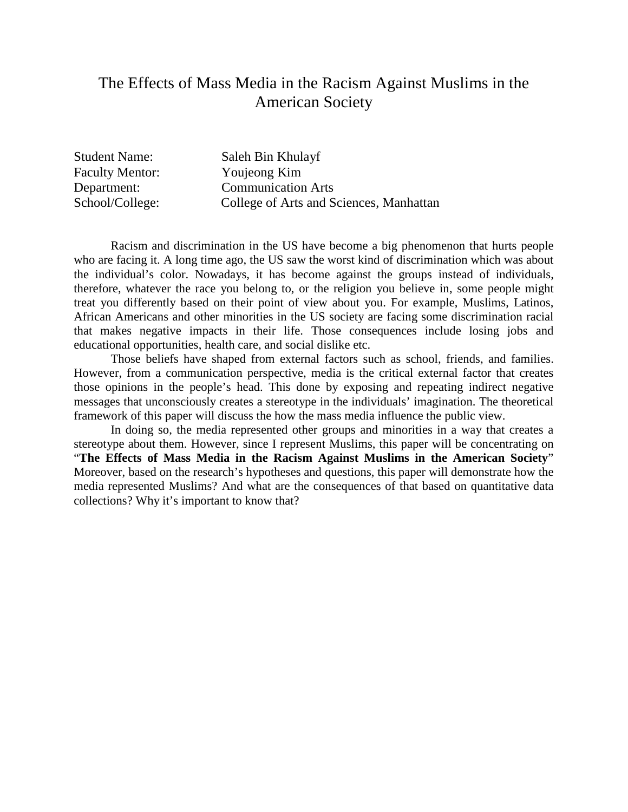# The Effects of Mass Media in the Racism Against Muslims in the American Society

Student Name: Saleh Bin Khulayf Faculty Mentor: Youjeong Kim Department: Communication Arts School/College: College of Arts and Sciences, Manhattan

Racism and discrimination in the US have become a big phenomenon that hurts people who are facing it. A long time ago, the US saw the worst kind of discrimination which was about the individual's color. Nowadays, it has become against the groups instead of individuals, therefore, whatever the race you belong to, or the religion you believe in, some people might treat you differently based on their point of view about you. For example, Muslims, Latinos, African Americans and other minorities in the US society are facing some discrimination racial that makes negative impacts in their life. Those consequences include losing jobs and educational opportunities, health care, and social dislike etc.

Those beliefs have shaped from external factors such as school, friends, and families. However, from a communication perspective, media is the critical external factor that creates those opinions in the people's head. This done by exposing and repeating indirect negative messages that unconsciously creates a stereotype in the individuals' imagination. The theoretical framework of this paper will discuss the how the mass media influence the public view.

In doing so, the media represented other groups and minorities in a way that creates a stereotype about them. However, since I represent Muslims, this paper will be concentrating on "**The Effects of Mass Media in the Racism Against Muslims in the American Society**" Moreover, based on the research's hypotheses and questions, this paper will demonstrate how the media represented Muslims? And what are the consequences of that based on quantitative data collections? Why it's important to know that?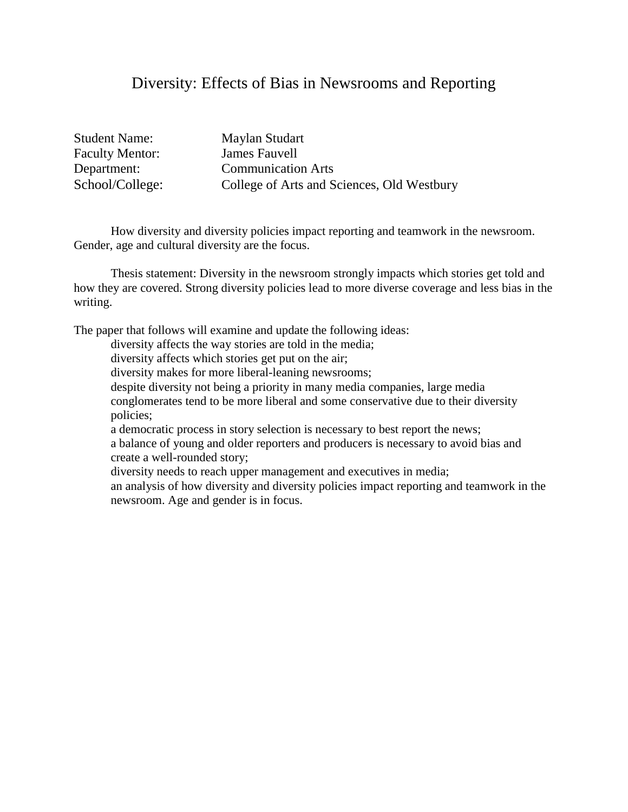### Diversity: Effects of Bias in Newsrooms and Reporting

Student Name: Maylan Studart Faculty Mentor: James Fauvell

Department: Communication Arts School/College: College of Arts and Sciences, Old Westbury

How diversity and diversity policies impact reporting and teamwork in the newsroom. Gender, age and cultural diversity are the focus.

Thesis statement: Diversity in the newsroom strongly impacts which stories get told and how they are covered. Strong diversity policies lead to more diverse coverage and less bias in the writing.

The paper that follows will examine and update the following ideas:

diversity affects the way stories are told in the media;

diversity affects which stories get put on the air;

diversity makes for more liberal-leaning newsrooms;

despite diversity not being a priority in many media companies, large media

conglomerates tend to be more liberal and some conservative due to their diversity policies;

a democratic process in story selection is necessary to best report the news; a balance of young and older reporters and producers is necessary to avoid bias and create a well-rounded story;

diversity needs to reach upper management and executives in media;

an analysis of how diversity and diversity policies impact reporting and teamwork in the newsroom. Age and gender is in focus.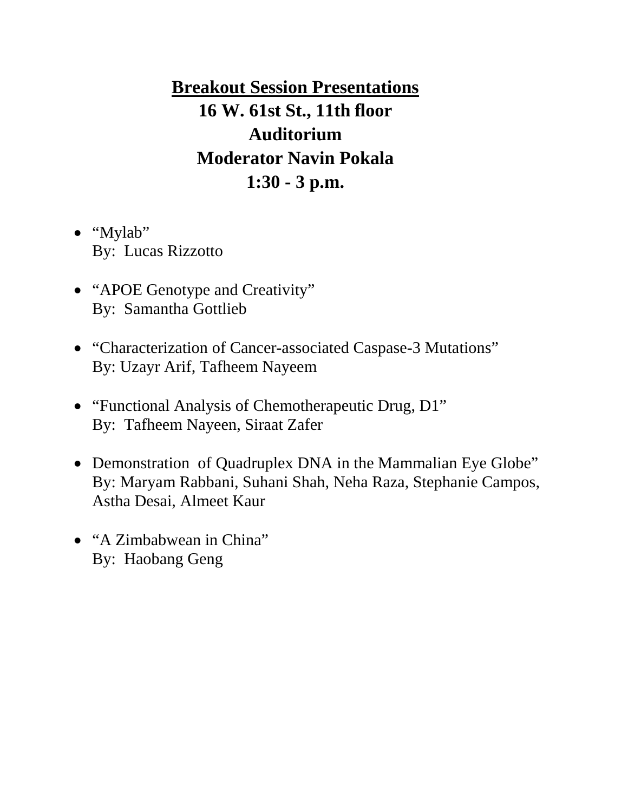**Breakout Session Presentations 16 W. 61st St., 11th floor Auditorium Moderator Navin Pokala 1:30 - 3 p.m.**

- "Mylab" By: Lucas Rizzotto
- "APOE Genotype and Creativity" By: Samantha Gottlieb
- "Characterization of Cancer-associated Caspase-3 Mutations" By: Uzayr Arif, Tafheem Nayeem
- "Functional Analysis of Chemotherapeutic Drug, D1" By: Tafheem Nayeen, Siraat Zafer
- Demonstration of Quadruplex DNA in the Mammalian Eye Globe" By: Maryam Rabbani, Suhani Shah, Neha Raza, Stephanie Campos, Astha Desai, Almeet Kaur
- "A Zimbabwean in China" By: Haobang Geng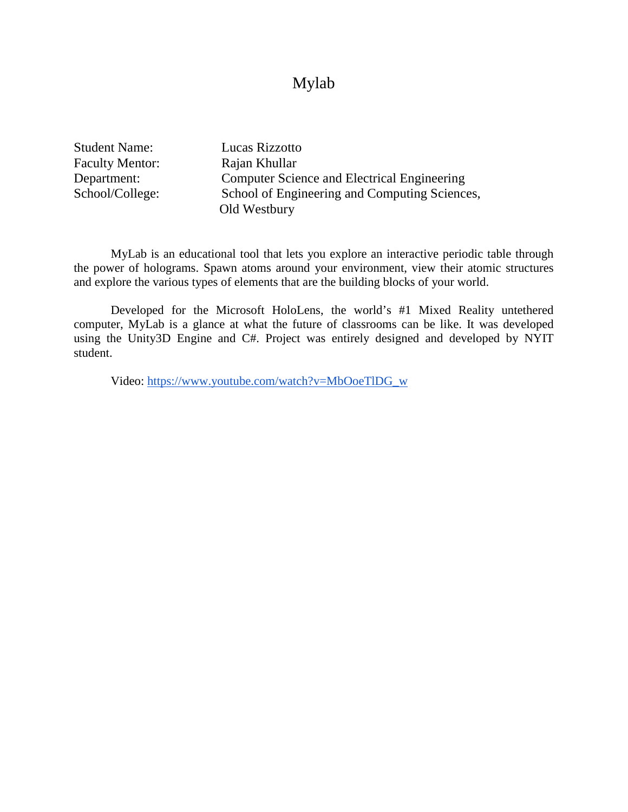### Mylab

Student Name: Lucas Rizzotto Faculty Mentor: Rajan Khullar

Department: Computer Science and Electrical Engineering School/College: School of Engineering and Computing Sciences, Old Westbury

MyLab is an educational tool that lets you explore an interactive periodic table through the power of holograms. Spawn atoms around your environment, view their atomic structures and explore the various types of elements that are the building blocks of your world.

Developed for the Microsoft HoloLens, the world's #1 Mixed Reality untethered computer, MyLab is a glance at what the future of classrooms can be like. It was developed using the Unity3D Engine and C#. Project was entirely designed and developed by NYIT student.

Video: [https://www.youtube.com/watch?v=MbOoeTlDG\\_w](https://www.youtube.com/watch?v=MbOoeTlDG_w)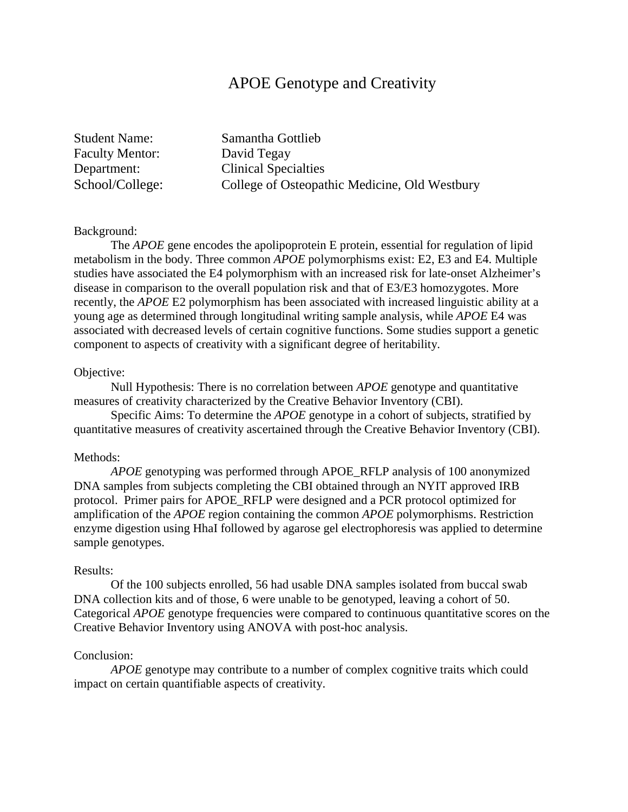# APOE Genotype and Creativity

Faculty Mentor: David Tegay

Student Name: Samantha Gottlieb Department: Clinical Specialties School/College: College of Osteopathic Medicine, Old Westbury

#### Background:

The *APOE* gene encodes the apolipoprotein E protein, essential for regulation of lipid metabolism in the body. Three common *APOE* polymorphisms exist: E2, E3 and E4. Multiple studies have associated the E4 polymorphism with an increased risk for late-onset Alzheimer's disease in comparison to the overall population risk and that of E3/E3 homozygotes. More recently, the *APOE* E2 polymorphism has been associated with increased linguistic ability at a young age as determined through longitudinal writing sample analysis, while *APOE* E4 was associated with decreased levels of certain cognitive functions. Some studies support a genetic component to aspects of creativity with a significant degree of heritability.

#### Objective:

Null Hypothesis: There is no correlation between *APOE* genotype and quantitative measures of creativity characterized by the Creative Behavior Inventory (CBI).

Specific Aims: To determine the *APOE* genotype in a cohort of subjects, stratified by quantitative measures of creativity ascertained through the Creative Behavior Inventory (CBI).

#### Methods:

*APOE* genotyping was performed through APOE\_RFLP analysis of 100 anonymized DNA samples from subjects completing the CBI obtained through an NYIT approved IRB protocol. Primer pairs for APOE\_RFLP were designed and a PCR protocol optimized for amplification of the *APOE* region containing the common *APOE* polymorphisms. Restriction enzyme digestion using HhaI followed by agarose gel electrophoresis was applied to determine sample genotypes.

#### Results:

Of the 100 subjects enrolled, 56 had usable DNA samples isolated from buccal swab DNA collection kits and of those, 6 were unable to be genotyped, leaving a cohort of 50. Categorical *APOE* genotype frequencies were compared to continuous quantitative scores on the Creative Behavior Inventory using ANOVA with post-hoc analysis.

#### Conclusion:

*APOE* genotype may contribute to a number of complex cognitive traits which could impact on certain quantifiable aspects of creativity.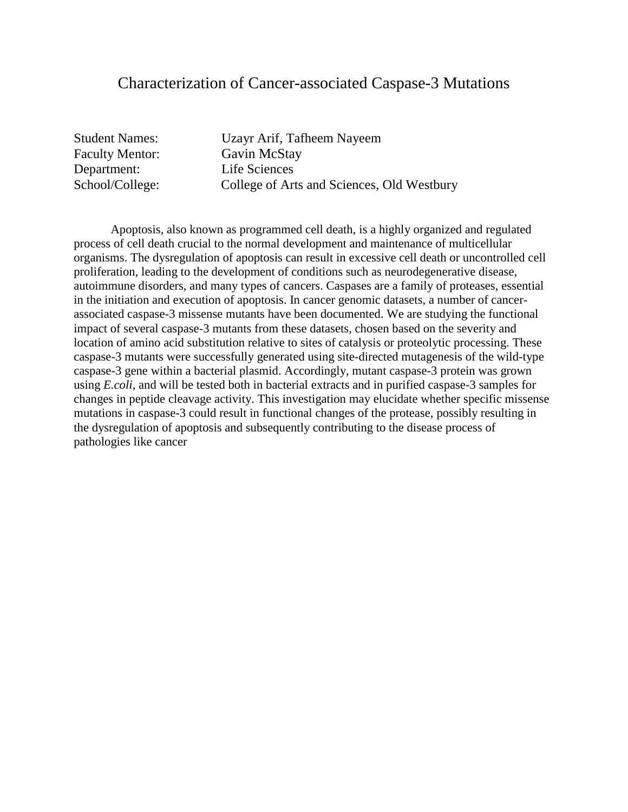#### Characterization of Cancer-associated Caspase-3 Mutations

Faculty Mentor: Gavin McStay Department: Life Sciences

Student Names: Uzayr Arif, Tafheem Nayeem School/College: College of Arts and Sciences, Old Westbury

Apoptosis, also known as programmed cell death, is a highly organized and regulated process of cell death crucial to the normal development and maintenance of multicellular organisms. The dysregulation of apoptosis can result in excessive cell death or uncontrolled cell proliferation, leading to the development of conditions such as neurodegenerative disease, autoimmune disorders, and many types of cancers. Caspases are a family of proteases, essential in the initiation and execution of apoptosis. In cancer genomic datasets, a number of cancerassociated caspase-3 missense mutants have been documented. We are studying the functional impact of several caspase-3 mutants from these datasets, chosen based on the severity and location of amino acid substitution relative to sites of catalysis or proteolytic processing. These caspase-3 mutants were successfully generated using site-directed mutagenesis of the wild-type caspase-3 gene within a bacterial plasmid. Accordingly, mutant caspase-3 protein was grown using *E.coli,* and will be tested both in bacterial extracts and in purified caspase-3 samples for changes in peptide cleavage activity. This investigation may elucidate whether specific missense mutations in caspase-3 could result in functional changes of the protease, possibly resulting in the dysregulation of apoptosis and subsequently contributing to the disease process of pathologies like cancer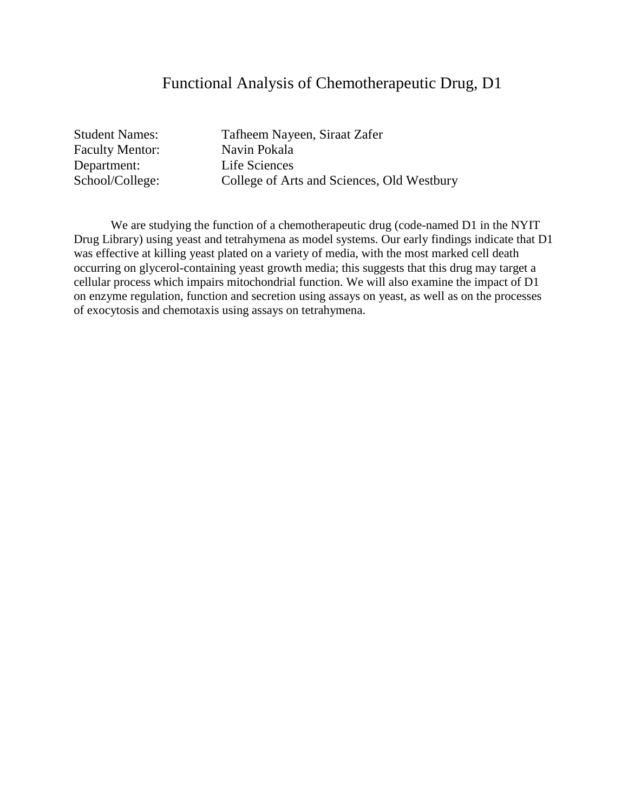## Functional Analysis of Chemotherapeutic Drug, D1

| <b>Student Names:</b>  |
|------------------------|
| <b>Faculty Mentor:</b> |
| Department:            |
| School/College:        |

Tafheem Nayeen, Siraat Zafer Navin Pokala Life Sciences College of Arts and Sciences, Old Westbury

We are studying the function of a chemotherapeutic drug (code-named D1 in the NYIT Drug Library) using yeast and tetrahymena as model systems. Our early findings indicate that D1 was effective at killing yeast plated on a variety of media, with the most marked cell death occurring on glycerol-containing yeast growth media; this suggests that this drug may target a cellular process which impairs mitochondrial function. We will also examine the impact of D1 on enzyme regulation, function and secretion using assays on yeast, as well as on the processes of exocytosis and chemotaxis using assays on tetrahymena.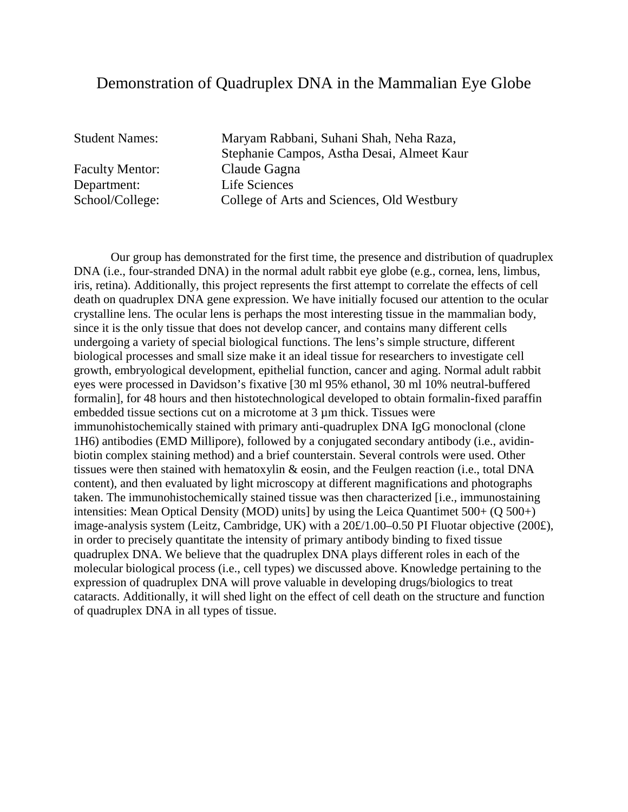### Demonstration of Quadruplex DNA in the Mammalian Eye Globe

Faculty Mentor: Claude Gagna Department: Life Sciences

Student Names: Maryam Rabbani, Suhani Shah, Neha Raza, Stephanie Campos, Astha Desai, Almeet Kaur School/College: College of Arts and Sciences, Old Westbury

Our group has demonstrated for the first time, the presence and distribution of quadruplex DNA (i.e., four-stranded DNA) in the normal adult rabbit eye globe (e.g., cornea, lens, limbus, iris, retina). Additionally, this project represents the first attempt to correlate the effects of cell death on quadruplex DNA gene expression. We have initially focused our attention to the ocular crystalline lens. The ocular lens is perhaps the most interesting tissue in the mammalian body, since it is the only tissue that does not develop cancer, and contains many different cells undergoing a variety of special biological functions. The lens's simple structure, different biological processes and small size make it an ideal tissue for researchers to investigate cell growth, embryological development, epithelial function, cancer and aging. Normal adult rabbit eyes were processed in Davidson's fixative [30 ml 95% ethanol, 30 ml 10% neutral-buffered formalin], for 48 hours and then histotechnological developed to obtain formalin-fixed paraffin embedded tissue sections cut on a microtome at 3 µm thick. Tissues were immunohistochemically stained with primary anti-quadruplex DNA IgG monoclonal (clone 1H6) antibodies (EMD Millipore), followed by a conjugated secondary antibody (i.e., avidinbiotin complex staining method) and a brief counterstain. Several controls were used. Other tissues were then stained with hematoxylin & eosin, and the Feulgen reaction (i.e., total DNA content), and then evaluated by light microscopy at different magnifications and photographs taken. The immunohistochemically stained tissue was then characterized [i.e., immunostaining intensities: Mean Optical Density (MOD) units] by using the Leica Quantimet 500+ (Q 500+) image-analysis system (Leitz, Cambridge, UK) with a 20£/1.00–0.50 PI Fluotar objective (200£), in order to precisely quantitate the intensity of primary antibody binding to fixed tissue quadruplex DNA. We believe that the quadruplex DNA plays different roles in each of the molecular biological process (i.e., cell types) we discussed above. Knowledge pertaining to the expression of quadruplex DNA will prove valuable in developing drugs/biologics to treat cataracts. Additionally, it will shed light on the effect of cell death on the structure and function of quadruplex DNA in all types of tissue.